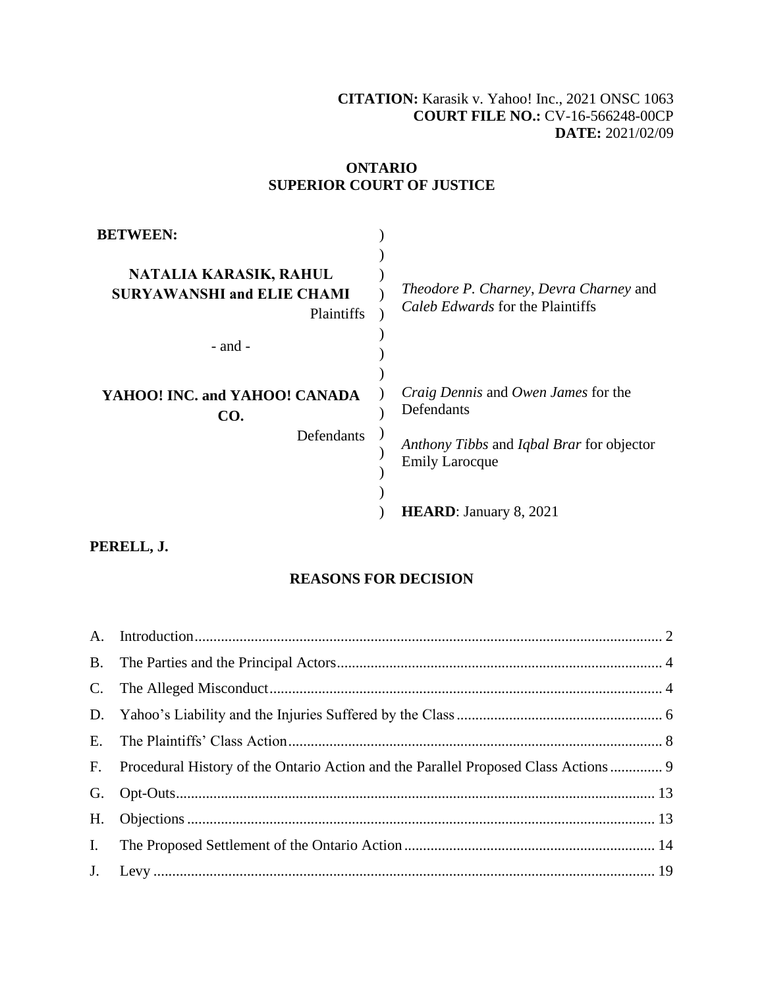### **[CITATION:](http://intra.judicialsecurity.jus.gov.on.ca/NeutralCitation/)** Karasik v. Yahoo! Inc., 2021 ONSC 1063 **COURT FILE NO.:** CV-16-566248-00CP **DATE:** 2021/02/09

### **ONTARIO SUPERIOR COURT OF JUSTICE**

| <b>BETWEEN:</b>                                                                          |                                                                                                                                       |
|------------------------------------------------------------------------------------------|---------------------------------------------------------------------------------------------------------------------------------------|
| NATALIA KARASIK, RAHUL<br><b>SURYAWANSHI and ELIE CHAMI</b><br>Plaintiffs<br>$-$ and $-$ | Theodore P. Charney, Devra Charney and<br>Caleb Edwards for the Plaintiffs                                                            |
| YAHOO! INC. and YAHOO! CANADA<br>CO.<br>Defendants                                       | <i>Craig Dennis</i> and <i>Owen James</i> for the<br>Defendants<br>Anthony Tibbs and Iqbal Brar for objector<br><b>Emily Larocque</b> |
|                                                                                          | <b>HEARD:</b> January 8, 2021                                                                                                         |

## **PERELL, J.**

### **REASONS FOR DECISION**

| F. Procedural History of the Ontario Action and the Parallel Proposed Class Actions  9 |  |
|----------------------------------------------------------------------------------------|--|
|                                                                                        |  |
|                                                                                        |  |
|                                                                                        |  |
|                                                                                        |  |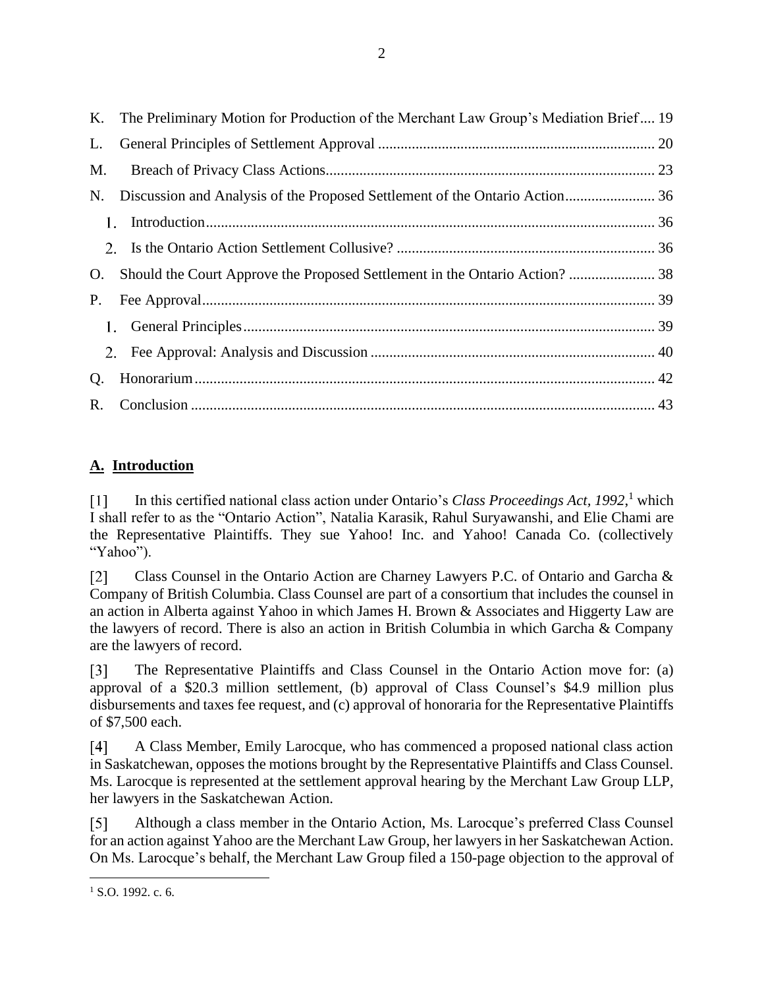|    | K. The Preliminary Motion for Production of the Merchant Law Group's Mediation Brief 19 |  |
|----|-----------------------------------------------------------------------------------------|--|
| L. |                                                                                         |  |
| M. |                                                                                         |  |
| N. |                                                                                         |  |
| 1. |                                                                                         |  |
|    |                                                                                         |  |
| O. |                                                                                         |  |
| P. |                                                                                         |  |
|    |                                                                                         |  |
|    |                                                                                         |  |
| Q. |                                                                                         |  |
|    |                                                                                         |  |

# <span id="page-1-0"></span>**A. Introduction**

In this certified national class action under Ontario's *Class Proceedings Act, 1992*, <sup>1</sup> which  $\lceil 1 \rceil$ I shall refer to as the "Ontario Action", Natalia Karasik, Rahul Suryawanshi, and Elie Chami are the Representative Plaintiffs. They sue Yahoo! Inc. and Yahoo! Canada Co. (collectively "Yahoo").

 $\lceil 2 \rceil$ Class Counsel in the Ontario Action are Charney Lawyers P.C. of Ontario and Garcha & Company of British Columbia. Class Counsel are part of a consortium that includes the counsel in an action in Alberta against Yahoo in which James H. Brown & Associates and Higgerty Law are the lawyers of record. There is also an action in British Columbia in which Garcha & Company are the lawyers of record.

 $\lceil 3 \rceil$ The Representative Plaintiffs and Class Counsel in the Ontario Action move for: (a) approval of a \$20.3 million settlement, (b) approval of Class Counsel's \$4.9 million plus disbursements and taxes fee request, and (c) approval of honoraria for the Representative Plaintiffs of \$7,500 each.

A Class Member, Emily Larocque, who has commenced a proposed national class action  $\lceil 4 \rceil$ in Saskatchewan, opposes the motions brought by the Representative Plaintiffs and Class Counsel. Ms. Larocque is represented at the settlement approval hearing by the Merchant Law Group LLP, her lawyers in the Saskatchewan Action.

 $\lceil 5 \rceil$ Although a class member in the Ontario Action, Ms. Larocque's preferred Class Counsel for an action against Yahoo are the Merchant Law Group, her lawyers in her Saskatchewan Action. On Ms. Larocque's behalf, the Merchant Law Group filed a 150-page objection to the approval of

<sup>&</sup>lt;sup>1</sup> S.O. 1992. c. 6.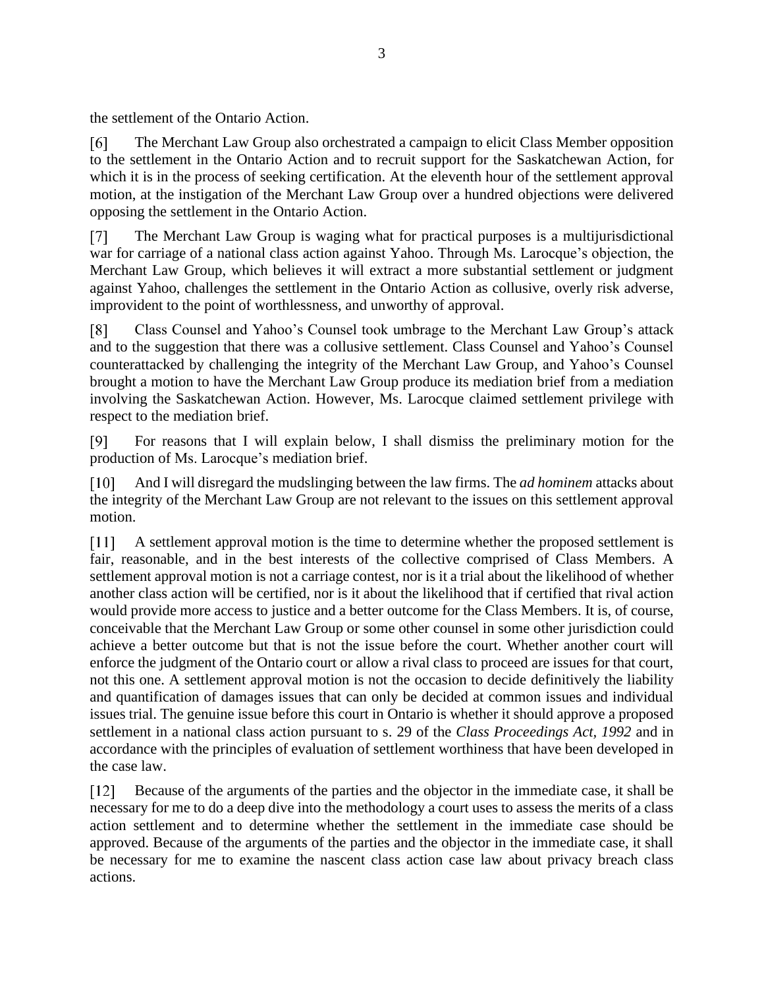the settlement of the Ontario Action.

 $\lceil 6 \rceil$ The Merchant Law Group also orchestrated a campaign to elicit Class Member opposition to the settlement in the Ontario Action and to recruit support for the Saskatchewan Action, for which it is in the process of seeking certification. At the eleventh hour of the settlement approval motion, at the instigation of the Merchant Law Group over a hundred objections were delivered opposing the settlement in the Ontario Action.

The Merchant Law Group is waging what for practical purposes is a multijurisdictional  $\lceil 7 \rceil$ war for carriage of a national class action against Yahoo. Through Ms. Larocque's objection, the Merchant Law Group, which believes it will extract a more substantial settlement or judgment against Yahoo, challenges the settlement in the Ontario Action as collusive, overly risk adverse, improvident to the point of worthlessness, and unworthy of approval.

 $\lceil 8 \rceil$ Class Counsel and Yahoo's Counsel took umbrage to the Merchant Law Group's attack and to the suggestion that there was a collusive settlement. Class Counsel and Yahoo's Counsel counterattacked by challenging the integrity of the Merchant Law Group, and Yahoo's Counsel brought a motion to have the Merchant Law Group produce its mediation brief from a mediation involving the Saskatchewan Action. However, Ms. Larocque claimed settlement privilege with respect to the mediation brief.

 $[9]$ For reasons that I will explain below, I shall dismiss the preliminary motion for the production of Ms. Larocque's mediation brief.

 $\lceil 10 \rceil$ And I will disregard the mudslinging between the law firms. The *ad hominem* attacks about the integrity of the Merchant Law Group are not relevant to the issues on this settlement approval motion.

A settlement approval motion is the time to determine whether the proposed settlement is fair, reasonable, and in the best interests of the collective comprised of Class Members. A settlement approval motion is not a carriage contest, nor is it a trial about the likelihood of whether another class action will be certified, nor is it about the likelihood that if certified that rival action would provide more access to justice and a better outcome for the Class Members. It is, of course, conceivable that the Merchant Law Group or some other counsel in some other jurisdiction could achieve a better outcome but that is not the issue before the court. Whether another court will enforce the judgment of the Ontario court or allow a rival class to proceed are issues for that court, not this one. A settlement approval motion is not the occasion to decide definitively the liability and quantification of damages issues that can only be decided at common issues and individual issues trial. The genuine issue before this court in Ontario is whether it should approve a proposed settlement in a national class action pursuant to s. 29 of the *Class Proceedings Act, 1992* and in accordance with the principles of evaluation of settlement worthiness that have been developed in the case law.

Because of the arguments of the parties and the objector in the immediate case, it shall be  $[12]$ necessary for me to do a deep dive into the methodology a court uses to assess the merits of a class action settlement and to determine whether the settlement in the immediate case should be approved. Because of the arguments of the parties and the objector in the immediate case, it shall be necessary for me to examine the nascent class action case law about privacy breach class actions.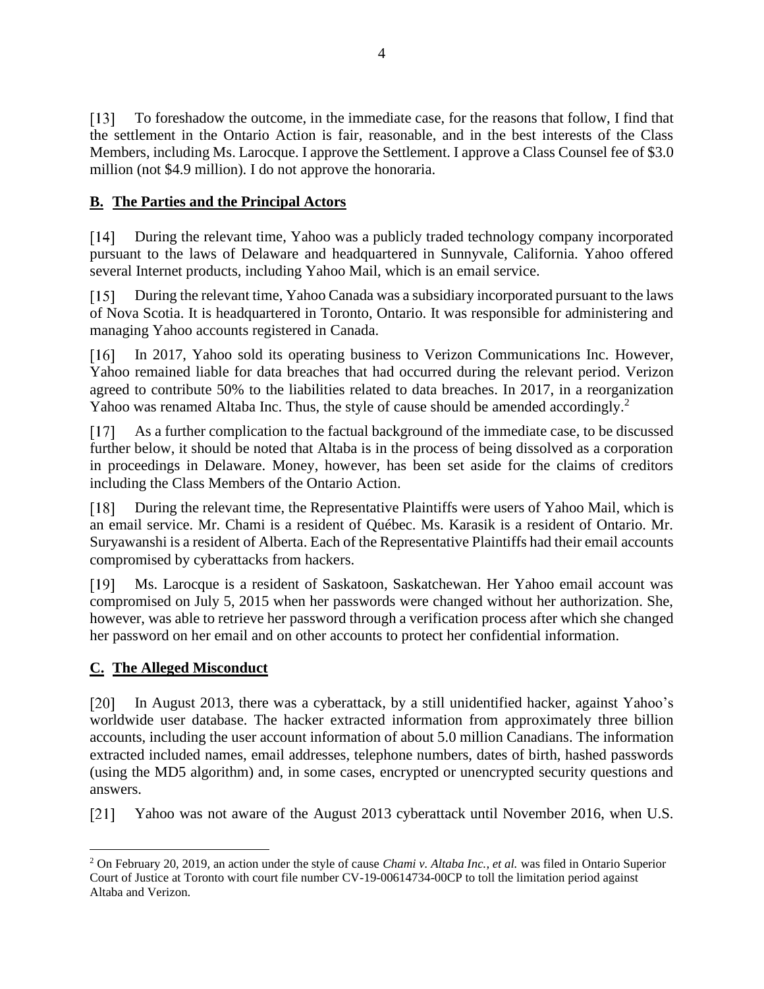$\lceil 13 \rceil$ To foreshadow the outcome, in the immediate case, for the reasons that follow, I find that the settlement in the Ontario Action is fair, reasonable, and in the best interests of the Class Members, including Ms. Larocque. I approve the Settlement. I approve a Class Counsel fee of \$3.0 million (not \$4.9 million). I do not approve the honoraria.

## <span id="page-3-0"></span>**B. The Parties and the Principal Actors**

During the relevant time, Yahoo was a publicly traded technology company incorporated  $\lceil 14 \rceil$ pursuant to the laws of Delaware and headquartered in Sunnyvale, California. Yahoo offered several Internet products, including Yahoo Mail, which is an email service.

 $\lceil 15 \rceil$ During the relevant time, Yahoo Canada was a subsidiary incorporated pursuant to the laws of Nova Scotia. It is headquartered in Toronto, Ontario. It was responsible for administering and managing Yahoo accounts registered in Canada.

 $\lceil 16 \rceil$ In 2017, Yahoo sold its operating business to Verizon Communications Inc. However, Yahoo remained liable for data breaches that had occurred during the relevant period. Verizon agreed to contribute 50% to the liabilities related to data breaches. In 2017, in a reorganization Yahoo was renamed Altaba Inc. Thus, the style of cause should be amended accordingly.<sup>2</sup>

 $[17]$ As a further complication to the factual background of the immediate case, to be discussed further below, it should be noted that Altaba is in the process of being dissolved as a corporation in proceedings in Delaware. Money, however, has been set aside for the claims of creditors including the Class Members of the Ontario Action.

During the relevant time, the Representative Plaintiffs were users of Yahoo Mail, which is  $\lceil 18 \rceil$ an email service. Mr. Chami is a resident of Québec. Ms. Karasik is a resident of Ontario. Mr. Suryawanshi is a resident of Alberta. Each of the Representative Plaintiffs had their email accounts compromised by cyberattacks from hackers.

 $[19]$ Ms. Larocque is a resident of Saskatoon, Saskatchewan. Her Yahoo email account was compromised on July 5, 2015 when her passwords were changed without her authorization. She, however, was able to retrieve her password through a verification process after which she changed her password on her email and on other accounts to protect her confidential information.

### <span id="page-3-1"></span>**C. The Alleged Misconduct**

[20] In August 2013, there was a cyberattack, by a still unidentified hacker, against Yahoo's worldwide user database. The hacker extracted information from approximately three billion accounts, including the user account information of about 5.0 million Canadians. The information extracted included names, email addresses, telephone numbers, dates of birth, hashed passwords (using the MD5 algorithm) and, in some cases, encrypted or unencrypted security questions and answers.

 $\lceil 21 \rceil$ Yahoo was not aware of the August 2013 cyberattack until November 2016, when U.S.

<sup>2</sup> On February 20, 2019, an action under the style of cause *Chami v. Altaba Inc., et al.* was filed in Ontario Superior Court of Justice at Toronto with court file number CV-19-00614734-00CP to toll the limitation period against Altaba and Verizon.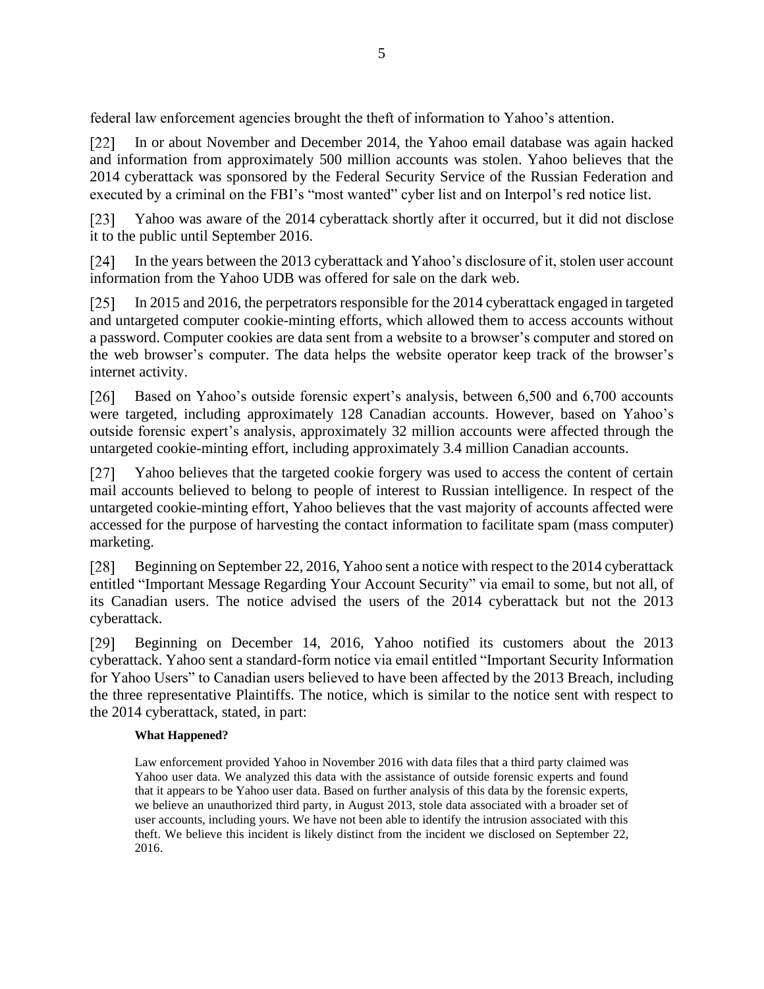federal law enforcement agencies brought the theft of information to Yahoo's attention.

 $\lceil 22 \rceil$ In or about November and December 2014, the Yahoo email database was again hacked and information from approximately 500 million accounts was stolen. Yahoo believes that the 2014 cyberattack was sponsored by the Federal Security Service of the Russian Federation and executed by a criminal on the FBI's "most wanted" cyber list and on Interpol's red notice list.

 $\lceil 23 \rceil$ Yahoo was aware of the 2014 cyberattack shortly after it occurred, but it did not disclose it to the public until September 2016.

 $\lceil 24 \rceil$ In the years between the 2013 cyberattack and Yahoo's disclosure of it, stolen user account information from the Yahoo UDB was offered for sale on the dark web.

In 2015 and 2016, the perpetrators responsible for the 2014 cyberattack engaged in targeted and untargeted computer cookie-minting efforts, which allowed them to access accounts without a password. Computer cookies are data sent from a website to a browser's computer and stored on the web browser's computer. The data helps the website operator keep track of the browser's internet activity.

 $\lceil 26 \rceil$ Based on Yahoo's outside forensic expert's analysis, between 6,500 and 6,700 accounts were targeted, including approximately 128 Canadian accounts. However, based on Yahoo's outside forensic expert's analysis, approximately 32 million accounts were affected through the untargeted cookie-minting effort, including approximately 3.4 million Canadian accounts.

Yahoo believes that the targeted cookie forgery was used to access the content of certain  $\lceil 27 \rceil$ mail accounts believed to belong to people of interest to Russian intelligence. In respect of the untargeted cookie-minting effort, Yahoo believes that the vast majority of accounts affected were accessed for the purpose of harvesting the contact information to facilitate spam (mass computer) marketing.

Beginning on September 22, 2016, Yahoo sent a notice with respect to the 2014 cyberattack  $\lceil 28 \rceil$ entitled "Important Message Regarding Your Account Security" via email to some, but not all, of its Canadian users. The notice advised the users of the 2014 cyberattack but not the 2013 cyberattack.

Beginning on December 14, 2016, Yahoo notified its customers about the 2013  $\lceil 29 \rceil$ cyberattack. Yahoo sent a standard-form notice via email entitled "Important Security Information for Yahoo Users" to Canadian users believed to have been affected by the 2013 Breach, including the three representative Plaintiffs. The notice, which is similar to the notice sent with respect to the 2014 cyberattack, stated, in part:

### **What Happened?**

Law enforcement provided Yahoo in November 2016 with data files that a third party claimed was Yahoo user data. We analyzed this data with the assistance of outside forensic experts and found that it appears to be Yahoo user data. Based on further analysis of this data by the forensic experts, we believe an unauthorized third party, in August 2013, stole data associated with a broader set of user accounts, including yours. We have not been able to identify the intrusion associated with this theft. We believe this incident is likely distinct from the incident we disclosed on September 22, 2016.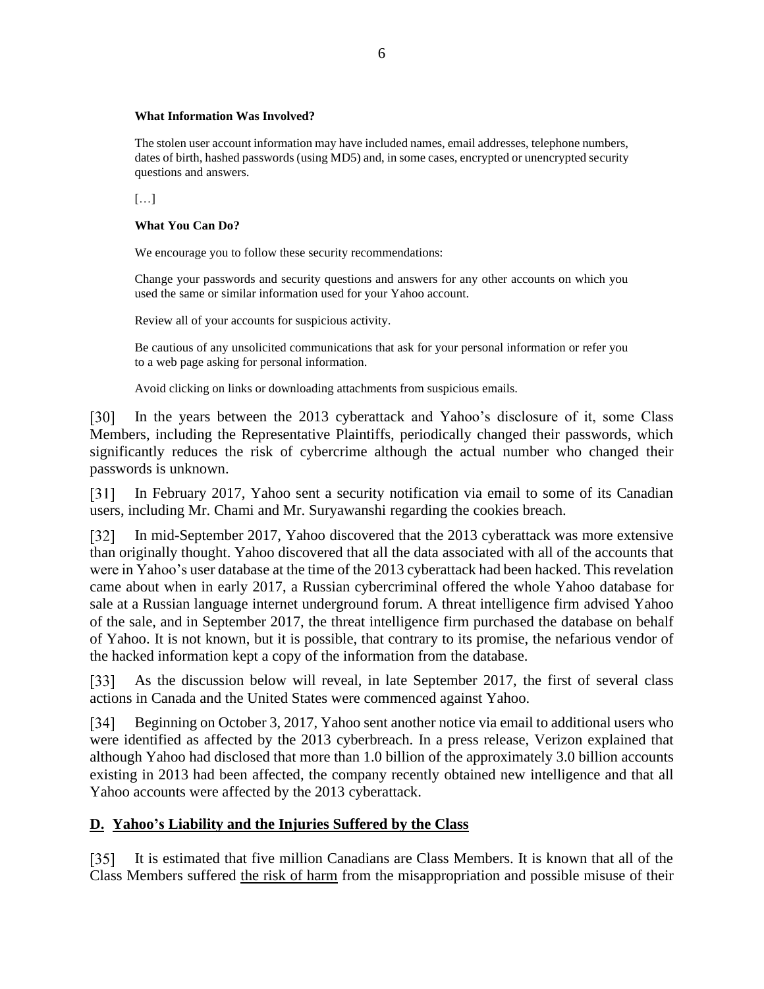#### **What Information Was Involved?**

The stolen user account information may have included names, email addresses, telephone numbers, dates of birth, hashed passwords (using MD5) and, in some cases, encrypted or unencrypted security questions and answers.

[…]

#### **What You Can Do?**

We encourage you to follow these security recommendations:

Change your passwords and security questions and answers for any other accounts on which you used the same or similar information used for your Yahoo account.

Review all of your accounts for suspicious activity.

Be cautious of any unsolicited communications that ask for your personal information or refer you to a web page asking for personal information.

Avoid clicking on links or downloading attachments from suspicious emails.

In the years between the 2013 cyberattack and Yahoo's disclosure of it, some Class [30] Members, including the Representative Plaintiffs, periodically changed their passwords, which significantly reduces the risk of cybercrime although the actual number who changed their passwords is unknown.

In February 2017, Yahoo sent a security notification via email to some of its Canadian  $\lceil 31 \rceil$ users, including Mr. Chami and Mr. Suryawanshi regarding the cookies breach.

In mid-September 2017, Yahoo discovered that the 2013 cyberattack was more extensive  $\lceil 32 \rceil$ than originally thought. Yahoo discovered that all the data associated with all of the accounts that were in Yahoo's user database at the time of the 2013 cyberattack had been hacked. This revelation came about when in early 2017, a Russian cybercriminal offered the whole Yahoo database for sale at a Russian language internet underground forum. A threat intelligence firm advised Yahoo of the sale, and in September 2017, the threat intelligence firm purchased the database on behalf of Yahoo. It is not known, but it is possible, that contrary to its promise, the nefarious vendor of the hacked information kept a copy of the information from the database.

As the discussion below will reveal, in late September 2017, the first of several class [33] actions in Canada and the United States were commenced against Yahoo.

Beginning on October 3, 2017, Yahoo sent another notice via email to additional users who  $\lceil 34 \rceil$ were identified as affected by the 2013 cyberbreach. In a press release, Verizon explained that although Yahoo had disclosed that more than 1.0 billion of the approximately 3.0 billion accounts existing in 2013 had been affected, the company recently obtained new intelligence and that all Yahoo accounts were affected by the 2013 cyberattack.

### <span id="page-5-0"></span>**D. Yahoo's Liability and the Injuries Suffered by the Class**

It is estimated that five million Canadians are Class Members. It is known that all of the  $\lceil 35 \rceil$ Class Members suffered the risk of harm from the misappropriation and possible misuse of their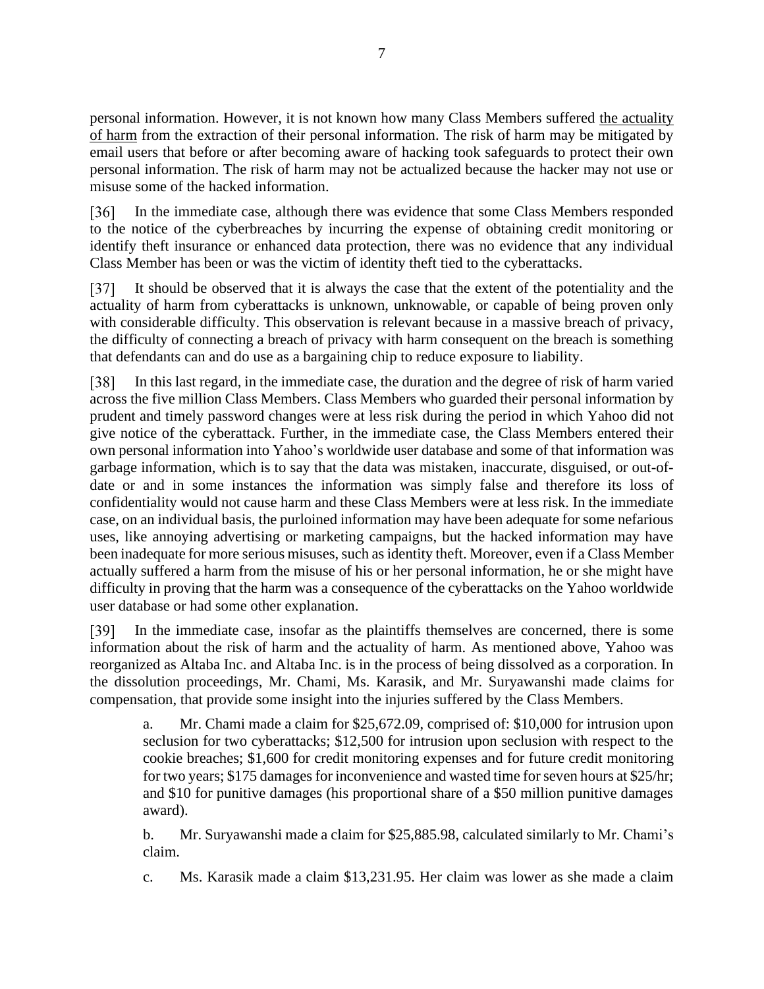personal information. However, it is not known how many Class Members suffered the actuality of harm from the extraction of their personal information. The risk of harm may be mitigated by email users that before or after becoming aware of hacking took safeguards to protect their own personal information. The risk of harm may not be actualized because the hacker may not use or misuse some of the hacked information.

[36] In the immediate case, although there was evidence that some Class Members responded to the notice of the cyberbreaches by incurring the expense of obtaining credit monitoring or identify theft insurance or enhanced data protection, there was no evidence that any individual Class Member has been or was the victim of identity theft tied to the cyberattacks.

It should be observed that it is always the case that the extent of the potentiality and the  $\left\lceil 37\right\rceil$ actuality of harm from cyberattacks is unknown, unknowable, or capable of being proven only with considerable difficulty. This observation is relevant because in a massive breach of privacy, the difficulty of connecting a breach of privacy with harm consequent on the breach is something that defendants can and do use as a bargaining chip to reduce exposure to liability.

 $\lceil 38 \rceil$ In this last regard, in the immediate case, the duration and the degree of risk of harm varied across the five million Class Members. Class Members who guarded their personal information by prudent and timely password changes were at less risk during the period in which Yahoo did not give notice of the cyberattack. Further, in the immediate case, the Class Members entered their own personal information into Yahoo's worldwide user database and some of that information was garbage information, which is to say that the data was mistaken, inaccurate, disguised, or out-ofdate or and in some instances the information was simply false and therefore its loss of confidentiality would not cause harm and these Class Members were at less risk. In the immediate case, on an individual basis, the purloined information may have been adequate for some nefarious uses, like annoying advertising or marketing campaigns, but the hacked information may have been inadequate for more serious misuses, such as identity theft. Moreover, even if a Class Member actually suffered a harm from the misuse of his or her personal information, he or she might have difficulty in proving that the harm was a consequence of the cyberattacks on the Yahoo worldwide user database or had some other explanation.

 $\lceil 39 \rceil$ In the immediate case, insofar as the plaintiffs themselves are concerned, there is some information about the risk of harm and the actuality of harm. As mentioned above, Yahoo was reorganized as Altaba Inc. and Altaba Inc. is in the process of being dissolved as a corporation. In the dissolution proceedings, Mr. Chami, Ms. Karasik, and Mr. Suryawanshi made claims for compensation, that provide some insight into the injuries suffered by the Class Members.

a. Mr. Chami made a claim for \$25,672.09, comprised of: \$10,000 for intrusion upon seclusion for two cyberattacks; \$12,500 for intrusion upon seclusion with respect to the cookie breaches; \$1,600 for credit monitoring expenses and for future credit monitoring for two years; \$175 damages for inconvenience and wasted time for seven hours at \$25/hr; and \$10 for punitive damages (his proportional share of a \$50 million punitive damages award).

b. Mr. Suryawanshi made a claim for \$25,885.98, calculated similarly to Mr. Chami's claim.

c. Ms. Karasik made a claim \$13,231.95. Her claim was lower as she made a claim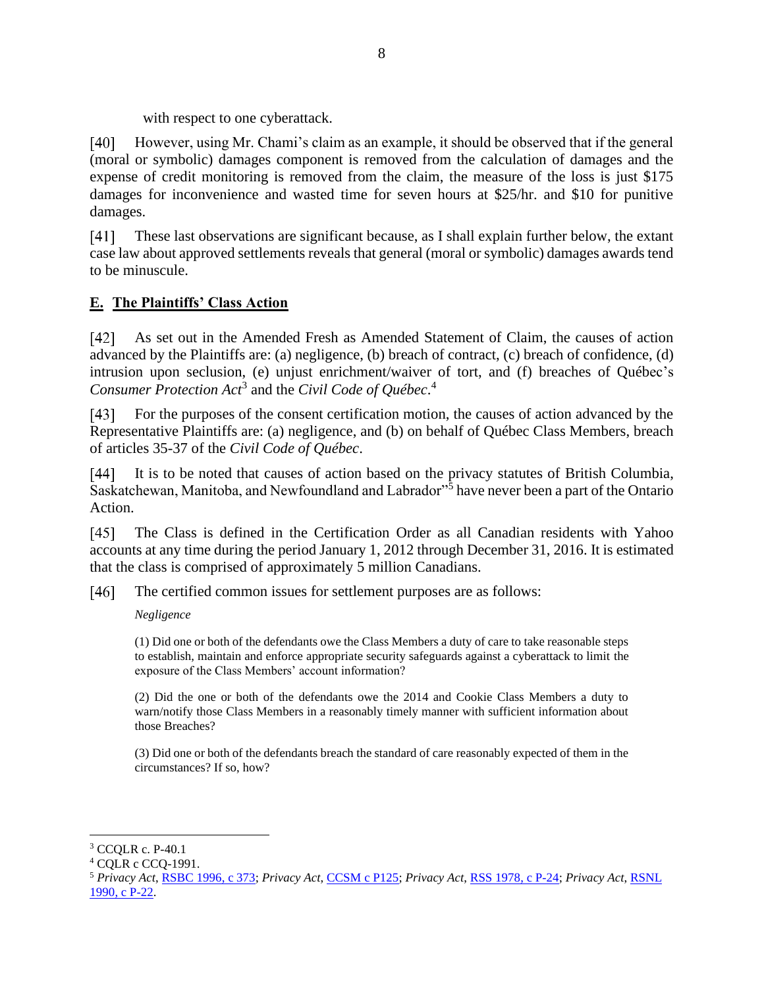with respect to one cyberattack.

 $[40]$ However, using Mr. Chami's claim as an example, it should be observed that if the general (moral or symbolic) damages component is removed from the calculation of damages and the expense of credit monitoring is removed from the claim, the measure of the loss is just \$175 damages for inconvenience and wasted time for seven hours at \$25/hr. and \$10 for punitive damages.

These last observations are significant because, as I shall explain further below, the extant  $[41]$ case law about approved settlements reveals that general (moral or symbolic) damages awards tend to be minuscule.

### <span id="page-7-0"></span>**E. The Plaintiffs' Class Action**

 $\lceil 42 \rceil$ As set out in the Amended Fresh as Amended Statement of Claim, the causes of action advanced by the Plaintiffs are: (a) negligence, (b) breach of contract, (c) breach of confidence, (d) intrusion upon seclusion, (e) unjust enrichment/waiver of tort, and (f) breaches of Québec's *Consumer Protection Act*<sup>3</sup> and the *Civil Code of Québec*. 4

For the purposes of the consent certification motion, the causes of action advanced by the  $[43]$ Representative Plaintiffs are: (a) negligence, and (b) on behalf of Québec Class Members, breach of articles 35-37 of the *Civil Code of Québec*.

It is to be noted that causes of action based on the privacy statutes of British Columbia,  $\lceil 44 \rceil$ Saskatchewan, Manitoba, and Newfoundland and Labrador"<sup>5</sup> have never been a part of the Ontario Action.

 $[45]$ The Class is defined in the Certification Order as all Canadian residents with Yahoo accounts at any time during the period January 1, 2012 through December 31, 2016. It is estimated that the class is comprised of approximately 5 million Canadians.

The certified common issues for settlement purposes are as follows:  $[46]$ 

*Negligence* 

(1) Did one or both of the defendants owe the Class Members a duty of care to take reasonable steps to establish, maintain and enforce appropriate security safeguards against a cyberattack to limit the exposure of the Class Members' account information?

(2) Did the one or both of the defendants owe the 2014 and Cookie Class Members a duty to warn/notify those Class Members in a reasonably timely manner with sufficient information about those Breaches?

(3) Did one or both of the defendants breach the standard of care reasonably expected of them in the circumstances? If so, how?

<sup>&</sup>lt;sup>3</sup> CCOLR c. P-40.1

<sup>4</sup> CQLR c CCQ-1991.

<sup>5</sup> *Privacy Act*[, RSBC 1996, c 373;](http://canlii.ca/t/jj79) *Privacy Act*, [CCSM c P125;](http://canlii.ca/t/k9qc) *Privacy Act*, [RSS 1978, c P-24;](http://canlii.ca/t/x51) *Privacy Act*, [RSNL](http://canlii.ca/t/jxsm)  [1990, c P-22.](http://canlii.ca/t/jxsm)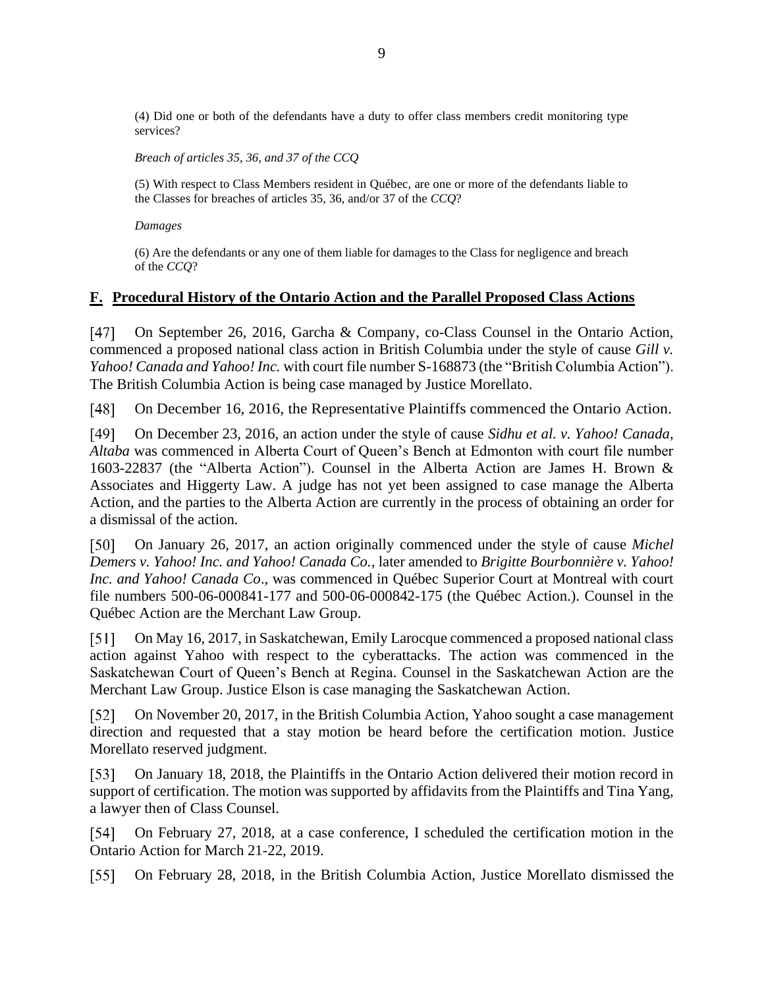(4) Did one or both of the defendants have a duty to offer class members credit monitoring type services?

*Breach of articles 35, 36, and 37 of the CCQ*

(5) With respect to Class Members resident in Québec, are one or more of the defendants liable to the Classes for breaches of articles 35, 36, and/or 37 of the *CCQ*?

*Damages*

(6) Are the defendants or any one of them liable for damages to the Class for negligence and breach of the *CCQ*?

#### <span id="page-8-0"></span>**F. Procedural History of the Ontario Action and the Parallel Proposed Class Actions**

[47] On September 26, 2016, Garcha & Company, co-Class Counsel in the Ontario Action, commenced a proposed national class action in British Columbia under the style of cause *Gill v. Yahoo! Canada and Yahoo! Inc.* with court file number S-168873 (the "British Columbia Action"). The British Columbia Action is being case managed by Justice Morellato.

On December 16, 2016, the Representative Plaintiffs commenced the Ontario Action.  $[48]$ 

[49] On December 23, 2016, an action under the style of cause *Sidhu et al. v. Yahoo! Canada, Altaba* was commenced in Alberta Court of Queen's Bench at Edmonton with court file number 1603-22837 (the "Alberta Action"). Counsel in the Alberta Action are James H. Brown & Associates and Higgerty Law. A judge has not yet been assigned to case manage the Alberta Action, and the parties to the Alberta Action are currently in the process of obtaining an order for a dismissal of the action.

On January 26, 2017, an action originally commenced under the style of cause *Michel*  [50] *Demers v. Yahoo! Inc. and Yahoo! Canada Co.,* later amended to *Brigitte Bourbonnière v. Yahoo! Inc. and Yahoo! Canada Co*., was commenced in Québec Superior Court at Montreal with court file numbers 500-06-000841-177 and 500-06-000842-175 (the Québec Action.). Counsel in the Québec Action are the Merchant Law Group.

 $[51]$ On May 16, 2017, in Saskatchewan, Emily Larocque commenced a proposed national class action against Yahoo with respect to the cyberattacks. The action was commenced in the Saskatchewan Court of Queen's Bench at Regina. Counsel in the Saskatchewan Action are the Merchant Law Group. Justice Elson is case managing the Saskatchewan Action.

 $\lceil 52 \rceil$ On November 20, 2017, in the British Columbia Action, Yahoo sought a case management direction and requested that a stay motion be heard before the certification motion. Justice Morellato reserved judgment.

On January 18, 2018, the Plaintiffs in the Ontario Action delivered their motion record in [53] support of certification. The motion was supported by affidavits from the Plaintiffs and Tina Yang, a lawyer then of Class Counsel.

On February 27, 2018, at a case conference, I scheduled the certification motion in the 1541 Ontario Action for March 21-22, 2019.

 $\lceil 55 \rceil$ On February 28, 2018, in the British Columbia Action, Justice Morellato dismissed the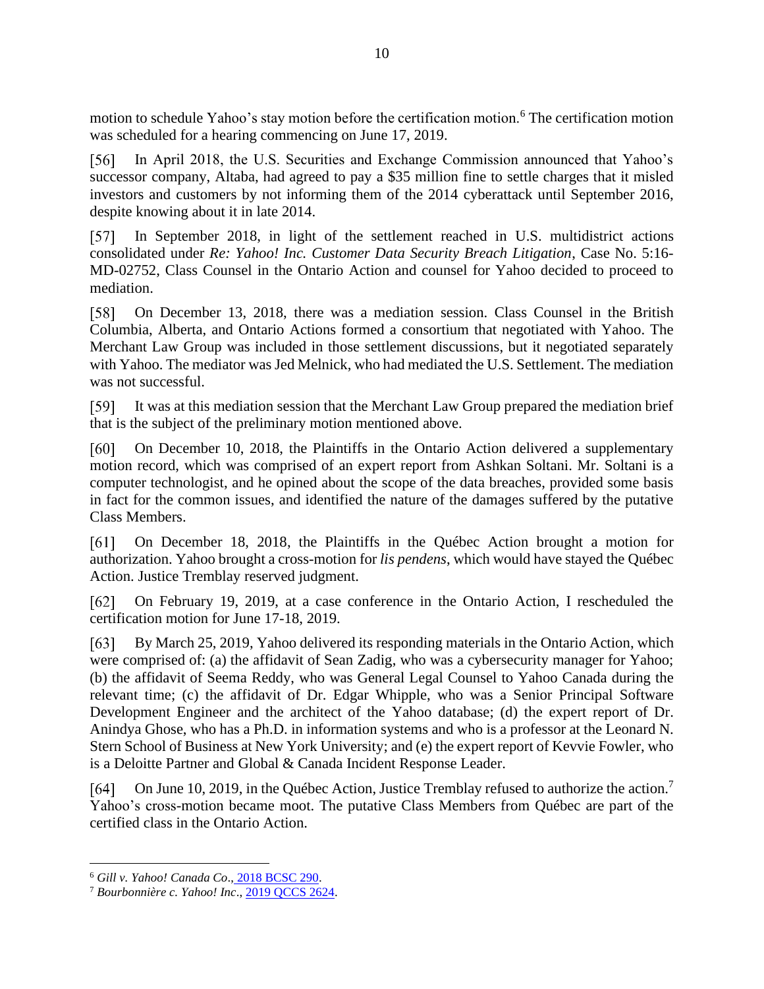motion to schedule Yahoo's stay motion before the certification motion.<sup>6</sup> The certification motion was scheduled for a hearing commencing on June 17, 2019.

 $[56]$ In April 2018, the U.S. Securities and Exchange Commission announced that Yahoo's successor company, Altaba, had agreed to pay a \$35 million fine to settle charges that it misled investors and customers by not informing them of the 2014 cyberattack until September 2016, despite knowing about it in late 2014.

In September 2018, in light of the settlement reached in U.S. multidistrict actions  $\sqrt{571}$ consolidated under *Re: Yahoo! Inc. Customer Data Security Breach Litigation*, Case No. 5:16- MD-02752, Class Counsel in the Ontario Action and counsel for Yahoo decided to proceed to mediation.

[58] On December 13, 2018, there was a mediation session. Class Counsel in the British Columbia, Alberta, and Ontario Actions formed a consortium that negotiated with Yahoo. The Merchant Law Group was included in those settlement discussions, but it negotiated separately with Yahoo. The mediator was Jed Melnick, who had mediated the U.S. Settlement. The mediation was not successful.

[59] It was at this mediation session that the Merchant Law Group prepared the mediation brief that is the subject of the preliminary motion mentioned above.

 $[60]$ On December 10, 2018, the Plaintiffs in the Ontario Action delivered a supplementary motion record, which was comprised of an expert report from Ashkan Soltani. Mr. Soltani is a computer technologist, and he opined about the scope of the data breaches, provided some basis in fact for the common issues, and identified the nature of the damages suffered by the putative Class Members.

[61] On December 18, 2018, the Plaintiffs in the Québec Action brought a motion for authorization. Yahoo brought a cross-motion for *lis pendens*, which would have stayed the Québec Action. Justice Tremblay reserved judgment.

 $[62]$ On February 19, 2019, at a case conference in the Ontario Action, I rescheduled the certification motion for June 17-18, 2019.

 $[63]$ By March 25, 2019, Yahoo delivered its responding materials in the Ontario Action, which were comprised of: (a) the affidavit of Sean Zadig, who was a cybersecurity manager for Yahoo; (b) the affidavit of Seema Reddy, who was General Legal Counsel to Yahoo Canada during the relevant time; (c) the affidavit of Dr. Edgar Whipple, who was a Senior Principal Software Development Engineer and the architect of the Yahoo database; (d) the expert report of Dr. Anindya Ghose, who has a Ph.D. in information systems and who is a professor at the Leonard N. Stern School of Business at New York University; and (e) the expert report of Kevvie Fowler, who is a Deloitte Partner and Global & Canada Incident Response Leader.

 $[64]$ On June 10, 2019, in the Québec Action, Justice Tremblay refused to authorize the action.<sup>7</sup> Yahoo's cross-motion became moot. The putative Class Members from Québec are part of the certified class in the Ontario Action.

<sup>6</sup> *Gill v. Yahoo! Canada Co*., [2018 BCSC 290.](http://canlii.ca/t/hqpmx)

<sup>7</sup> *Bourbonnière c. Yahoo! Inc*., [2019 QCCS 2624.](http://canlii.ca/t/j1b9g)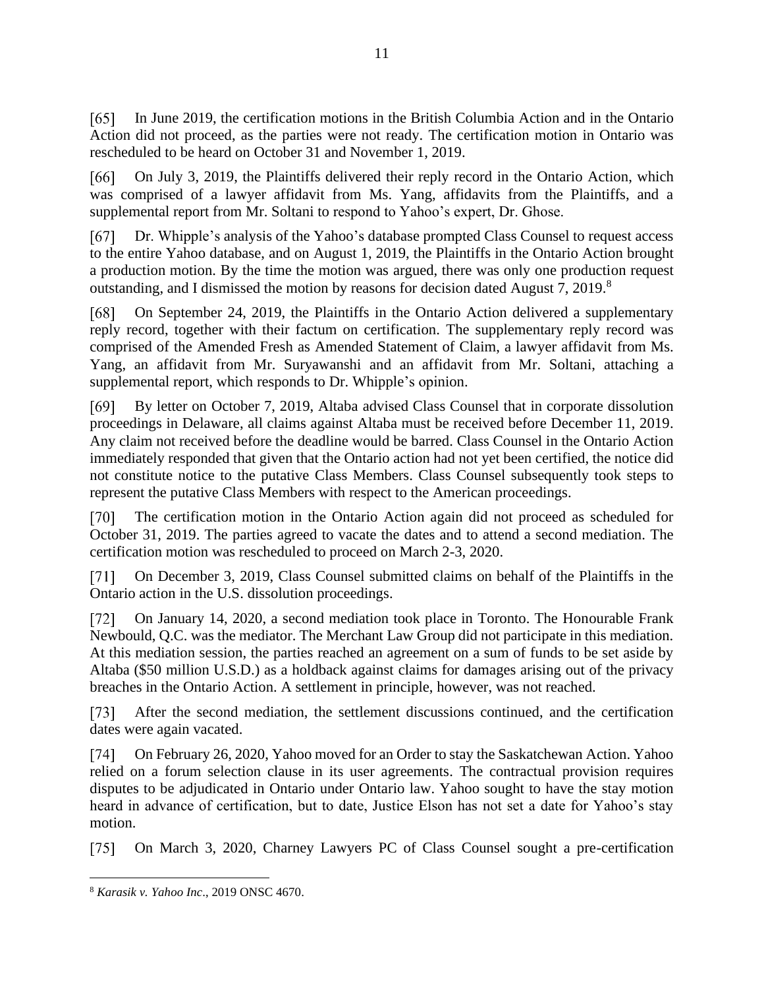[65] In June 2019, the certification motions in the British Columbia Action and in the Ontario Action did not proceed, as the parties were not ready. The certification motion in Ontario was rescheduled to be heard on October 31 and November 1, 2019.

[66] On July 3, 2019, the Plaintiffs delivered their reply record in the Ontario Action, which was comprised of a lawyer affidavit from Ms. Yang, affidavits from the Plaintiffs, and a supplemental report from Mr. Soltani to respond to Yahoo's expert, Dr. Ghose.

Dr. Whipple's analysis of the Yahoo's database prompted Class Counsel to request access  $[67]$ to the entire Yahoo database, and on August 1, 2019, the Plaintiffs in the Ontario Action brought a production motion. By the time the motion was argued, there was only one production request outstanding, and I dismissed the motion by reasons for decision dated August 7, 2019.<sup>8</sup>

On September 24, 2019, the Plaintiffs in the Ontario Action delivered a supplementary [68] reply record, together with their factum on certification. The supplementary reply record was comprised of the Amended Fresh as Amended Statement of Claim, a lawyer affidavit from Ms. Yang, an affidavit from Mr. Suryawanshi and an affidavit from Mr. Soltani, attaching a supplemental report, which responds to Dr. Whipple's opinion.

[69] By letter on October 7, 2019, Altaba advised Class Counsel that in corporate dissolution proceedings in Delaware, all claims against Altaba must be received before December 11, 2019. Any claim not received before the deadline would be barred. Class Counsel in the Ontario Action immediately responded that given that the Ontario action had not yet been certified, the notice did not constitute notice to the putative Class Members. Class Counsel subsequently took steps to represent the putative Class Members with respect to the American proceedings.

The certification motion in the Ontario Action again did not proceed as scheduled for [70] October 31, 2019. The parties agreed to vacate the dates and to attend a second mediation. The certification motion was rescheduled to proceed on March 2-3, 2020.

 $[71]$ On December 3, 2019, Class Counsel submitted claims on behalf of the Plaintiffs in the Ontario action in the U.S. dissolution proceedings.

On January 14, 2020, a second mediation took place in Toronto. The Honourable Frank Newbould, Q.C. was the mediator. The Merchant Law Group did not participate in this mediation. At this mediation session, the parties reached an agreement on a sum of funds to be set aside by Altaba (\$50 million U.S.D.) as a holdback against claims for damages arising out of the privacy breaches in the Ontario Action. A settlement in principle, however, was not reached.

 $[73]$ After the second mediation, the settlement discussions continued, and the certification dates were again vacated.

 $\lceil 74 \rceil$ On February 26, 2020, Yahoo moved for an Order to stay the Saskatchewan Action. Yahoo relied on a forum selection clause in its user agreements. The contractual provision requires disputes to be adjudicated in Ontario under Ontario law. Yahoo sought to have the stay motion heard in advance of certification, but to date, Justice Elson has not set a date for Yahoo's stay motion.

On March 3, 2020, Charney Lawyers PC of Class Counsel sought a pre-certification  $\lceil 75 \rceil$ 

<sup>8</sup> *Karasik v. Yahoo Inc*., 2019 ONSC 4670.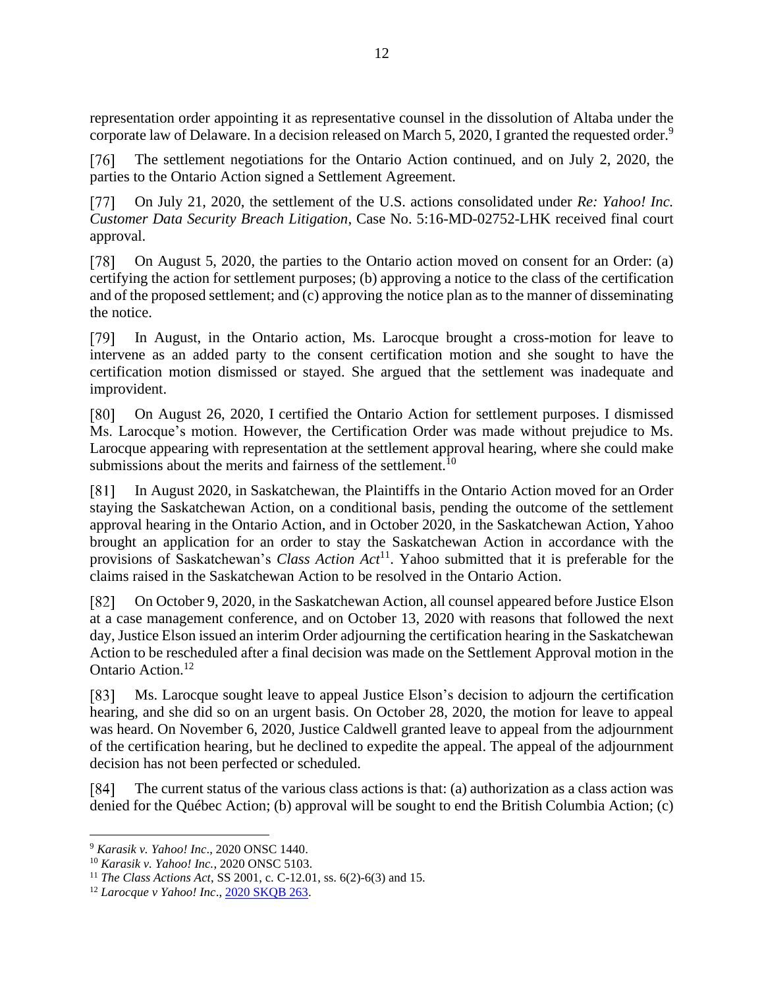representation order appointing it as representative counsel in the dissolution of Altaba under the corporate law of Delaware. In a decision released on March 5, 2020, I granted the requested order.<sup>9</sup>

The settlement negotiations for the Ontario Action continued, and on July 2, 2020, the  $\lceil 76 \rceil$ parties to the Ontario Action signed a Settlement Agreement.

 $[77]$ On July 21, 2020, the settlement of the U.S. actions consolidated under *Re: Yahoo! Inc. Customer Data Security Breach Litigation*, Case No. 5:16-MD-02752-LHK received final court approval.

 $[78]$ On August 5, 2020, the parties to the Ontario action moved on consent for an Order: (a) certifying the action for settlement purposes; (b) approving a notice to the class of the certification and of the proposed settlement; and (c) approving the notice plan as to the manner of disseminating the notice.

 $[79]$ In August, in the Ontario action, Ms. Larocque brought a cross-motion for leave to intervene as an added party to the consent certification motion and she sought to have the certification motion dismissed or stayed. She argued that the settlement was inadequate and improvident.

On August 26, 2020, I certified the Ontario Action for settlement purposes. I dismissed [80] Ms. Larocque's motion. However, the Certification Order was made without prejudice to Ms. Larocque appearing with representation at the settlement approval hearing, where she could make submissions about the merits and fairness of the settlement.<sup>10</sup>

T811 In August 2020, in Saskatchewan, the Plaintiffs in the Ontario Action moved for an Order staying the Saskatchewan Action, on a conditional basis, pending the outcome of the settlement approval hearing in the Ontario Action, and in October 2020, in the Saskatchewan Action, Yahoo brought an application for an order to stay the Saskatchewan Action in accordance with the provisions of Saskatchewan's *Class Action Act*<sup>11</sup>. Yahoo submitted that it is preferable for the claims raised in the Saskatchewan Action to be resolved in the Ontario Action.

On October 9, 2020, in the Saskatchewan Action, all counsel appeared before Justice Elson [82] at a case management conference, and on October 13, 2020 with reasons that followed the next day, Justice Elson issued an interim Order adjourning the certification hearing in the Saskatchewan Action to be rescheduled after a final decision was made on the Settlement Approval motion in the Ontario Action.<sup>12</sup>

Ms. Larocque sought leave to appeal Justice Elson's decision to adjourn the certification  $\lceil 83 \rceil$ hearing, and she did so on an urgent basis. On October 28, 2020, the motion for leave to appeal was heard. On November 6, 2020, Justice Caldwell granted leave to appeal from the adjournment of the certification hearing, but he declined to expedite the appeal. The appeal of the adjournment decision has not been perfected or scheduled.

[84] The current status of the various class actions is that: (a) authorization as a class action was denied for the Québec Action; (b) approval will be sought to end the British Columbia Action; (c)

<sup>9</sup> *Karasik v. Yahoo! Inc*., 2020 ONSC 1440.

<sup>10</sup> *Karasik v. Yahoo! Inc.*, 2020 ONSC 5103.

<sup>11</sup> *The Class Actions Act*, SS 2001, c. C-12.01, ss. 6(2)-6(3) and 15.

<sup>12</sup> *Larocque v Yahoo! Inc*.[, 2020 SKQB 263.](http://canlii.ca/t/jbclm)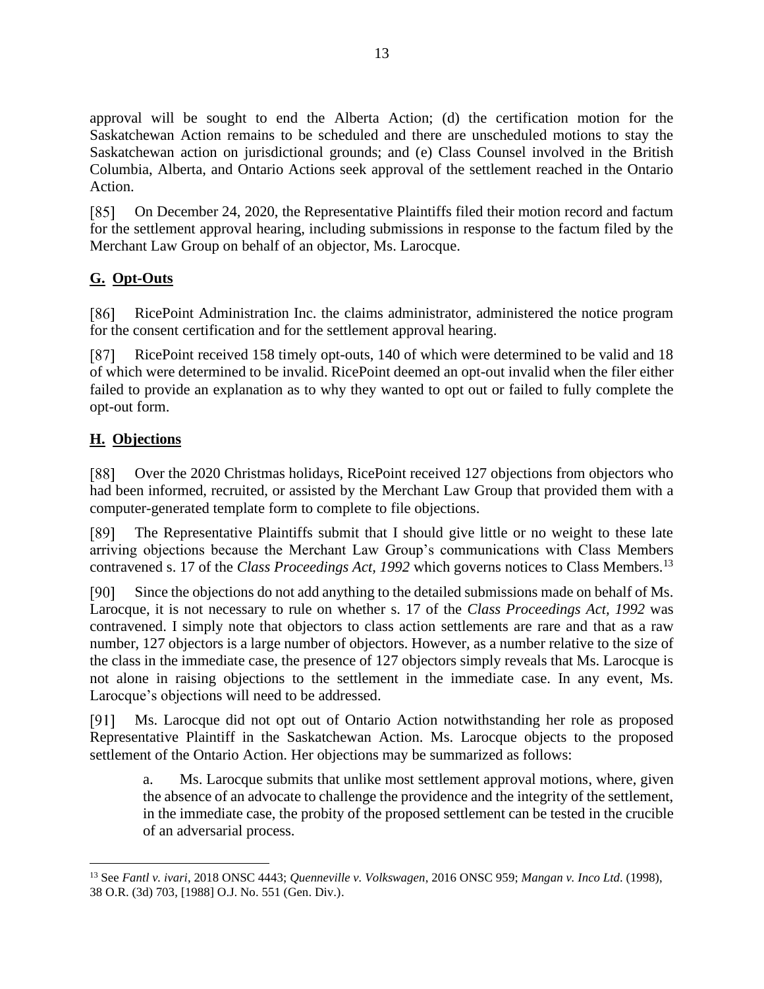approval will be sought to end the Alberta Action; (d) the certification motion for the Saskatchewan Action remains to be scheduled and there are unscheduled motions to stay the Saskatchewan action on jurisdictional grounds; and (e) Class Counsel involved in the British Columbia, Alberta, and Ontario Actions seek approval of the settlement reached in the Ontario Action.

 $\lceil 85 \rceil$ On December 24, 2020, the Representative Plaintiffs filed their motion record and factum for the settlement approval hearing, including submissions in response to the factum filed by the Merchant Law Group on behalf of an objector, Ms. Larocque.

# <span id="page-12-0"></span>**G. Opt-Outs**

RicePoint Administration Inc. the claims administrator, administered the notice program [86] for the consent certification and for the settlement approval hearing.

 $[87]$ RicePoint received 158 timely opt-outs, 140 of which were determined to be valid and 18 of which were determined to be invalid. RicePoint deemed an opt-out invalid when the filer either failed to provide an explanation as to why they wanted to opt out or failed to fully complete the opt-out form.

# <span id="page-12-1"></span>**H. Objections**

Over the 2020 Christmas holidays, RicePoint received 127 objections from objectors who  $[88]$ had been informed, recruited, or assisted by the Merchant Law Group that provided them with a computer-generated template form to complete to file objections.

[89] The Representative Plaintiffs submit that I should give little or no weight to these late arriving objections because the Merchant Law Group's communications with Class Members contravened s. 17 of the *Class Proceedings Act, 1992* which governs notices to Class Members.<sup>13</sup>

Since the objections do not add anything to the detailed submissions made on behalf of Ms.  $[90]$ Larocque, it is not necessary to rule on whether s. 17 of the *Class Proceedings Act, 1992* was contravened. I simply note that objectors to class action settlements are rare and that as a raw number, 127 objectors is a large number of objectors. However, as a number relative to the size of the class in the immediate case, the presence of 127 objectors simply reveals that Ms. Larocque is not alone in raising objections to the settlement in the immediate case. In any event, Ms. Larocque's objections will need to be addressed.

 $[91]$ Ms. Larocque did not opt out of Ontario Action notwithstanding her role as proposed Representative Plaintiff in the Saskatchewan Action. Ms. Larocque objects to the proposed settlement of the Ontario Action. Her objections may be summarized as follows:

a. Ms. Larocque submits that unlike most settlement approval motions, where, given the absence of an advocate to challenge the providence and the integrity of the settlement, in the immediate case, the probity of the proposed settlement can be tested in the crucible of an adversarial process.

<sup>13</sup> See *Fantl v. ivari*, 2018 ONSC 4443; *Quenneville v. Volkswagen*, 2016 ONSC 959; *Mangan v. Inco Ltd*. (1998), 38 O.R. (3d) 703, [1988] O.J. No. 551 (Gen. Div.).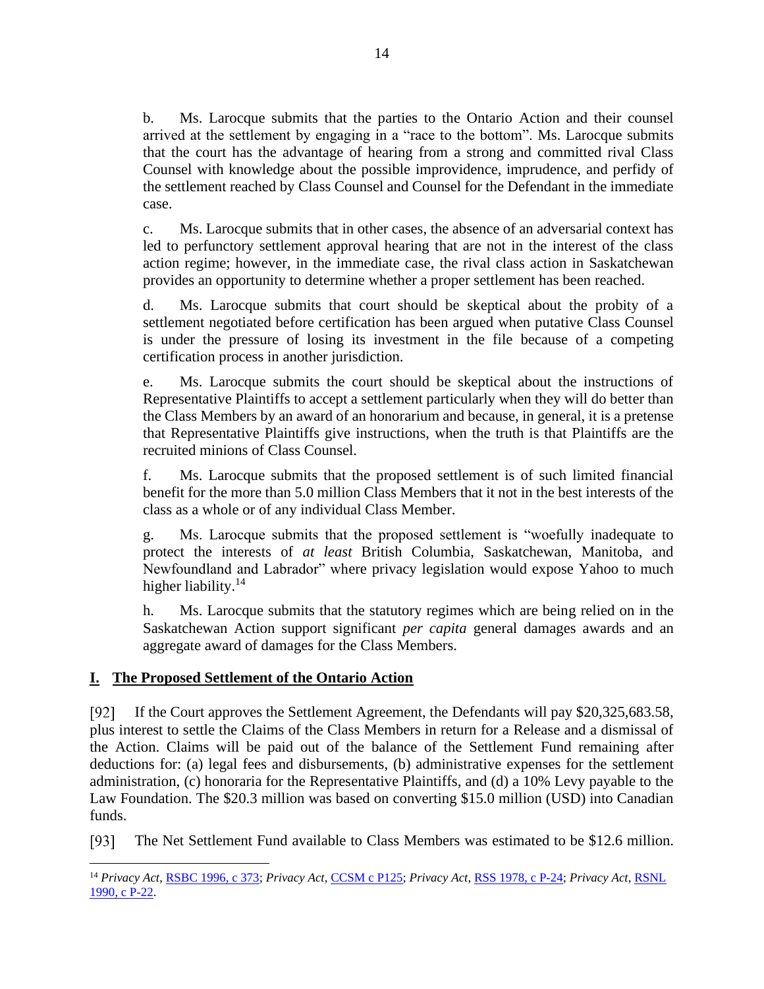b. Ms. Larocque submits that the parties to the Ontario Action and their counsel arrived at the settlement by engaging in a "race to the bottom". Ms. Larocque submits that the court has the advantage of hearing from a strong and committed rival Class Counsel with knowledge about the possible improvidence, imprudence, and perfidy of the settlement reached by Class Counsel and Counsel for the Defendant in the immediate case.

c. Ms. Larocque submits that in other cases, the absence of an adversarial context has led to perfunctory settlement approval hearing that are not in the interest of the class action regime; however, in the immediate case, the rival class action in Saskatchewan provides an opportunity to determine whether a proper settlement has been reached.

d. Ms. Larocque submits that court should be skeptical about the probity of a settlement negotiated before certification has been argued when putative Class Counsel is under the pressure of losing its investment in the file because of a competing certification process in another jurisdiction.

e. Ms. Larocque submits the court should be skeptical about the instructions of Representative Plaintiffs to accept a settlement particularly when they will do better than the Class Members by an award of an honorarium and because, in general, it is a pretense that Representative Plaintiffs give instructions, when the truth is that Plaintiffs are the recruited minions of Class Counsel.

f. Ms. Larocque submits that the proposed settlement is of such limited financial benefit for the more than 5.0 million Class Members that it not in the best interests of the class as a whole or of any individual Class Member.

g. Ms. Larocque submits that the proposed settlement is "woefully inadequate to protect the interests of *at least* British Columbia, Saskatchewan, Manitoba, and Newfoundland and Labrador" where privacy legislation would expose Yahoo to much higher liability.<sup>14</sup>

h. Ms. Larocque submits that the statutory regimes which are being relied on in the Saskatchewan Action support significant *per capita* general damages awards and an aggregate award of damages for the Class Members.

### <span id="page-13-0"></span>**I. The Proposed Settlement of the Ontario Action**

 $[92]$ If the Court approves the Settlement Agreement, the Defendants will pay \$20,325,683.58, plus interest to settle the Claims of the Class Members in return for a Release and a dismissal of the Action. Claims will be paid out of the balance of the Settlement Fund remaining after deductions for: (a) legal fees and disbursements, (b) administrative expenses for the settlement administration, (c) honoraria for the Representative Plaintiffs, and (d) a 10% Levy payable to the Law Foundation. The \$20.3 million was based on converting \$15.0 million (USD) into Canadian funds.

The Net Settlement Fund available to Class Members was estimated to be \$12.6 million.  $[93]$ 

<sup>14</sup> *Privacy Act*, [RSBC 1996, c 373;](http://canlii.ca/t/jj79) *Privacy Act*, [CCSM c P125;](http://canlii.ca/t/k9qc) *Privacy Act*, [RSS 1978, c P-24;](http://canlii.ca/t/x51) *Privacy Act*[, RSNL](http://canlii.ca/t/jxsm)  [1990, c P-22.](http://canlii.ca/t/jxsm)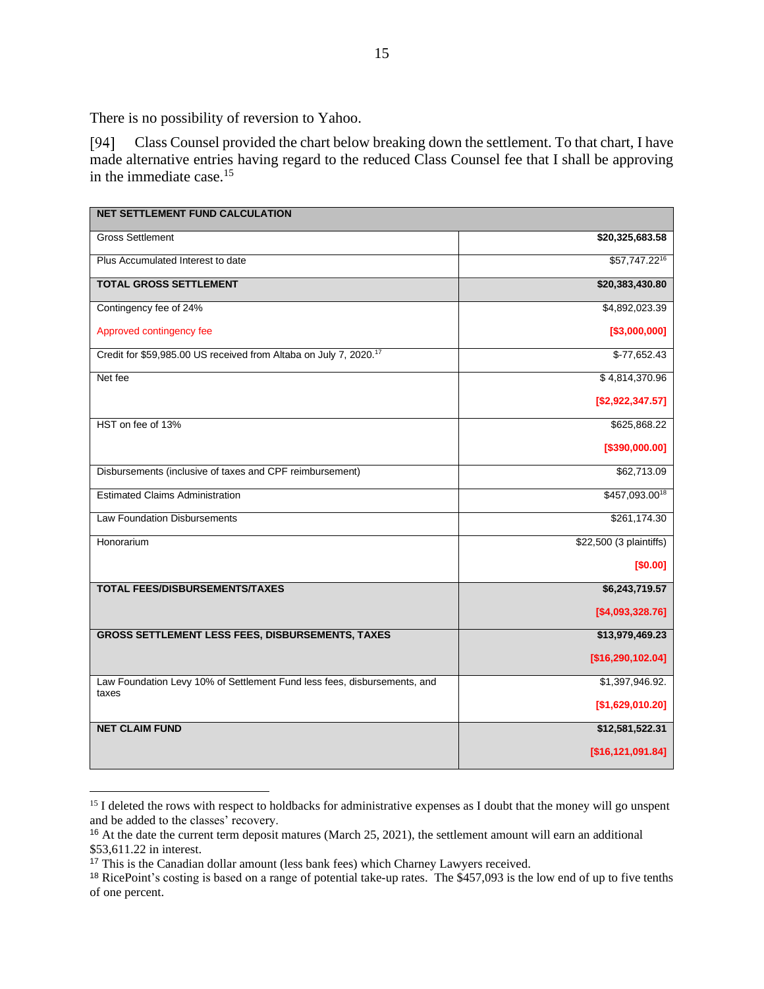There is no possibility of reversion to Yahoo.

 $[94]$ Class Counsel provided the chart below breaking down the settlement. To that chart, I have made alternative entries having regard to the reduced Class Counsel fee that I shall be approving in the immediate case. 15

| <b>NET SETTLEMENT FUND CALCULATION</b>                                            |                         |
|-----------------------------------------------------------------------------------|-------------------------|
| <b>Gross Settlement</b>                                                           | \$20,325,683.58         |
| Plus Accumulated Interest to date                                                 | \$57,747.2216           |
| <b>TOTAL GROSS SETTLEMENT</b>                                                     | \$20,383,430.80         |
| Contingency fee of 24%                                                            | \$4,892,023.39          |
| Approved contingency fee                                                          | [\$3,000,000]           |
| Credit for \$59,985.00 US received from Altaba on July 7, 2020. <sup>17</sup>     | $$-77,652.43$           |
| Net fee                                                                           | \$4,814,370.96          |
|                                                                                   | [\$2,922,347.57]        |
| HST on fee of 13%                                                                 | \$625,868.22            |
|                                                                                   | [\$390,000.00]          |
| Disbursements (inclusive of taxes and CPF reimbursement)                          | \$62,713.09             |
| <b>Estimated Claims Administration</b>                                            | \$457,093.0018          |
| <b>Law Foundation Disbursements</b>                                               | \$261,174.30            |
| Honorarium                                                                        | \$22,500 (3 plaintiffs) |
|                                                                                   | [\$0.00]                |
| <b>TOTAL FEES/DISBURSEMENTS/TAXES</b>                                             | \$6,243,719.57          |
|                                                                                   | [\$4,093,328.76]        |
| <b>GROSS SETTLEMENT LESS FEES, DISBURSEMENTS, TAXES</b>                           | \$13,979,469.23         |
|                                                                                   | [\$16,290,102.04]       |
| Law Foundation Levy 10% of Settlement Fund less fees, disbursements, and<br>taxes | \$1,397,946.92.         |
|                                                                                   | [\$1,629,010.20]        |
| <b>NET CLAIM FUND</b>                                                             | \$12,581,522.31         |
|                                                                                   | [\$16,121,091.84]       |

<sup>&</sup>lt;sup>15</sup> I deleted the rows with respect to holdbacks for administrative expenses as I doubt that the money will go unspent and be added to the classes' recovery.

<sup>16</sup> At the date the current term deposit matures (March 25, 2021), the settlement amount will earn an additional \$53,611.22 in interest.

<sup>17</sup> This is the Canadian dollar amount (less bank fees) which Charney Lawyers received.

<sup>18</sup> RicePoint's costing is based on a range of potential take-up rates. The \$457,093 is the low end of up to five tenths of one percent.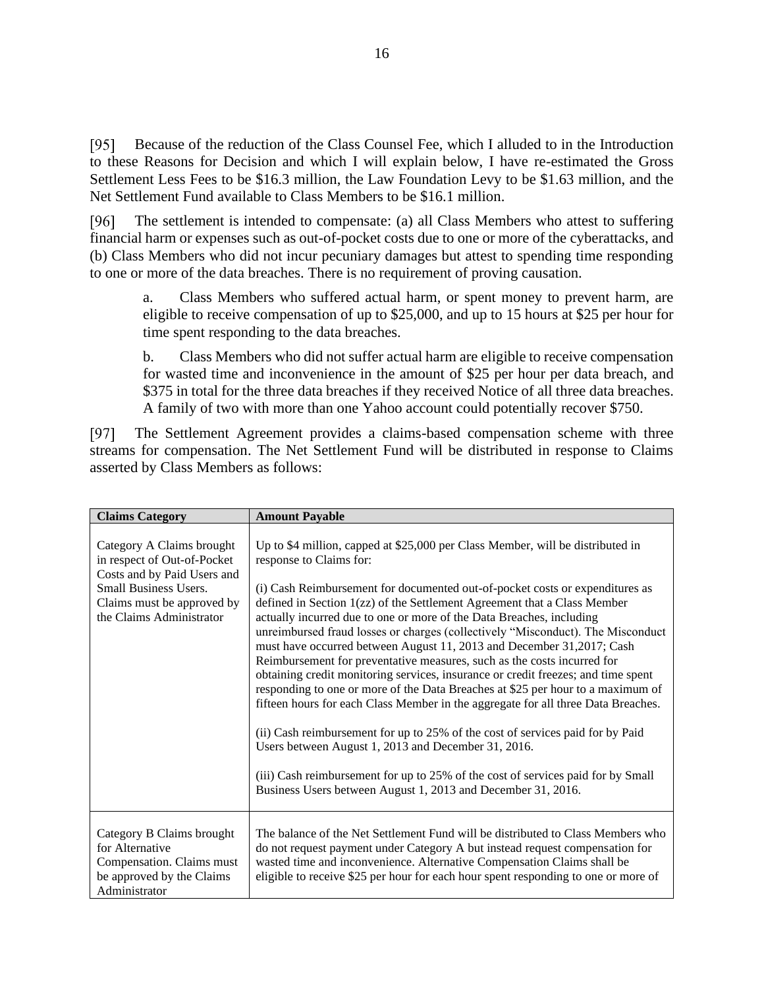Because of the reduction of the Class Counsel Fee, which I alluded to in the Introduction  $[95]$ to these Reasons for Decision and which I will explain below, I have re-estimated the Gross Settlement Less Fees to be \$16.3 million, the Law Foundation Levy to be \$1.63 million, and the Net Settlement Fund available to Class Members to be \$16.1 million.

[96] The settlement is intended to compensate: (a) all Class Members who attest to suffering financial harm or expenses such as out-of-pocket costs due to one or more of the cyberattacks, and (b) Class Members who did not incur pecuniary damages but attest to spending time responding to one or more of the data breaches. There is no requirement of proving causation.

a. Class Members who suffered actual harm, or spent money to prevent harm, are eligible to receive compensation of up to \$25,000, and up to 15 hours at \$25 per hour for time spent responding to the data breaches.

b. Class Members who did not suffer actual harm are eligible to receive compensation for wasted time and inconvenience in the amount of \$25 per hour per data breach, and \$375 in total for the three data breaches if they received Notice of all three data breaches. A family of two with more than one Yahoo account could potentially recover \$750.

 $[97]$ The Settlement Agreement provides a claims-based compensation scheme with three streams for compensation. The Net Settlement Fund will be distributed in response to Claims asserted by Class Members as follows:

| <b>Claims Category</b>                                                                                                                                                            | <b>Amount Payable</b>                                                                                                                                                                                                                                                                                                                                                                                                                                                                                                                                                                                                                                                                                                                                                                                                                                                                                                                                                                                                                                                                                                                           |
|-----------------------------------------------------------------------------------------------------------------------------------------------------------------------------------|-------------------------------------------------------------------------------------------------------------------------------------------------------------------------------------------------------------------------------------------------------------------------------------------------------------------------------------------------------------------------------------------------------------------------------------------------------------------------------------------------------------------------------------------------------------------------------------------------------------------------------------------------------------------------------------------------------------------------------------------------------------------------------------------------------------------------------------------------------------------------------------------------------------------------------------------------------------------------------------------------------------------------------------------------------------------------------------------------------------------------------------------------|
| Category A Claims brought<br>in respect of Out-of-Pocket<br>Costs and by Paid Users and<br><b>Small Business Users.</b><br>Claims must be approved by<br>the Claims Administrator | Up to \$4 million, capped at \$25,000 per Class Member, will be distributed in<br>response to Claims for:<br>(i) Cash Reimbursement for documented out-of-pocket costs or expenditures as<br>defined in Section 1(zz) of the Settlement Agreement that a Class Member<br>actually incurred due to one or more of the Data Breaches, including<br>unreimbursed fraud losses or charges (collectively "Misconduct). The Misconduct<br>must have occurred between August 11, 2013 and December 31, 2017; Cash<br>Reimbursement for preventative measures, such as the costs incurred for<br>obtaining credit monitoring services, insurance or credit freezes; and time spent<br>responding to one or more of the Data Breaches at \$25 per hour to a maximum of<br>fifteen hours for each Class Member in the aggregate for all three Data Breaches.<br>(ii) Cash reimbursement for up to 25% of the cost of services paid for by Paid<br>Users between August 1, 2013 and December 31, 2016.<br>(iii) Cash reimbursement for up to 25% of the cost of services paid for by Small<br>Business Users between August 1, 2013 and December 31, 2016. |
| Category B Claims brought<br>for Alternative<br>Compensation. Claims must<br>be approved by the Claims<br>Administrator                                                           | The balance of the Net Settlement Fund will be distributed to Class Members who<br>do not request payment under Category A but instead request compensation for<br>wasted time and inconvenience. Alternative Compensation Claims shall be<br>eligible to receive \$25 per hour for each hour spent responding to one or more of                                                                                                                                                                                                                                                                                                                                                                                                                                                                                                                                                                                                                                                                                                                                                                                                                |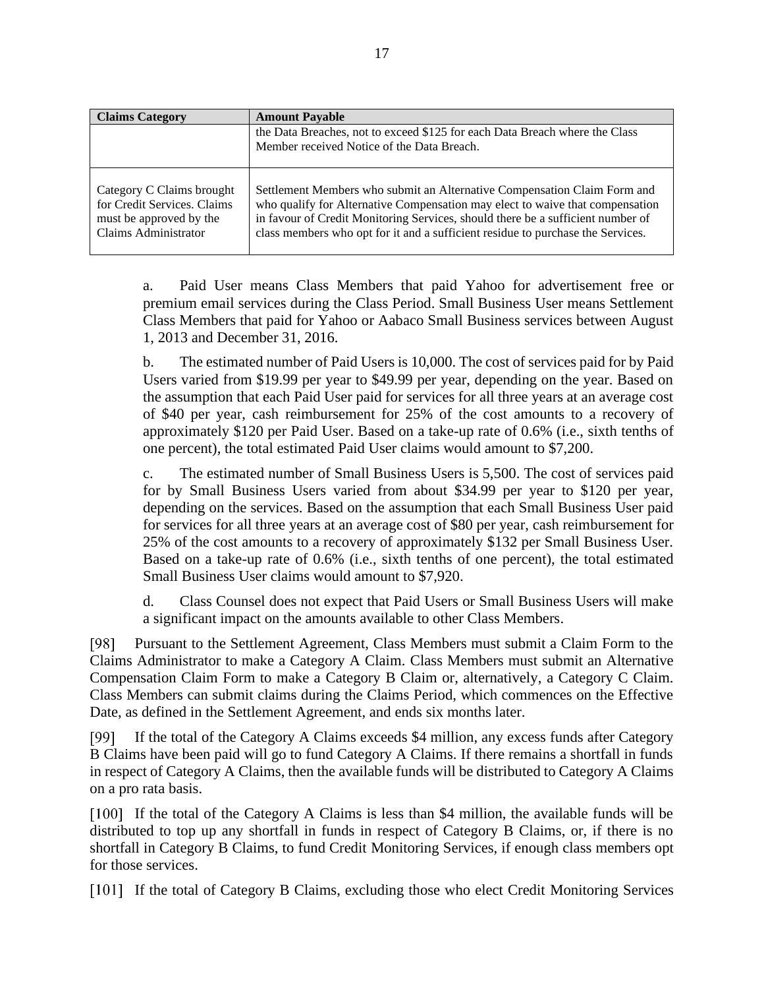| <b>Claims Category</b>                                                                                      | <b>Amount Payable</b>                                                                                                                                                                                                                                                                                                           |
|-------------------------------------------------------------------------------------------------------------|---------------------------------------------------------------------------------------------------------------------------------------------------------------------------------------------------------------------------------------------------------------------------------------------------------------------------------|
|                                                                                                             | the Data Breaches, not to exceed \$125 for each Data Breach where the Class<br>Member received Notice of the Data Breach.                                                                                                                                                                                                       |
| Category C Claims brought<br>for Credit Services. Claims<br>must be approved by the<br>Claims Administrator | Settlement Members who submit an Alternative Compensation Claim Form and<br>who qualify for Alternative Compensation may elect to waive that compensation<br>in favour of Credit Monitoring Services, should there be a sufficient number of<br>class members who opt for it and a sufficient residue to purchase the Services. |

a. Paid User means Class Members that paid Yahoo for advertisement free or premium email services during the Class Period. Small Business User means Settlement Class Members that paid for Yahoo or Aabaco Small Business services between August 1, 2013 and December 31, 2016.

b. The estimated number of Paid Users is 10,000. The cost of services paid for by Paid Users varied from \$19.99 per year to \$49.99 per year, depending on the year. Based on the assumption that each Paid User paid for services for all three years at an average cost of \$40 per year, cash reimbursement for 25% of the cost amounts to a recovery of approximately \$120 per Paid User. Based on a take-up rate of 0.6% (i.e., sixth tenths of one percent), the total estimated Paid User claims would amount to \$7,200.

c. The estimated number of Small Business Users is 5,500. The cost of services paid for by Small Business Users varied from about \$34.99 per year to \$120 per year, depending on the services. Based on the assumption that each Small Business User paid for services for all three years at an average cost of \$80 per year, cash reimbursement for 25% of the cost amounts to a recovery of approximately \$132 per Small Business User. Based on a take-up rate of 0.6% (i.e., sixth tenths of one percent), the total estimated Small Business User claims would amount to \$7,920.

d. Class Counsel does not expect that Paid Users or Small Business Users will make a significant impact on the amounts available to other Class Members.

[98] Pursuant to the Settlement Agreement, Class Members must submit a Claim Form to the Claims Administrator to make a Category A Claim. Class Members must submit an Alternative Compensation Claim Form to make a Category B Claim or, alternatively, a Category C Claim. Class Members can submit claims during the Claims Period, which commences on the Effective Date, as defined in the Settlement Agreement, and ends six months later.

If the total of the Category A Claims exceeds \$4 million, any excess funds after Category [99] B Claims have been paid will go to fund Category A Claims. If there remains a shortfall in funds in respect of Category A Claims, then the available funds will be distributed to Category A Claims on a pro rata basis.

[100] If the total of the Category A Claims is less than \$4 million, the available funds will be distributed to top up any shortfall in funds in respect of Category B Claims, or, if there is no shortfall in Category B Claims, to fund Credit Monitoring Services, if enough class members opt for those services.

If the total of Category B Claims, excluding those who elect Credit Monitoring Services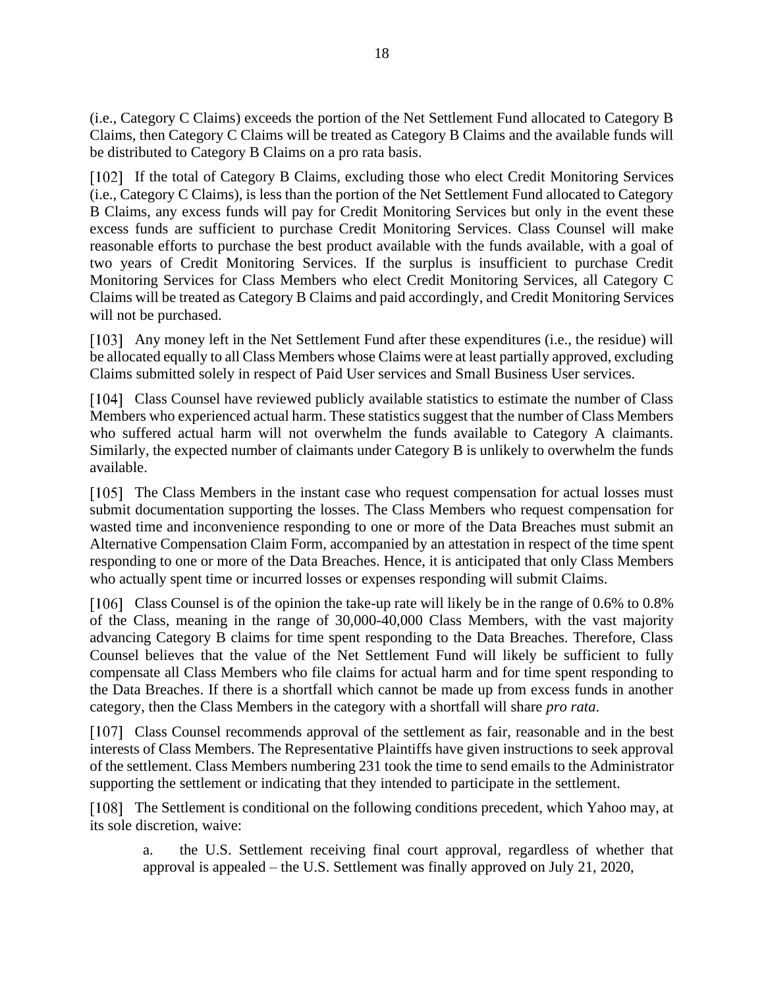(i.e., Category C Claims) exceeds the portion of the Net Settlement Fund allocated to Category B Claims, then Category C Claims will be treated as Category B Claims and the available funds will be distributed to Category B Claims on a pro rata basis.

If the total of Category B Claims, excluding those who elect Credit Monitoring Services (i.e., Category C Claims), is less than the portion of the Net Settlement Fund allocated to Category B Claims, any excess funds will pay for Credit Monitoring Services but only in the event these excess funds are sufficient to purchase Credit Monitoring Services. Class Counsel will make reasonable efforts to purchase the best product available with the funds available, with a goal of two years of Credit Monitoring Services. If the surplus is insufficient to purchase Credit Monitoring Services for Class Members who elect Credit Monitoring Services, all Category C Claims will be treated as Category B Claims and paid accordingly, and Credit Monitoring Services will not be purchased.

Any money left in the Net Settlement Fund after these expenditures (i.e., the residue) will be allocated equally to all Class Members whose Claims were at least partially approved, excluding Claims submitted solely in respect of Paid User services and Small Business User services.

[104] Class Counsel have reviewed publicly available statistics to estimate the number of Class Members who experienced actual harm. These statistics suggest that the number of Class Members who suffered actual harm will not overwhelm the funds available to Category A claimants. Similarly, the expected number of claimants under Category B is unlikely to overwhelm the funds available.

[105] The Class Members in the instant case who request compensation for actual losses must submit documentation supporting the losses. The Class Members who request compensation for wasted time and inconvenience responding to one or more of the Data Breaches must submit an Alternative Compensation Claim Form, accompanied by an attestation in respect of the time spent responding to one or more of the Data Breaches. Hence, it is anticipated that only Class Members who actually spent time or incurred losses or expenses responding will submit Claims.

[106] Class Counsel is of the opinion the take-up rate will likely be in the range of 0.6% to 0.8% of the Class, meaning in the range of 30,000-40,000 Class Members, with the vast majority advancing Category B claims for time spent responding to the Data Breaches. Therefore, Class Counsel believes that the value of the Net Settlement Fund will likely be sufficient to fully compensate all Class Members who file claims for actual harm and for time spent responding to the Data Breaches. If there is a shortfall which cannot be made up from excess funds in another category, then the Class Members in the category with a shortfall will share *pro rata*.

[107] Class Counsel recommends approval of the settlement as fair, reasonable and in the best interests of Class Members. The Representative Plaintiffs have given instructions to seek approval of the settlement. Class Members numbering 231 took the time to send emails to the Administrator supporting the settlement or indicating that they intended to participate in the settlement.

[108] The Settlement is conditional on the following conditions precedent, which Yahoo may, at its sole discretion, waive:

a. the U.S. Settlement receiving final court approval, regardless of whether that approval is appealed – the U.S. Settlement was finally approved on July 21, 2020,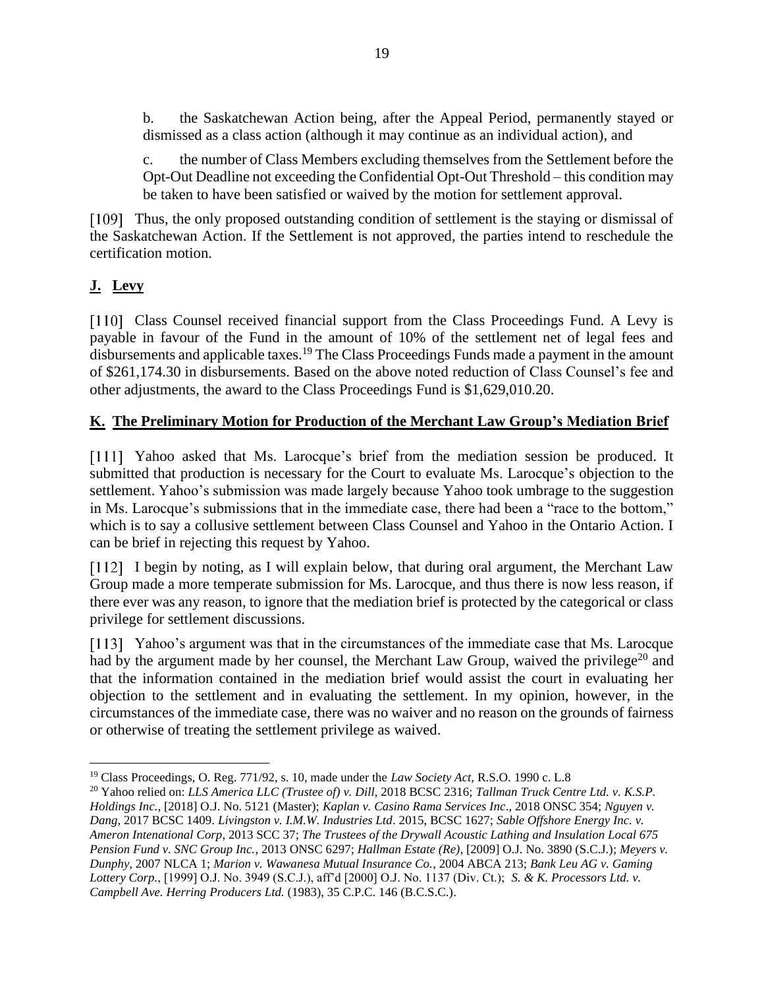b. the Saskatchewan Action being, after the Appeal Period, permanently stayed or dismissed as a class action (although it may continue as an individual action), and

c. the number of Class Members excluding themselves from the Settlement before the Opt-Out Deadline not exceeding the Confidential Opt-Out Threshold – this condition may be taken to have been satisfied or waived by the motion for settlement approval.

[109] Thus, the only proposed outstanding condition of settlement is the staying or dismissal of the Saskatchewan Action. If the Settlement is not approved, the parties intend to reschedule the certification motion.

# <span id="page-18-0"></span>**J. Levy**

[110] Class Counsel received financial support from the Class Proceedings Fund. A Levy is payable in favour of the Fund in the amount of 10% of the settlement net of legal fees and disbursements and applicable taxes.<sup>19</sup> The Class Proceedings Funds made a payment in the amount of \$261,174.30 in disbursements. Based on the above noted reduction of Class Counsel's fee and other adjustments, the award to the Class Proceedings Fund is \$1,629,010.20.

## <span id="page-18-1"></span>**K. The Preliminary Motion for Production of the Merchant Law Group's Mediation Brief**

[111] Yahoo asked that Ms. Larocque's brief from the mediation session be produced. It submitted that production is necessary for the Court to evaluate Ms. Larocque's objection to the settlement. Yahoo's submission was made largely because Yahoo took umbrage to the suggestion in Ms. Larocque's submissions that in the immediate case, there had been a "race to the bottom," which is to say a collusive settlement between Class Counsel and Yahoo in the Ontario Action. I can be brief in rejecting this request by Yahoo.

[112] I begin by noting, as I will explain below, that during oral argument, the Merchant Law Group made a more temperate submission for Ms. Larocque, and thus there is now less reason, if there ever was any reason, to ignore that the mediation brief is protected by the categorical or class privilege for settlement discussions.

[113] Yahoo's argument was that in the circumstances of the immediate case that Ms. Larocque had by the argument made by her counsel, the Merchant Law Group, waived the privilege<sup>20</sup> and that the information contained in the mediation brief would assist the court in evaluating her objection to the settlement and in evaluating the settlement. In my opinion, however, in the circumstances of the immediate case, there was no waiver and no reason on the grounds of fairness or otherwise of treating the settlement privilege as waived.

<sup>19</sup> Class Proceedings, O. Reg. 771/92, s. 10, made under the *Law Society Act,* R.S.O. 1990 c. L.8

<sup>20</sup> Yahoo relied on: *LLS America LLC (Trustee of) v. Dill*, 2018 BCSC 2316; *Tallman Truck Centre Ltd. v. K.S.P. Holdings Inc.*, [2018] O.J. No. 5121 (Master); *Kaplan v. Casino Rama Services Inc*., 2018 ONSC 354; *Nguyen v. Dang,* 2017 BCSC 1409. *Livingston v. I.M.W. Industries Ltd*. 2015, BCSC 1627; *Sable Offshore Energy Inc. v. Ameron Intenational Corp*, 2013 SCC 37; *The Trustees of the Drywall Acoustic Lathing and Insulation Local 675 Pension Fund v. SNC Group Inc.*, 2013 ONSC 6297; *Hallman Estate (Re)*, [2009] O.J. No. 3890 (S.C.J.); *Meyers v. Dunphy*, 2007 NLCA 1; *Marion v. Wawanesa Mutual Insurance Co.*, 2004 ABCA 213; *Bank Leu AG v. Gaming Lottery Corp.*, [1999] O.J. No. 3949 (S.C.J.), aff'd [2000] O.J. No. 1137 (Div. Ct.); *S. & K. Processors Ltd. v. Campbell Ave. Herring Producers Ltd.* (1983), 35 C.P.C. 146 (B.C.S.C.).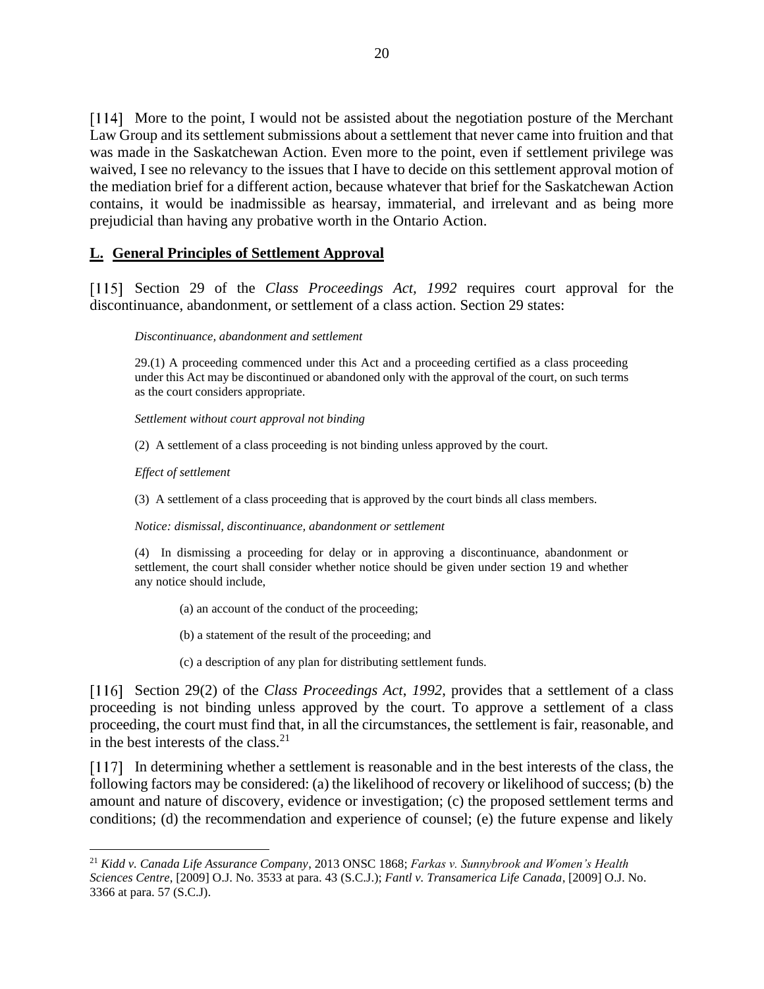[114] More to the point, I would not be assisted about the negotiation posture of the Merchant Law Group and its settlement submissions about a settlement that never came into fruition and that was made in the Saskatchewan Action. Even more to the point, even if settlement privilege was waived, I see no relevancy to the issues that I have to decide on this settlement approval motion of the mediation brief for a different action, because whatever that brief for the Saskatchewan Action contains, it would be inadmissible as hearsay, immaterial, and irrelevant and as being more prejudicial than having any probative worth in the Ontario Action.

### <span id="page-19-0"></span>**L. General Principles of Settlement Approval**

[115] Section 29 of the *Class Proceedings Act*, 1992 requires court approval for the discontinuance, abandonment, or settlement of a class action. Section 29 states:

#### *Discontinuance, abandonment and settlement*

29.(1) A proceeding commenced under this Act and a proceeding certified as a class proceeding under this Act may be discontinued or abandoned only with the approval of the court, on such terms as the court considers appropriate.

*Settlement without court approval not binding*

(2) A settlement of a class proceeding is not binding unless approved by the court.

*Effect of settlement*

(3) A settlement of a class proceeding that is approved by the court binds all class members.

*Notice: dismissal, discontinuance, abandonment or settlement*

(4) In dismissing a proceeding for delay or in approving a discontinuance, abandonment or settlement, the court shall consider whether notice should be given under section 19 and whether any notice should include,

(a) an account of the conduct of the proceeding;

(b) a statement of the result of the proceeding; and

(c) a description of any plan for distributing settlement funds.

[116] Section 29(2) of the *Class Proceedings Act*, 1992, provides that a settlement of a class proceeding is not binding unless approved by the court. To approve a settlement of a class proceeding, the court must find that, in all the circumstances, the settlement is fair, reasonable, and in the best interests of the class. 21

In determining whether a settlement is reasonable and in the best interests of the class, the following factors may be considered: (a) the likelihood of recovery or likelihood of success; (b) the amount and nature of discovery, evidence or investigation; (c) the proposed settlement terms and conditions; (d) the recommendation and experience of counsel; (e) the future expense and likely

<sup>21</sup> *Kidd v. Canada Life Assurance Company*, 2013 ONSC 1868; *Farkas v. Sunnybrook and Women's Health Sciences Centre*, [2009] O.J. No. 3533 at para. 43 (S.C.J.); *Fantl v. Transamerica Life Canada*, [2009] O.J. No. 3366 at para. 57 (S.C.J).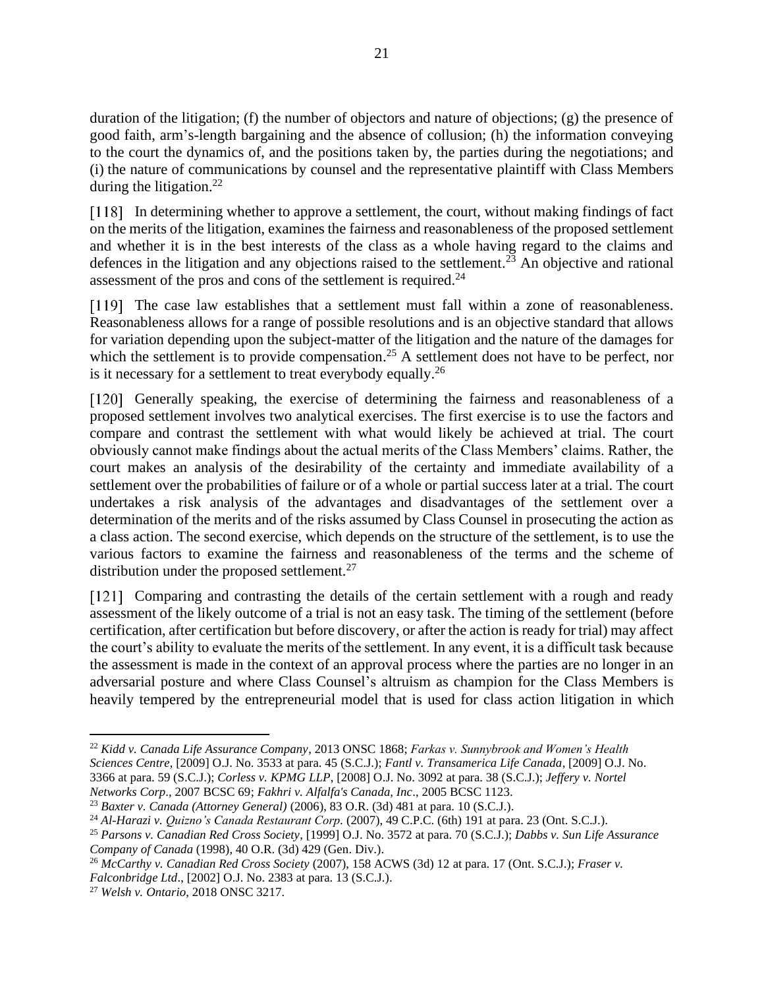duration of the litigation; (f) the number of objectors and nature of objections; (g) the presence of good faith, arm's-length bargaining and the absence of collusion; (h) the information conveying to the court the dynamics of, and the positions taken by, the parties during the negotiations; and (i) the nature of communications by counsel and the representative plaintiff with Class Members during the litigation.<sup>22</sup>

In determining whether to approve a settlement, the court, without making findings of fact on the merits of the litigation, examines the fairness and reasonableness of the proposed settlement and whether it is in the best interests of the class as a whole having regard to the claims and defences in the litigation and any objections raised to the settlement.<sup>23</sup> An objective and rational assessment of the pros and cons of the settlement is required.<sup>24</sup>

[119] The case law establishes that a settlement must fall within a zone of reasonableness. Reasonableness allows for a range of possible resolutions and is an objective standard that allows for variation depending upon the subject-matter of the litigation and the nature of the damages for which the settlement is to provide compensation.<sup>25</sup> A settlement does not have to be perfect, nor is it necessary for a settlement to treat everybody equally.<sup>26</sup>

[120] Generally speaking, the exercise of determining the fairness and reasonableness of a proposed settlement involves two analytical exercises. The first exercise is to use the factors and compare and contrast the settlement with what would likely be achieved at trial. The court obviously cannot make findings about the actual merits of the Class Members' claims. Rather, the court makes an analysis of the desirability of the certainty and immediate availability of a settlement over the probabilities of failure or of a whole or partial success later at a trial. The court undertakes a risk analysis of the advantages and disadvantages of the settlement over a determination of the merits and of the risks assumed by Class Counsel in prosecuting the action as a class action. The second exercise, which depends on the structure of the settlement, is to use the various factors to examine the fairness and reasonableness of the terms and the scheme of distribution under the proposed settlement. $^{27}$ 

[121] Comparing and contrasting the details of the certain settlement with a rough and ready assessment of the likely outcome of a trial is not an easy task. The timing of the settlement (before certification, after certification but before discovery, or after the action is ready for trial) may affect the court's ability to evaluate the merits of the settlement. In any event, it is a difficult task because the assessment is made in the context of an approval process where the parties are no longer in an adversarial posture and where Class Counsel's altruism as champion for the Class Members is heavily tempered by the entrepreneurial model that is used for class action litigation in which

<sup>22</sup> *Kidd v. Canada Life Assurance Company*, 2013 ONSC 1868; *Farkas v. Sunnybrook and Women's Health Sciences Centre*, [2009] O.J. No. 3533 at para. 45 (S.C.J.); *Fantl v. Transamerica Life Canada*, [2009] O.J. No. 3366 at para. 59 (S.C.J.); *Corless v. KPMG LLP*, [2008] O.J. No. 3092 at para. 38 (S.C.J.); *Jeffery v. Nortel Networks Corp*., 2007 BCSC 69; *Fakhri v. Alfalfa's Canada, Inc*., 2005 BCSC 1123.

<sup>23</sup> *Baxter v. Canada (Attorney General)* (2006), 83 O.R. (3d) 481 at para. 10 (S.C.J.).

<sup>24</sup> *Al-Harazi v. Quizno's Canada Restaurant Corp.* (2007), 49 C.P.C. (6th) 191 at para. 23 (Ont. S.C.J.).

<sup>25</sup> *Parsons v. Canadian Red Cross Society*, [1999] O.J. No. 3572 at para. 70 (S.C.J.); *Dabbs v. Sun Life Assurance Company of Canada* (1998), 40 O.R. (3d) 429 (Gen. Div.).

<sup>26</sup> *McCarthy v. Canadian Red Cross Society* (2007), 158 ACWS (3d) 12 at para. 17 (Ont. S.C.J.); *Fraser v. Falconbridge Ltd*., [2002] O.J. No. 2383 at para. 13 (S.C.J.).

<sup>27</sup> *Welsh v. Ontario*, 2018 ONSC 3217.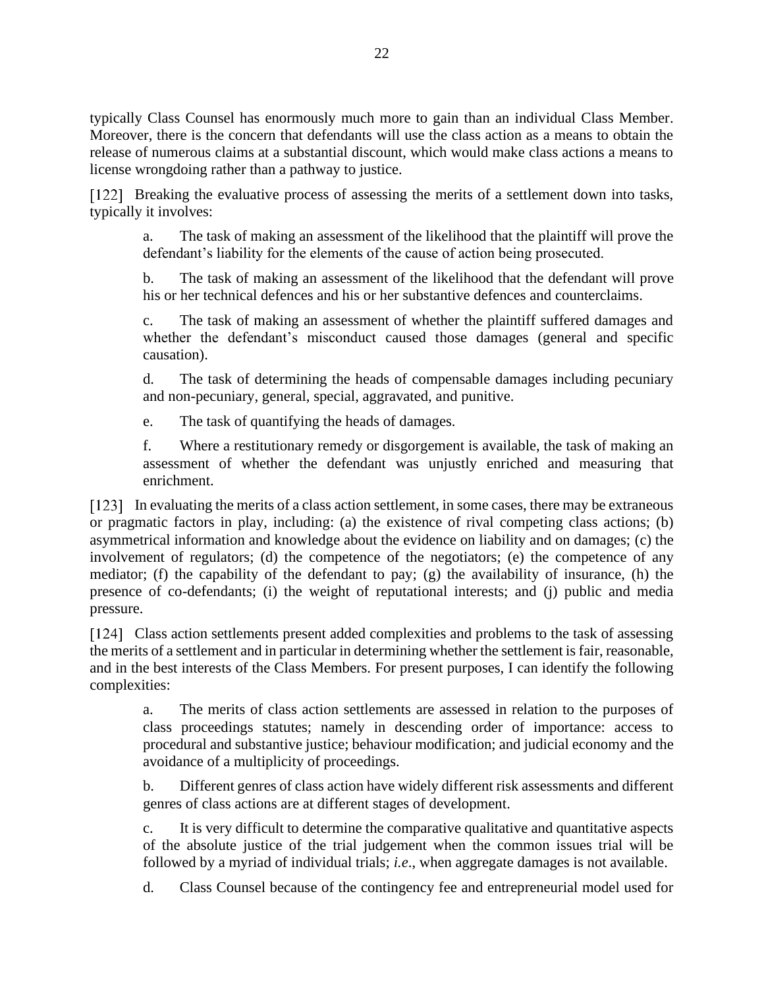typically Class Counsel has enormously much more to gain than an individual Class Member. Moreover, there is the concern that defendants will use the class action as a means to obtain the release of numerous claims at a substantial discount, which would make class actions a means to license wrongdoing rather than a pathway to justice.

[122] Breaking the evaluative process of assessing the merits of a settlement down into tasks, typically it involves:

a. The task of making an assessment of the likelihood that the plaintiff will prove the defendant's liability for the elements of the cause of action being prosecuted.

b. The task of making an assessment of the likelihood that the defendant will prove his or her technical defences and his or her substantive defences and counterclaims.

c. The task of making an assessment of whether the plaintiff suffered damages and whether the defendant's misconduct caused those damages (general and specific causation).

d. The task of determining the heads of compensable damages including pecuniary and non-pecuniary, general, special, aggravated, and punitive.

e. The task of quantifying the heads of damages.

f. Where a restitutionary remedy or disgorgement is available, the task of making an assessment of whether the defendant was unjustly enriched and measuring that enrichment.

[123] In evaluating the merits of a class action settlement, in some cases, there may be extraneous or pragmatic factors in play, including: (a) the existence of rival competing class actions; (b) asymmetrical information and knowledge about the evidence on liability and on damages; (c) the involvement of regulators; (d) the competence of the negotiators; (e) the competence of any mediator; (f) the capability of the defendant to pay; (g) the availability of insurance, (h) the presence of co-defendants; (i) the weight of reputational interests; and (j) public and media pressure.

[124] Class action settlements present added complexities and problems to the task of assessing the merits of a settlement and in particular in determining whether the settlement is fair, reasonable, and in the best interests of the Class Members. For present purposes, I can identify the following complexities:

a. The merits of class action settlements are assessed in relation to the purposes of class proceedings statutes; namely in descending order of importance: access to procedural and substantive justice; behaviour modification; and judicial economy and the avoidance of a multiplicity of proceedings.

b. Different genres of class action have widely different risk assessments and different genres of class actions are at different stages of development.

c. It is very difficult to determine the comparative qualitative and quantitative aspects of the absolute justice of the trial judgement when the common issues trial will be followed by a myriad of individual trials; *i.e*., when aggregate damages is not available.

d. Class Counsel because of the contingency fee and entrepreneurial model used for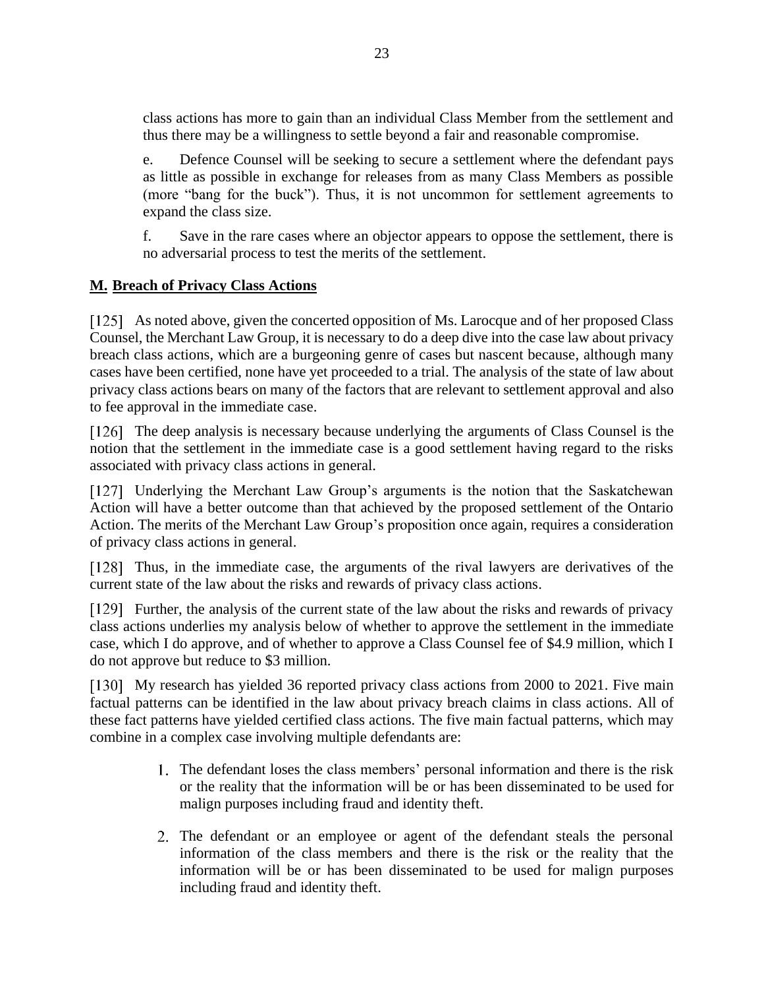class actions has more to gain than an individual Class Member from the settlement and thus there may be a willingness to settle beyond a fair and reasonable compromise.

e. Defence Counsel will be seeking to secure a settlement where the defendant pays as little as possible in exchange for releases from as many Class Members as possible (more "bang for the buck"). Thus, it is not uncommon for settlement agreements to expand the class size.

f. Save in the rare cases where an objector appears to oppose the settlement, there is no adversarial process to test the merits of the settlement.

### <span id="page-22-0"></span>**M. Breach of Privacy Class Actions**

As noted above, given the concerted opposition of Ms. Larocque and of her proposed Class Counsel, the Merchant Law Group, it is necessary to do a deep dive into the case law about privacy breach class actions, which are a burgeoning genre of cases but nascent because, although many cases have been certified, none have yet proceeded to a trial. The analysis of the state of law about privacy class actions bears on many of the factors that are relevant to settlement approval and also to fee approval in the immediate case.

[126] The deep analysis is necessary because underlying the arguments of Class Counsel is the notion that the settlement in the immediate case is a good settlement having regard to the risks associated with privacy class actions in general.

Underlying the Merchant Law Group's arguments is the notion that the Saskatchewan Action will have a better outcome than that achieved by the proposed settlement of the Ontario Action. The merits of the Merchant Law Group's proposition once again, requires a consideration of privacy class actions in general.

Thus, in the immediate case, the arguments of the rival lawyers are derivatives of the current state of the law about the risks and rewards of privacy class actions.

[129] Further, the analysis of the current state of the law about the risks and rewards of privacy class actions underlies my analysis below of whether to approve the settlement in the immediate case, which I do approve, and of whether to approve a Class Counsel fee of \$4.9 million, which I do not approve but reduce to \$3 million.

[130] My research has yielded 36 reported privacy class actions from 2000 to 2021. Five main factual patterns can be identified in the law about privacy breach claims in class actions. All of these fact patterns have yielded certified class actions. The five main factual patterns, which may combine in a complex case involving multiple defendants are:

- The defendant loses the class members' personal information and there is the risk or the reality that the information will be or has been disseminated to be used for malign purposes including fraud and identity theft.
- The defendant or an employee or agent of the defendant steals the personal information of the class members and there is the risk or the reality that the information will be or has been disseminated to be used for malign purposes including fraud and identity theft.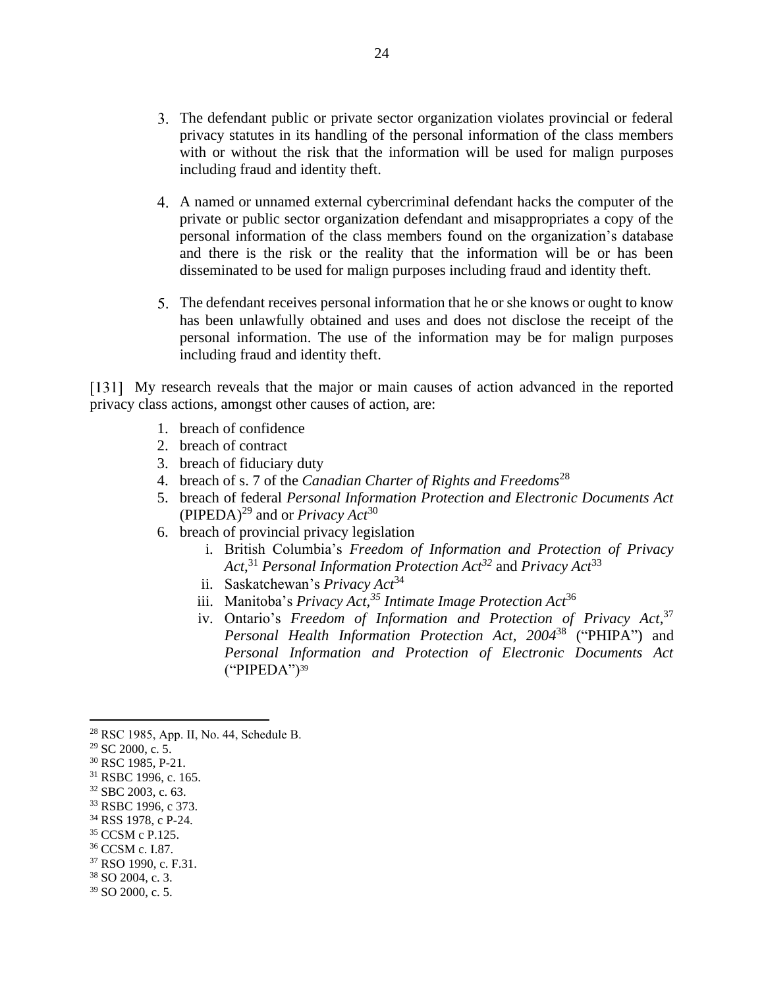- The defendant public or private sector organization violates provincial or federal privacy statutes in its handling of the personal information of the class members with or without the risk that the information will be used for malign purposes including fraud and identity theft.
- A named or unnamed external cybercriminal defendant hacks the computer of the private or public sector organization defendant and misappropriates a copy of the personal information of the class members found on the organization's database and there is the risk or the reality that the information will be or has been disseminated to be used for malign purposes including fraud and identity theft.
- The defendant receives personal information that he or she knows or ought to know has been unlawfully obtained and uses and does not disclose the receipt of the personal information. The use of the information may be for malign purposes including fraud and identity theft.

[131] My research reveals that the major or main causes of action advanced in the reported privacy class actions, amongst other causes of action, are:

- 1. breach of confidence
- 2. breach of contract
- 3. breach of fiduciary duty
- 4. breach of s. 7 of the *Canadian Charter of Rights and Freedoms*<sup>28</sup>
- 5. breach of federal *Personal Information Protection and Electronic Documents Act* (PIPEDA)<sup>29</sup> and or *Privacy Act*<sup>30</sup>
- 6. breach of provincial privacy legislation
	- i. British Columbia's *Freedom of Information and Protection of Privacy Act*, <sup>31</sup> *Personal Information Protection Act<sup>32</sup>* and *Privacy Act*<sup>33</sup>
	- ii. Saskatchewan's *Privacy Act*<sup>34</sup>
	- iii. Manitoba's *Privacy Act,<sup>35</sup> Intimate Image Protection Act*<sup>36</sup>
	- iv. Ontario's *Freedom of Information and Protection of Privacy Act*, 37 *Personal Health Information Protection Act, 2004*<sup>38</sup> ("PHIPA") and *Personal Information and Protection of Electronic Documents Act*  $("PIPEDA")^{39}$

- <sup>34</sup> RSS 1978, c P-24.
- <sup>35</sup> CCSM c P.125.
- <sup>36</sup> CCSM c. I.87.
- <sup>37</sup> RSO 1990, c. F.31.
- <sup>38</sup> SO 2004, c. 3. <sup>39</sup> SO 2000, c. 5.

<sup>28</sup> RSC 1985, App. II, No. 44, Schedule B.

<sup>29</sup> SC 2000, c. 5.

<sup>30</sup> RSC 1985, P-21.

<sup>31</sup> RSBC 1996, c. 165.

<sup>32</sup> SBC 2003, c. 63.

<sup>33</sup> RSBC 1996, c 373.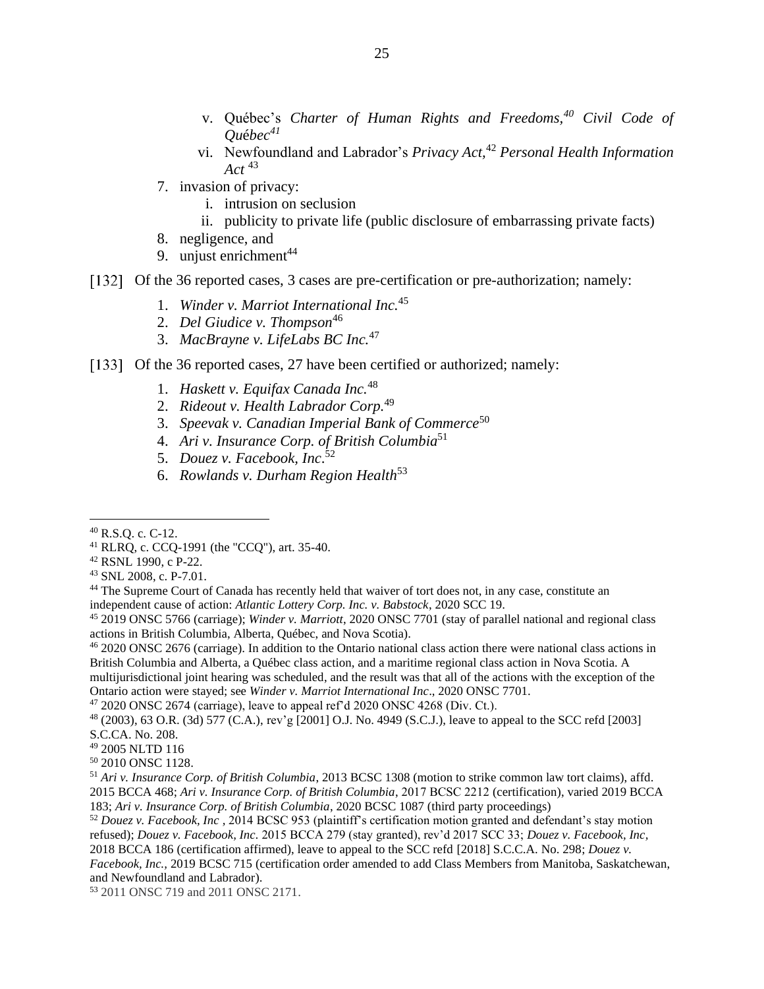- v. Québec's *Charter of Human Rights and Freedoms,<sup>40</sup> Civil Code of Qu*é*bec<sup>41</sup>*
- vi. Newfoundland and Labrador's *Privacy Act,* <sup>42</sup> *Personal Health Information Act* <sup>43</sup>
- 7. invasion of privacy:
	- i. intrusion on seclusion
	- ii. publicity to private life (public disclosure of embarrassing private facts)
- 8. negligence, and
- 9. unjust enrichment $44$
- [132] Of the 36 reported cases, 3 cases are pre-certification or pre-authorization; namely:
	- 1. *Winder v. Marriot International Inc.*<sup>45</sup>
	- 2. *Del Giudice v. Thompson*<sup>46</sup>
	- 3. *MacBrayne v. LifeLabs BC Inc.*<sup>47</sup>
- [133] Of the 36 reported cases, 27 have been certified or authorized; namely:
	- 1. *Haskett v. Equifax Canada Inc.*<sup>48</sup>
	- 2. *Rideout v. Health Labrador Corp.*<sup>49</sup>
	- 3. *Speevak v. Canadian Imperial Bank of Commerce*<sup>50</sup>
	- 4. *Ari v. Insurance Corp. of British Columbia*<sup>51</sup>
	- 5. *Douez v. Facebook, Inc*. 52
	- 6. *Rowlands v. Durham Region Health*<sup>53</sup>

<sup>42</sup> RSNL 1990, c P-22.

<sup>45</sup> 2019 ONSC 5766 (carriage); *Winder v. Marriott*, 2020 ONSC 7701 (stay of parallel national and regional class actions in British Columbia, Alberta, Québec, and Nova Scotia).

<sup>46</sup> 2020 ONSC 2676 (carriage). In addition to the Ontario national class action there were national class actions in British Columbia and Alberta, a Québec class action, and a maritime regional class action in Nova Scotia. A multijurisdictional joint hearing was scheduled, and the result was that all of the actions with the exception of the Ontario action were stayed; see *Winder v. Marriot International Inc*., 2020 ONSC 7701.

 $47$  2020 ONSC 2674 (carriage), leave to appeal ref'd 2020 ONSC 4268 (Div. Ct.).

<sup>48</sup> (2003), 63 O.R. (3d) 577 (C.A.), rev'g [2001] O.J. No. 4949 (S.C.J.), leave to appeal to the SCC refd [2003] S.C.CA. No. 208.

- <sup>49</sup> 2005 NLTD 116
- <sup>50</sup> 2010 ONSC 1128.

<sup>51</sup> *Ari v. Insurance Corp. of British Columbia*, 2013 BCSC 1308 (motion to strike common law tort claims), affd. 2015 BCCA 468; *Ari v. Insurance Corp. of British Columbia*, 2017 BCSC 2212 (certification), varied 2019 BCCA 183; *Ari v. Insurance Corp. of British Columbia*, 2020 BCSC 1087 (third party proceedings)

<sup>52</sup> *Douez v. Facebook, Inc ,* 2014 BCSC 953 (plaintiff's certification motion granted and defendant's stay motion refused); *Douez v. Facebook, Inc.* 2015 BCCA 279 (stay granted), rev'd 2017 SCC 33; *Douez v. Facebook, Inc,*  2018 BCCA 186 (certification affirmed), leave to appeal to the SCC refd [2018] S.C.C.A. No. 298; *Douez v. Facebook, Inc.,* 2019 BCSC 715 (certification order amended to add Class Members from Manitoba, Saskatchewan, and Newfoundland and Labrador).

<sup>53</sup> 2011 ONSC 719 and 2011 ONSC 2171.

<sup>40</sup> R.S.Q. c. C-12.

<sup>41</sup> RLRQ, c. CCQ-1991 (the "CCQ"), art. 35-40.

<sup>43</sup> SNL 2008, c. P-7.01.

<sup>&</sup>lt;sup>44</sup> The Supreme Court of Canada has recently held that waiver of tort does not, in any case, constitute an independent cause of action: *Atlantic Lottery Corp. Inc. v. Babstock*, 2020 SCC 19.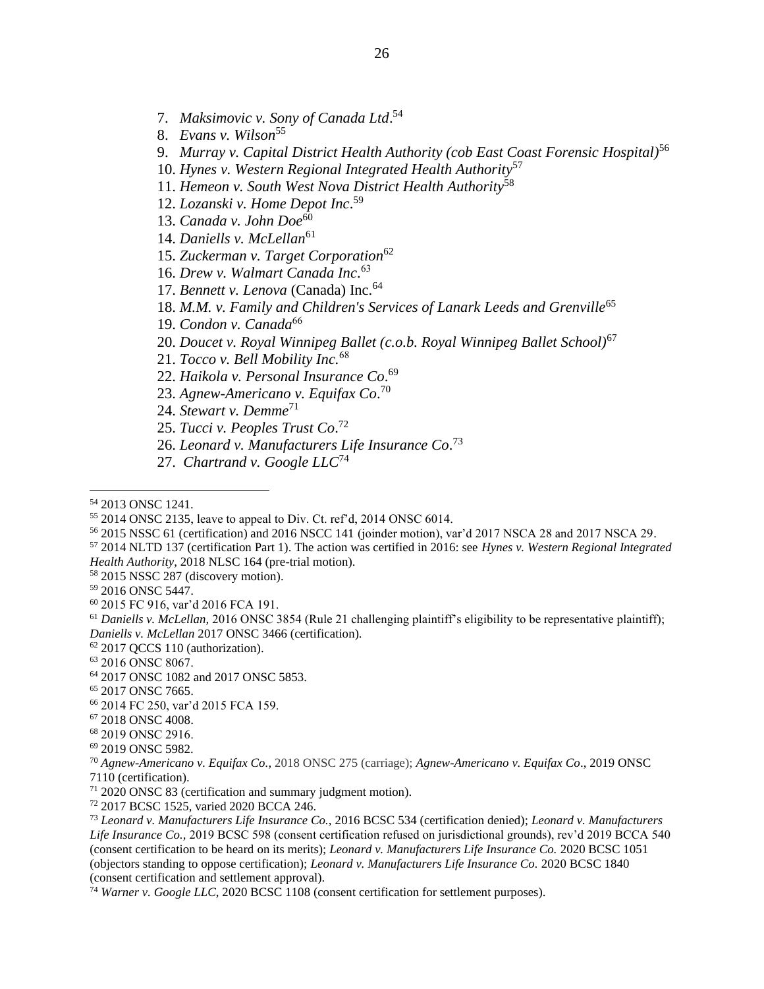7. *Maksimovic v. Sony of Canada Ltd*. 54

- 8. *Evans v. Wilson*<sup>55</sup>
- 9. *Murray v. Capital District Health Authority (cob East Coast Forensic Hospital)*<sup>56</sup>
- 10. *Hynes v. Western Regional Integrated Health Authority*<sup>57</sup>
- 11. *Hemeon v. South West Nova District Health Authority*<sup>58</sup>
- 12. *Lozanski v. Home Depot Inc*. 59
- 13. *Canada v. John Doe*<sup>60</sup>
- 14. *Daniells v. McLellan*<sup>61</sup>
- 15. *Zuckerman v. Target Corporation*<sup>62</sup>
- 16. *Drew v. Walmart Canada Inc*. 63
- 17. *Bennett v. Lenova* (Canada) Inc.<sup>64</sup>
- 18. *M.M. v. Family and Children's Services of Lanark Leeds and Grenville*<sup>65</sup>
- 19. *Condon v. Canada*<sup>66</sup>
- 20. *Doucet v. Royal Winnipeg Ballet (c.o.b. Royal Winnipeg Ballet School)*<sup>67</sup>
- 21. *Tocco v. Bell Mobility Inc.*<sup>68</sup>
- 22. *Haikola v. Personal Insurance Co*. 69
- 23. *Agnew-Americano v. Equifax Co*. 70
- 24. *Stewart v. Demme*<sup>71</sup>
- 25. *Tucci v. Peoples Trust Co*. 72
- 26. *Leonard v. Manufacturers Life Insurance Co*. 73
- 27. *Chartrand v. Google LLC*<sup>74</sup>

- <sup>56</sup> 2015 NSSC 61 (certification) and 2016 NSCC 141 (joinder motion), var'd 2017 NSCA 28 and 2017 NSCA 29.
- <sup>57</sup> 2014 NLTD 137 (certification Part 1). The action was certified in 2016: see *Hynes v. Western Regional Integrated*
- *Health Authority*, 2018 NLSC 164 (pre-trial motion).
- <sup>58</sup> 2015 NSSC 287 (discovery motion).
- <sup>59</sup> 2016 ONSC 5447.

<sup>61</sup> Daniells v. McLellan, 2016 ONSC 3854 (Rule 21 challenging plaintiff's eligibility to be representative plaintiff); *Daniells v. McLellan* 2017 ONSC 3466 (certification).

<sup>62</sup> 2017 QCCS 110 (authorization).

- <sup>63</sup> 2016 ONSC 8067.
- <sup>64</sup> 2017 ONSC 1082 and 2017 ONSC 5853.
- <sup>65</sup> 2017 ONSC 7665.
- <sup>66</sup> 2014 FC 250, var'd 2015 FCA 159.
- <sup>67</sup> 2018 ONSC 4008.

<sup>69</sup> 2019 ONSC 5982.

<sup>72</sup> 2017 BCSC 1525, varied 2020 BCCA 246.

<sup>54</sup> 2013 ONSC 1241.

<sup>55</sup> 2014 ONSC 2135, leave to appeal to Div. Ct. ref'd, 2014 ONSC 6014.

<sup>60</sup> 2015 FC 916, var'd 2016 FCA 191.

<sup>68</sup> 2019 ONSC 2916.

<sup>70</sup> *Agnew-Americano v. Equifax Co.,* 2018 ONSC 275 (carriage); *Agnew-Americano v. Equifax Co*., 2019 ONSC 7110 (certification).

<sup>71</sup> 2020 ONSC 83 (certification and summary judgment motion).

<sup>73</sup> *Leonard v. Manufacturers Life Insurance Co.,* 2016 BCSC 534 (certification denied); *Leonard v. Manufacturers Life Insurance Co.,* 2019 BCSC 598 (consent certification refused on jurisdictional grounds), rev'd 2019 BCCA 540 (consent certification to be heard on its merits); *Leonard v. Manufacturers Life Insurance Co.* 2020 BCSC 1051 (objectors standing to oppose certification); *Leonard v. Manufacturers Life Insurance Co.* 2020 BCSC 1840 (consent certification and settlement approval).

<sup>74</sup> *Warner v. Google LLC*, 2020 BCSC 1108 (consent certification for settlement purposes).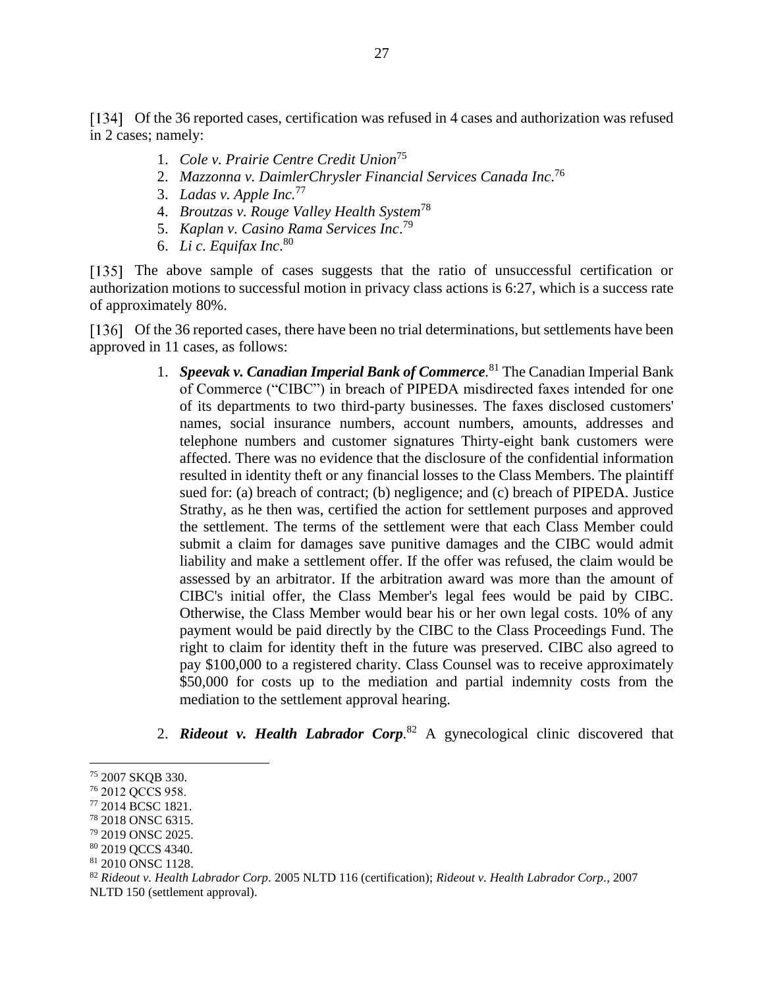[134] Of the 36 reported cases, certification was refused in 4 cases and authorization was refused in 2 cases; namely:

- 1. *Cole v. Prairie Centre Credit Union*<sup>75</sup>
- 2. *Mazzonna v. DaimlerChrysler Financial Services Canada Inc*. 76
- 3. *Ladas v. Apple Inc.*<sup>77</sup>
- 4. *Broutzas v. Rouge Valley Health System*<sup>78</sup>
- 5. *Kaplan v. Casino Rama Services Inc*. 79
- 6. *Li c. Equifax Inc*. 80

[135] The above sample of cases suggests that the ratio of unsuccessful certification or authorization motions to successful motion in privacy class actions is 6:27, which is a success rate of approximately 80%.

[136] Of the 36 reported cases, there have been no trial determinations, but settlements have been approved in 11 cases, as follows:

- 1. *Speevak v. Canadian Imperial Bank of Commerce.* <sup>81</sup> The Canadian Imperial Bank of Commerce ("CIBC") in breach of PIPEDA misdirected faxes intended for one of its departments to two third-party businesses. The faxes disclosed customers' names, social insurance numbers, account numbers, amounts, addresses and telephone numbers and customer signatures Thirty-eight bank customers were affected. There was no evidence that the disclosure of the confidential information resulted in identity theft or any financial losses to the Class Members. The plaintiff sued for: (a) breach of contract; (b) negligence; and (c) breach of PIPEDA. Justice Strathy, as he then was, certified the action for settlement purposes and approved the settlement. The terms of the settlement were that each Class Member could submit a claim for damages save punitive damages and the CIBC would admit liability and make a settlement offer. If the offer was refused, the claim would be assessed by an arbitrator. If the arbitration award was more than the amount of CIBC's initial offer, the Class Member's legal fees would be paid by CIBC. Otherwise, the Class Member would bear his or her own legal costs. 10% of any payment would be paid directly by the CIBC to the Class Proceedings Fund. The right to claim for identity theft in the future was preserved. CIBC also agreed to pay \$100,000 to a registered charity. Class Counsel was to receive approximately \$50,000 for costs up to the mediation and partial indemnity costs from the mediation to the settlement approval hearing.
- 2. *Rideout v. Health Labrador Corp.* <sup>82</sup> A gynecological clinic discovered that

<sup>75</sup> 2007 SKQB 330.

<sup>76</sup> 2012 QCCS 958.

<sup>77</sup> 2014 BCSC 1821.

<sup>78</sup> 2018 ONSC 6315.

<sup>79</sup> 2019 ONSC 2025.

<sup>80</sup> 2019 QCCS 4340.

<sup>81</sup> 2010 ONSC 1128.

<sup>82</sup> *Rideout v. Health Labrador Corp.* 2005 NLTD 116 (certification); *Rideout v. Health Labrador Corp.*, 2007 NLTD 150 (settlement approval).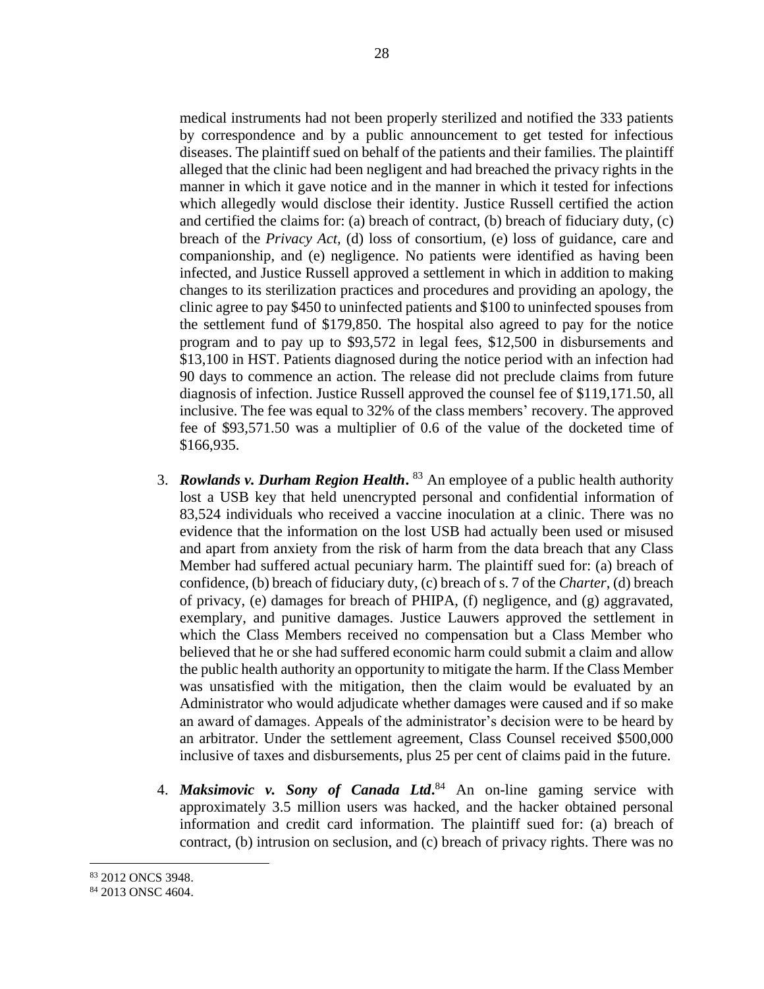medical instruments had not been properly sterilized and notified the 333 patients by correspondence and by a public announcement to get tested for infectious diseases. The plaintiff sued on behalf of the patients and their families. The plaintiff alleged that the clinic had been negligent and had breached the privacy rights in the manner in which it gave notice and in the manner in which it tested for infections which allegedly would disclose their identity. Justice Russell certified the action and certified the claims for: (a) breach of contract, (b) breach of fiduciary duty, (c) breach of the *Privacy Act,* (d) loss of consortium, (e) loss of guidance, care and companionship, and (e) negligence. No patients were identified as having been infected, and Justice Russell approved a settlement in which in addition to making changes to its sterilization practices and procedures and providing an apology, the clinic agree to pay \$450 to uninfected patients and \$100 to uninfected spouses from the settlement fund of \$179,850. The hospital also agreed to pay for the notice program and to pay up to \$93,572 in legal fees, \$12,500 in disbursements and \$13,100 in HST. Patients diagnosed during the notice period with an infection had 90 days to commence an action. The release did not preclude claims from future diagnosis of infection. Justice Russell approved the counsel fee of \$119,171.50, all inclusive. The fee was equal to 32% of the class members' recovery. The approved fee of \$93,571.50 was a multiplier of 0.6 of the value of the docketed time of \$166,935.

- 3. *Rowlands v. Durham Region Health***.** <sup>83</sup> An employee of a public health authority lost a USB key that held unencrypted personal and confidential information of 83,524 individuals who received a vaccine inoculation at a clinic. There was no evidence that the information on the lost USB had actually been used or misused and apart from anxiety from the risk of harm from the data breach that any Class Member had suffered actual pecuniary harm. The plaintiff sued for: (a) breach of confidence, (b) breach of fiduciary duty, (c) breach of s. 7 of the *Charter*, (d) breach of privacy, (e) damages for breach of PHIPA, (f) negligence, and (g) aggravated, exemplary, and punitive damages. Justice Lauwers approved the settlement in which the Class Members received no compensation but a Class Member who believed that he or she had suffered economic harm could submit a claim and allow the public health authority an opportunity to mitigate the harm. If the Class Member was unsatisfied with the mitigation, then the claim would be evaluated by an Administrator who would adjudicate whether damages were caused and if so make an award of damages. Appeals of the administrator's decision were to be heard by an arbitrator. Under the settlement agreement, Class Counsel received \$500,000 inclusive of taxes and disbursements, plus 25 per cent of claims paid in the future.
- 4. *Maksimovic v. Sony of Canada Ltd***.** <sup>84</sup> An on-line gaming service with approximately 3.5 million users was hacked, and the hacker obtained personal information and credit card information. The plaintiff sued for: (a) breach of contract, (b) intrusion on seclusion, and (c) breach of privacy rights. There was no

<sup>83</sup> 2012 ONCS 3948.

<sup>84</sup> 2013 ONSC 4604.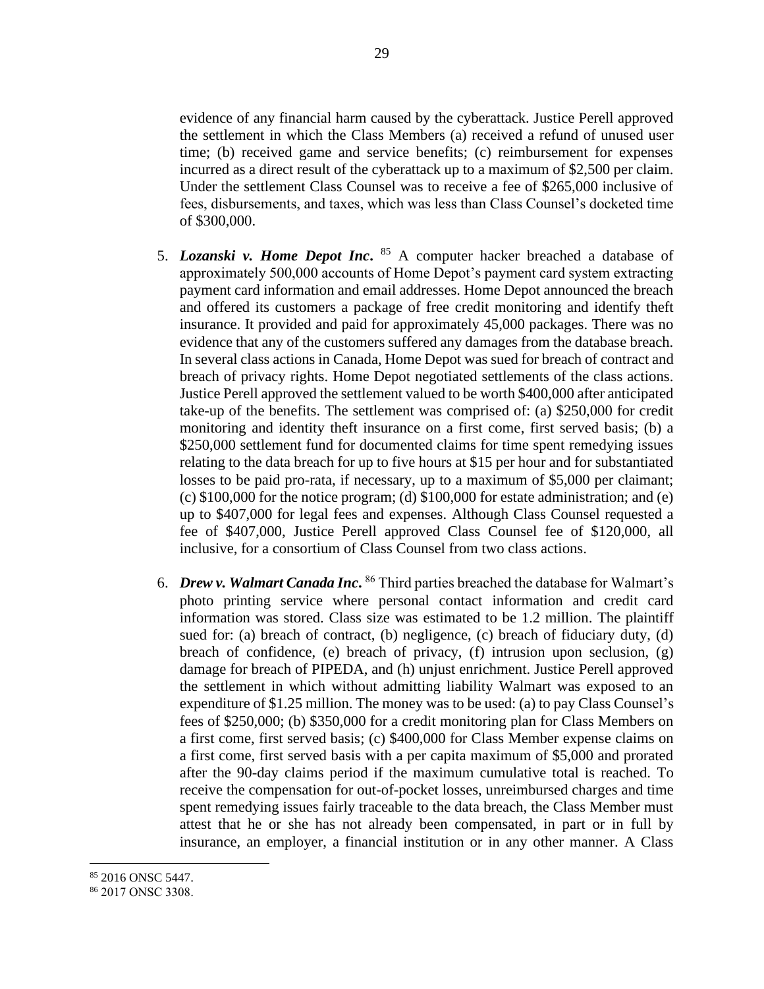evidence of any financial harm caused by the cyberattack. Justice Perell approved the settlement in which the Class Members (a) received a refund of unused user time; (b) received game and service benefits; (c) reimbursement for expenses incurred as a direct result of the cyberattack up to a maximum of \$2,500 per claim. Under the settlement Class Counsel was to receive a fee of \$265,000 inclusive of fees, disbursements, and taxes, which was less than Class Counsel's docketed time of \$300,000.

- 5. *Lozanski v. Home Depot Inc***.** <sup>85</sup> A computer hacker breached a database of approximately 500,000 accounts of Home Depot's payment card system extracting payment card information and email addresses. Home Depot announced the breach and offered its customers a package of free credit monitoring and identify theft insurance. It provided and paid for approximately 45,000 packages. There was no evidence that any of the customers suffered any damages from the database breach. In several class actions in Canada, Home Depot was sued for breach of contract and breach of privacy rights. Home Depot negotiated settlements of the class actions. Justice Perell approved the settlement valued to be worth \$400,000 after anticipated take-up of the benefits. The settlement was comprised of: (a) \$250,000 for credit monitoring and identity theft insurance on a first come, first served basis; (b) a \$250,000 settlement fund for documented claims for time spent remedying issues relating to the data breach for up to five hours at \$15 per hour and for substantiated losses to be paid pro-rata, if necessary, up to a maximum of \$5,000 per claimant; (c)  $$100,000$  for the notice program; (d)  $$100,000$  for estate administration; and (e) up to \$407,000 for legal fees and expenses. Although Class Counsel requested a fee of \$407,000, Justice Perell approved Class Counsel fee of \$120,000, all inclusive, for a consortium of Class Counsel from two class actions.
- 6. *Drew v. Walmart Canada Inc*. <sup>86</sup> Third parties breached the database for Walmart's photo printing service where personal contact information and credit card information was stored. Class size was estimated to be 1.2 million. The plaintiff sued for: (a) breach of contract, (b) negligence, (c) breach of fiduciary duty, (d) breach of confidence, (e) breach of privacy, (f) intrusion upon seclusion, (g) damage for breach of PIPEDA, and (h) unjust enrichment. Justice Perell approved the settlement in which without admitting liability Walmart was exposed to an expenditure of \$1.25 million. The money was to be used: (a) to pay Class Counsel's fees of \$250,000; (b) \$350,000 for a credit monitoring plan for Class Members on a first come, first served basis; (c) \$400,000 for Class Member expense claims on a first come, first served basis with a per capita maximum of \$5,000 and prorated after the 90-day claims period if the maximum cumulative total is reached. To receive the compensation for out-of-pocket losses, unreimbursed charges and time spent remedying issues fairly traceable to the data breach, the Class Member must attest that he or she has not already been compensated, in part or in full by insurance, an employer, a financial institution or in any other manner. A Class

<sup>85 2016</sup> ONSC 5447.

<sup>86</sup> 2017 ONSC 3308.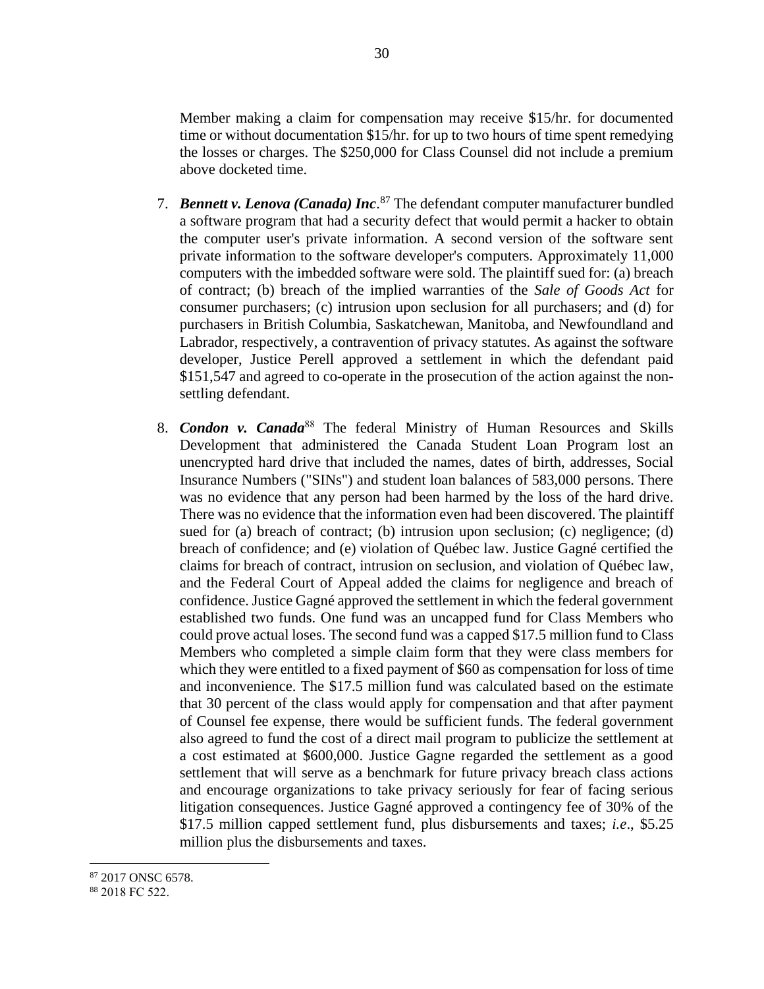Member making a claim for compensation may receive \$15/hr. for documented time or without documentation \$15/hr. for up to two hours of time spent remedying the losses or charges. The \$250,000 for Class Counsel did not include a premium above docketed time.

- 7. *Bennett v. Lenova (Canada) Inc*. <sup>87</sup> The defendant computer manufacturer bundled a software program that had a security defect that would permit a hacker to obtain the computer user's private information. A second version of the software sent private information to the software developer's computers. Approximately 11,000 computers with the imbedded software were sold. The plaintiff sued for: (a) breach of contract; (b) breach of the implied warranties of the *Sale of Goods Act* for consumer purchasers; (c) intrusion upon seclusion for all purchasers; and (d) for purchasers in British Columbia, Saskatchewan, Manitoba, and Newfoundland and Labrador, respectively, a contravention of privacy statutes. As against the software developer, Justice Perell approved a settlement in which the defendant paid \$151,547 and agreed to co-operate in the prosecution of the action against the nonsettling defendant.
- 8. *Condon v. Canada*<sup>88</sup> The federal Ministry of Human Resources and Skills Development that administered the Canada Student Loan Program lost an unencrypted hard drive that included the names, dates of birth, addresses, Social Insurance Numbers ("SINs") and student loan balances of 583,000 persons. There was no evidence that any person had been harmed by the loss of the hard drive. There was no evidence that the information even had been discovered. The plaintiff sued for (a) breach of contract; (b) intrusion upon seclusion; (c) negligence; (d) breach of confidence; and (e) violation of Québec law. Justice Gagné certified the claims for breach of contract, intrusion on seclusion, and violation of Québec law, and the Federal Court of Appeal added the claims for negligence and breach of confidence. Justice Gagné approved the settlement in which the federal government established two funds. One fund was an uncapped fund for Class Members who could prove actual loses. The second fund was a capped \$17.5 million fund to Class Members who completed a simple claim form that they were class members for which they were entitled to a fixed payment of \$60 as compensation for loss of time and inconvenience. The \$17.5 million fund was calculated based on the estimate that 30 percent of the class would apply for compensation and that after payment of Counsel fee expense, there would be sufficient funds. The federal government also agreed to fund the cost of a direct mail program to publicize the settlement at a cost estimated at \$600,000. Justice Gagne regarded the settlement as a good settlement that will serve as a benchmark for future privacy breach class actions and encourage organizations to take privacy seriously for fear of facing serious litigation consequences. Justice Gagné approved a contingency fee of 30% of the \$17.5 million capped settlement fund, plus disbursements and taxes; *i.e*., \$5.25 million plus the disbursements and taxes.

<sup>87</sup> 2017 ONSC 6578.

<sup>88</sup> 2018 FC 522.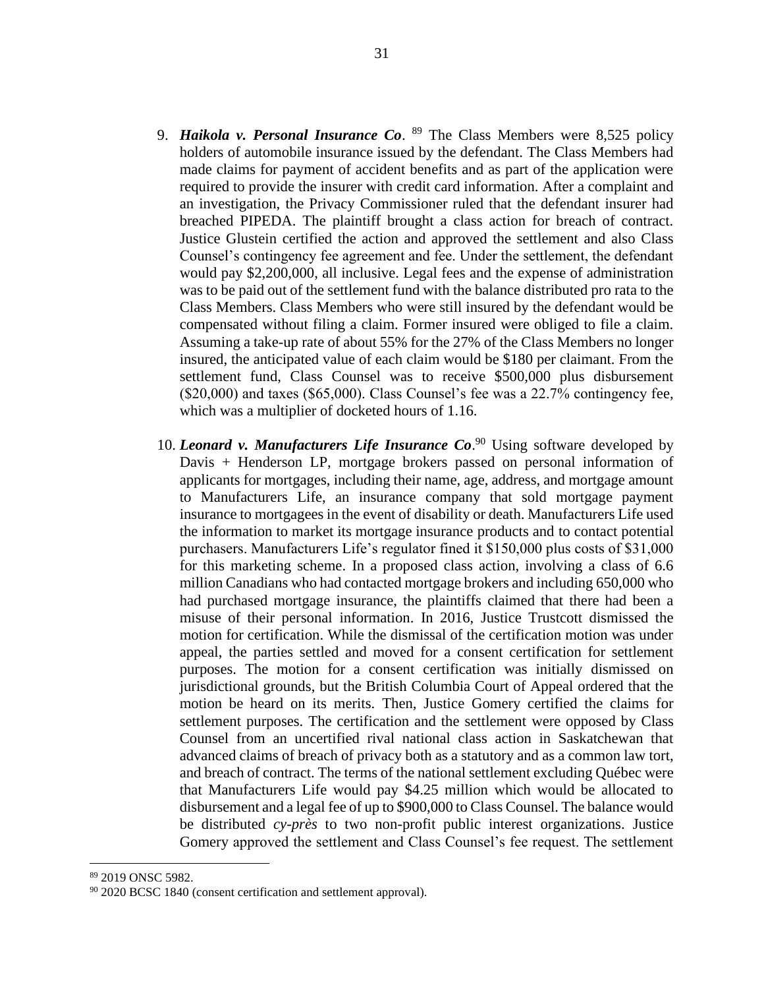- 9. *Haikola v. Personal Insurance Co*. <sup>89</sup> The Class Members were 8,525 policy holders of automobile insurance issued by the defendant. The Class Members had made claims for payment of accident benefits and as part of the application were required to provide the insurer with credit card information. After a complaint and an investigation, the Privacy Commissioner ruled that the defendant insurer had breached PIPEDA. The plaintiff brought a class action for breach of contract. Justice Glustein certified the action and approved the settlement and also Class Counsel's contingency fee agreement and fee. Under the settlement, the defendant would pay \$2,200,000, all inclusive. Legal fees and the expense of administration was to be paid out of the settlement fund with the balance distributed pro rata to the Class Members. Class Members who were still insured by the defendant would be compensated without filing a claim. Former insured were obliged to file a claim. Assuming a take-up rate of about 55% for the 27% of the Class Members no longer insured, the anticipated value of each claim would be \$180 per claimant. From the settlement fund, Class Counsel was to receive \$500,000 plus disbursement (\$20,000) and taxes (\$65,000). Class Counsel's fee was a 22.7% contingency fee, which was a multiplier of docketed hours of 1.16.
- 10. *Leonard v. Manufacturers Life Insurance Co*. <sup>90</sup> Using software developed by Davis + Henderson LP, mortgage brokers passed on personal information of applicants for mortgages, including their name, age, address, and mortgage amount to Manufacturers Life, an insurance company that sold mortgage payment insurance to mortgagees in the event of disability or death. Manufacturers Life used the information to market its mortgage insurance products and to contact potential purchasers. Manufacturers Life's regulator fined it \$150,000 plus costs of \$31,000 for this marketing scheme. In a proposed class action, involving a class of 6.6 million Canadians who had contacted mortgage brokers and including 650,000 who had purchased mortgage insurance, the plaintiffs claimed that there had been a misuse of their personal information. In 2016, Justice Trustcott dismissed the motion for certification. While the dismissal of the certification motion was under appeal, the parties settled and moved for a consent certification for settlement purposes. The motion for a consent certification was initially dismissed on jurisdictional grounds, but the British Columbia Court of Appeal ordered that the motion be heard on its merits. Then, Justice Gomery certified the claims for settlement purposes. The certification and the settlement were opposed by Class Counsel from an uncertified rival national class action in Saskatchewan that advanced claims of breach of privacy both as a statutory and as a common law tort, and breach of contract. The terms of the national settlement excluding Québec were that Manufacturers Life would pay \$4.25 million which would be allocated to disbursement and a legal fee of up to \$900,000 to Class Counsel. The balance would be distributed *cy-près* to two non-profit public interest organizations. Justice Gomery approved the settlement and Class Counsel's fee request. The settlement

<sup>89</sup> 2019 ONSC 5982.

<sup>&</sup>lt;sup>90</sup> 2020 BCSC 1840 (consent certification and settlement approval).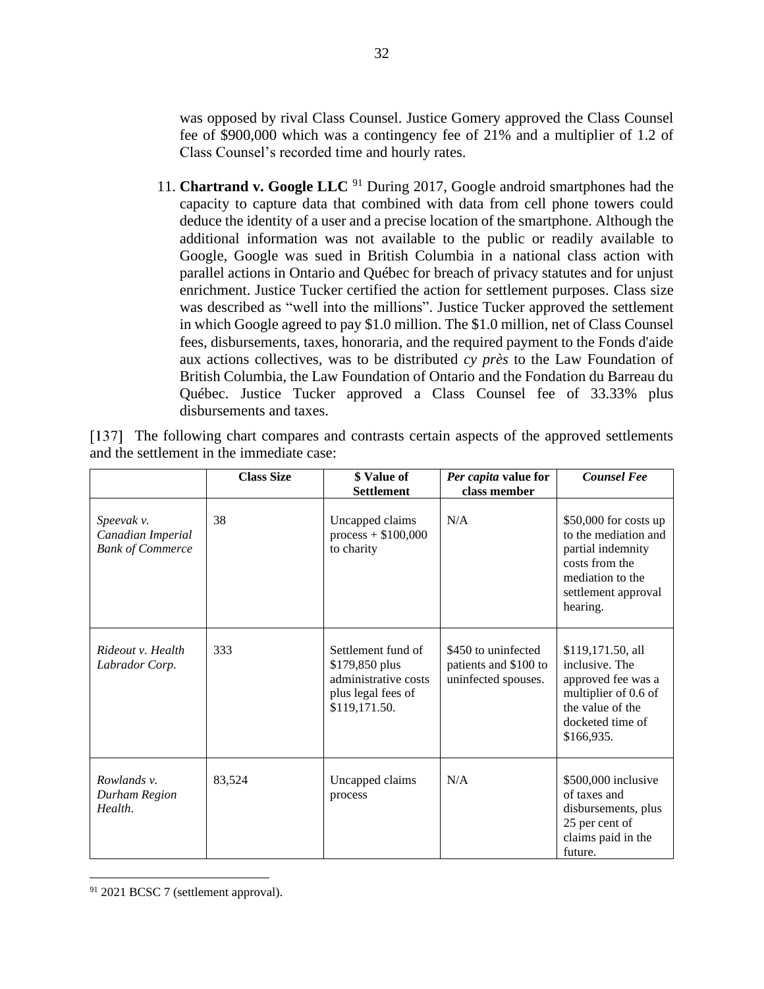was opposed by rival Class Counsel. Justice Gomery approved the Class Counsel fee of \$900,000 which was a contingency fee of 21% and a multiplier of 1.2 of Class Counsel's recorded time and hourly rates.

11. **Chartrand v. Google LLC** <sup>91</sup> During 2017, Google android smartphones had the capacity to capture data that combined with data from cell phone towers could deduce the identity of a user and a precise location of the smartphone. Although the additional information was not available to the public or readily available to Google, Google was sued in British Columbia in a national class action with parallel actions in Ontario and Québec for breach of privacy statutes and for unjust enrichment. Justice Tucker certified the action for settlement purposes. Class size was described as "well into the millions". Justice Tucker approved the settlement in which Google agreed to pay \$1.0 million. The \$1.0 million, net of Class Counsel fees, disbursements, taxes, honoraria, and the required payment to the Fonds d'aide aux actions collectives, was to be distributed *cy près* to the Law Foundation of British Columbia, the Law Foundation of Ontario and the Fondation du Barreau du Québec. Justice Tucker approved a Class Counsel fee of 33.33% plus disbursements and taxes.

|                                                            | <b>Class Size</b> | \$ Value of<br><b>Settlement</b>                                                                    | Per capita value for<br>class member                                | <b>Counsel Fee</b>                                                                                                                          |
|------------------------------------------------------------|-------------------|-----------------------------------------------------------------------------------------------------|---------------------------------------------------------------------|---------------------------------------------------------------------------------------------------------------------------------------------|
| Speevak v.<br>Canadian Imperial<br><b>Bank of Commerce</b> | 38                | Uncapped claims<br>$process + $100,000$<br>to charity                                               | N/A                                                                 | \$50,000 for costs up<br>to the mediation and<br>partial indemnity<br>costs from the<br>mediation to the<br>settlement approval<br>hearing. |
| Rideout v. Health<br>Labrador Corp.                        | 333               | Settlement fund of<br>\$179,850 plus<br>administrative costs<br>plus legal fees of<br>\$119,171.50. | \$450 to uninfected<br>patients and \$100 to<br>uninfected spouses. | \$119,171.50, all<br>inclusive. The<br>approved fee was a<br>multiplier of 0.6 of<br>the value of the<br>docketed time of<br>\$166,935.     |
| Rowlands v.<br>Durham Region<br>Health.                    | 83,524            | Uncapped claims<br>process                                                                          | N/A                                                                 | \$500,000 inclusive<br>of taxes and<br>disbursements, plus<br>25 per cent of<br>claims paid in the<br>future.                               |

[137] The following chart compares and contrasts certain aspects of the approved settlements and the settlement in the immediate case:

<sup>&</sup>lt;sup>91</sup> 2021 BCSC 7 (settlement approval).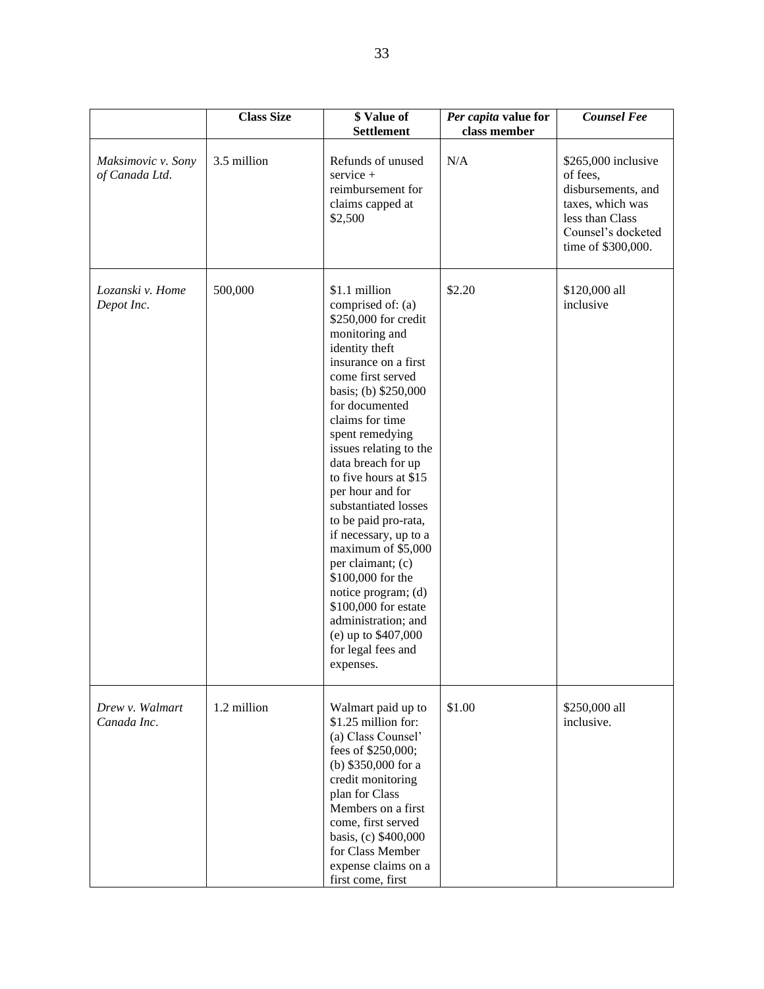|                                      | <b>Class Size</b> | \$ Value of<br><b>Settlement</b>                                                                                                                                                                                                                                                                                                                                                                                                                                                                                                                                                                  | Per capita value for<br>class member | <b>Counsel Fee</b>                                                                                                                        |
|--------------------------------------|-------------------|---------------------------------------------------------------------------------------------------------------------------------------------------------------------------------------------------------------------------------------------------------------------------------------------------------------------------------------------------------------------------------------------------------------------------------------------------------------------------------------------------------------------------------------------------------------------------------------------------|--------------------------------------|-------------------------------------------------------------------------------------------------------------------------------------------|
| Maksimovic v. Sony<br>of Canada Ltd. | 3.5 million       | Refunds of unused<br>service +<br>reimbursement for<br>claims capped at<br>\$2,500                                                                                                                                                                                                                                                                                                                                                                                                                                                                                                                | N/A                                  | $$265,000$ inclusive<br>of fees,<br>disbursements, and<br>taxes, which was<br>less than Class<br>Counsel's docketed<br>time of \$300,000. |
| Lozanski v. Home<br>Depot Inc.       | 500,000           | \$1.1 million<br>comprised of: (a)<br>\$250,000 for credit<br>monitoring and<br>identity theft<br>insurance on a first<br>come first served<br>basis; (b) \$250,000<br>for documented<br>claims for time<br>spent remedying<br>issues relating to the<br>data breach for up<br>to five hours at \$15<br>per hour and for<br>substantiated losses<br>to be paid pro-rata,<br>if necessary, up to a<br>maximum of \$5,000<br>per claimant; (c)<br>\$100,000 for the<br>notice program; (d)<br>\$100,000 for estate<br>administration; and<br>(e) up to \$407,000<br>for legal fees and<br>expenses. | \$2.20                               | \$120,000 all<br>inclusive                                                                                                                |
| Drew v. Walmart<br>Canada Inc.       | 1.2 million       | Walmart paid up to<br>\$1.25 million for:<br>(a) Class Counsel'<br>fees of \$250,000;<br>(b) \$350,000 for a<br>credit monitoring<br>plan for Class<br>Members on a first<br>come, first served<br>basis, (c) \$400,000<br>for Class Member<br>expense claims on a<br>first come, first                                                                                                                                                                                                                                                                                                           | \$1.00                               | \$250,000 all<br>inclusive.                                                                                                               |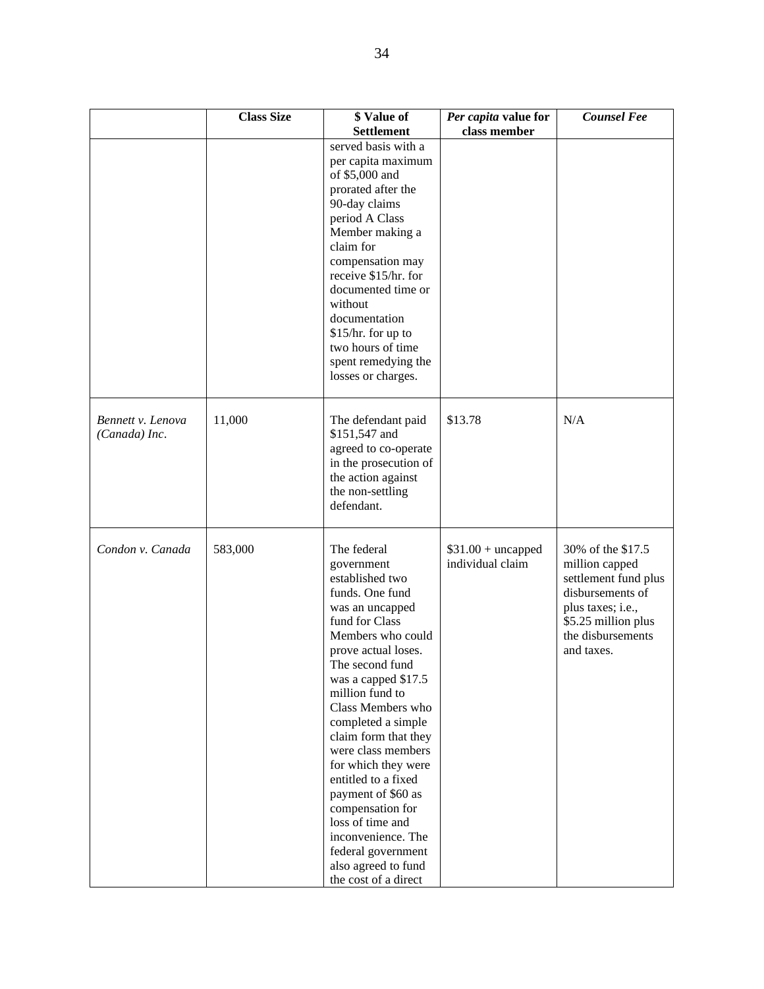|                                    | <b>Class Size</b> | \$ Value of<br><b>Settlement</b>                                                                                                                                                                                                                                                                                                                                                                                                                                                                              | Per capita value for<br>class member    | <b>Counsel Fee</b>                                                                                                                                             |
|------------------------------------|-------------------|---------------------------------------------------------------------------------------------------------------------------------------------------------------------------------------------------------------------------------------------------------------------------------------------------------------------------------------------------------------------------------------------------------------------------------------------------------------------------------------------------------------|-----------------------------------------|----------------------------------------------------------------------------------------------------------------------------------------------------------------|
|                                    |                   | served basis with a<br>per capita maximum<br>of \$5,000 and<br>prorated after the<br>90-day claims<br>period A Class<br>Member making a<br>claim for<br>compensation may<br>receive \$15/hr. for<br>documented time or<br>without<br>documentation<br>$$15/hr.$ for up to<br>two hours of time<br>spent remedying the<br>losses or charges.                                                                                                                                                                   |                                         |                                                                                                                                                                |
| Bennett v. Lenova<br>(Canada) Inc. | 11,000            | The defendant paid<br>\$151,547 and<br>agreed to co-operate<br>in the prosecution of<br>the action against<br>the non-settling<br>defendant.                                                                                                                                                                                                                                                                                                                                                                  | \$13.78                                 | N/A                                                                                                                                                            |
| Condon v. Canada                   | 583,000           | The federal<br>government<br>established two<br>funds. One fund<br>was an uncapped<br>fund for Class<br>Members who could<br>prove actual loses.<br>The second fund<br>was a capped \$17.5<br>million fund to<br>Class Members who<br>completed a simple<br>claim form that they<br>were class members<br>for which they were<br>entitled to a fixed<br>payment of \$60 as<br>compensation for<br>loss of time and<br>inconvenience. The<br>federal government<br>also agreed to fund<br>the cost of a direct | $$31.00 + uncapped$<br>individual claim | 30% of the \$17.5<br>million capped<br>settlement fund plus<br>disbursements of<br>plus taxes; i.e.,<br>\$5.25 million plus<br>the disbursements<br>and taxes. |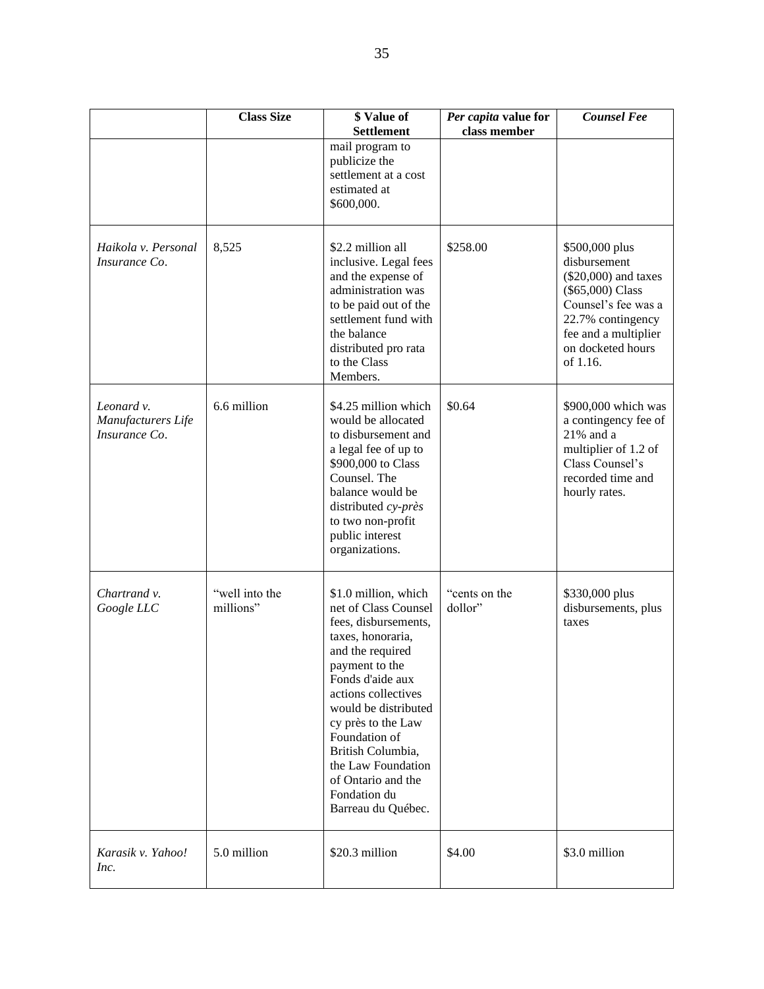|                                                   | <b>Class Size</b>           | \$ Value of<br><b>Settlement</b>                                                                                                                                                                                                                                                                                                                 | Per capita value for<br>class member | <b>Counsel Fee</b>                                                                                                                                                              |
|---------------------------------------------------|-----------------------------|--------------------------------------------------------------------------------------------------------------------------------------------------------------------------------------------------------------------------------------------------------------------------------------------------------------------------------------------------|--------------------------------------|---------------------------------------------------------------------------------------------------------------------------------------------------------------------------------|
|                                                   |                             | mail program to<br>publicize the<br>settlement at a cost<br>estimated at<br>\$600,000.                                                                                                                                                                                                                                                           |                                      |                                                                                                                                                                                 |
| Haikola v. Personal<br>Insurance Co.              | 8,525                       | \$2.2 million all<br>inclusive. Legal fees<br>and the expense of<br>administration was<br>to be paid out of the<br>settlement fund with<br>the balance<br>distributed pro rata<br>to the Class<br>Members.                                                                                                                                       | \$258.00                             | \$500,000 plus<br>disbursement<br>(\$20,000) and taxes<br>(\$65,000) Class<br>Counsel's fee was a<br>22.7% contingency<br>fee and a multiplier<br>on docketed hours<br>of 1.16. |
| Leonard v.<br>Manufacturers Life<br>Insurance Co. | 6.6 million                 | \$4.25 million which<br>would be allocated<br>to disbursement and<br>a legal fee of up to<br>\$900,000 to Class<br>Counsel. The<br>balance would be<br>distributed cy-près<br>to two non-profit<br>public interest<br>organizations.                                                                                                             | \$0.64                               | \$900,000 which was<br>a contingency fee of<br>$21\%$ and a<br>multiplier of 1.2 of<br>Class Counsel's<br>recorded time and<br>hourly rates.                                    |
| Chartrand v.<br>Google LLC                        | "well into the<br>millions" | \$1.0 million, which<br>net of Class Counsel<br>fees, disbursements,<br>taxes, honoraria,<br>and the required<br>payment to the<br>Fonds d'aide aux<br>actions collectives<br>would be distributed<br>cy près to the Law<br>Foundation of<br>British Columbia,<br>the Law Foundation<br>of Ontario and the<br>Fondation du<br>Barreau du Québec. | "cents on the<br>dollor"             | \$330,000 plus<br>disbursements, plus<br>taxes                                                                                                                                  |
| Karasik v. Yahoo!<br>Inc.                         | 5.0 million                 | \$20.3 million                                                                                                                                                                                                                                                                                                                                   | \$4.00                               | \$3.0 million                                                                                                                                                                   |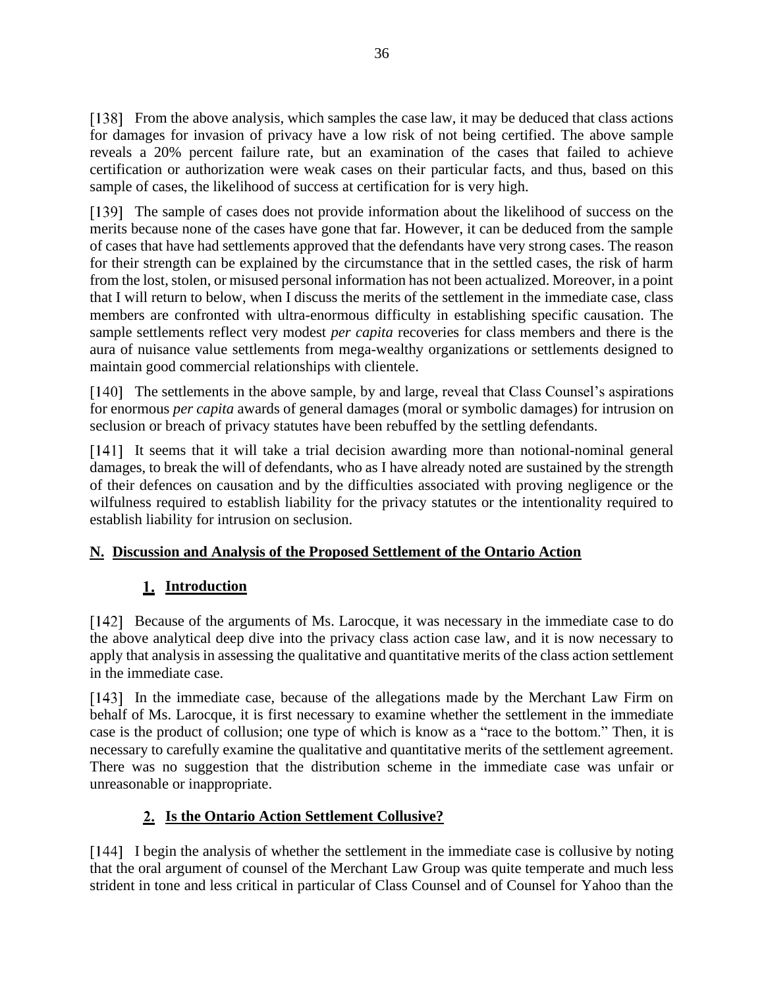From the above analysis, which samples the case law, it may be deduced that class actions for damages for invasion of privacy have a low risk of not being certified. The above sample reveals a 20% percent failure rate, but an examination of the cases that failed to achieve certification or authorization were weak cases on their particular facts, and thus, based on this sample of cases, the likelihood of success at certification for is very high.

The sample of cases does not provide information about the likelihood of success on the merits because none of the cases have gone that far. However, it can be deduced from the sample of cases that have had settlements approved that the defendants have very strong cases. The reason for their strength can be explained by the circumstance that in the settled cases, the risk of harm from the lost, stolen, or misused personal information has not been actualized. Moreover, in a point that I will return to below, when I discuss the merits of the settlement in the immediate case, class members are confronted with ultra-enormous difficulty in establishing specific causation. The sample settlements reflect very modest *per capita* recoveries for class members and there is the aura of nuisance value settlements from mega-wealthy organizations or settlements designed to maintain good commercial relationships with clientele.

[140] The settlements in the above sample, by and large, reveal that Class Counsel's aspirations for enormous *per capita* awards of general damages (moral or symbolic damages) for intrusion on seclusion or breach of privacy statutes have been rebuffed by the settling defendants.

[141] It seems that it will take a trial decision awarding more than notional-nominal general damages, to break the will of defendants, who as I have already noted are sustained by the strength of their defences on causation and by the difficulties associated with proving negligence or the wilfulness required to establish liability for the privacy statutes or the intentionality required to establish liability for intrusion on seclusion.

### <span id="page-35-0"></span>**N. Discussion and Analysis of the Proposed Settlement of the Ontario Action**

# **Introduction**

<span id="page-35-1"></span>[142] Because of the arguments of Ms. Larocque, it was necessary in the immediate case to do the above analytical deep dive into the privacy class action case law, and it is now necessary to apply that analysis in assessing the qualitative and quantitative merits of the class action settlement in the immediate case.

[143] In the immediate case, because of the allegations made by the Merchant Law Firm on behalf of Ms. Larocque, it is first necessary to examine whether the settlement in the immediate case is the product of collusion; one type of which is know as a "race to the bottom." Then, it is necessary to carefully examine the qualitative and quantitative merits of the settlement agreement. There was no suggestion that the distribution scheme in the immediate case was unfair or unreasonable or inappropriate.

# **Is the Ontario Action Settlement Collusive?**

<span id="page-35-2"></span>I begin the analysis of whether the settlement in the immediate case is collusive by noting that the oral argument of counsel of the Merchant Law Group was quite temperate and much less strident in tone and less critical in particular of Class Counsel and of Counsel for Yahoo than the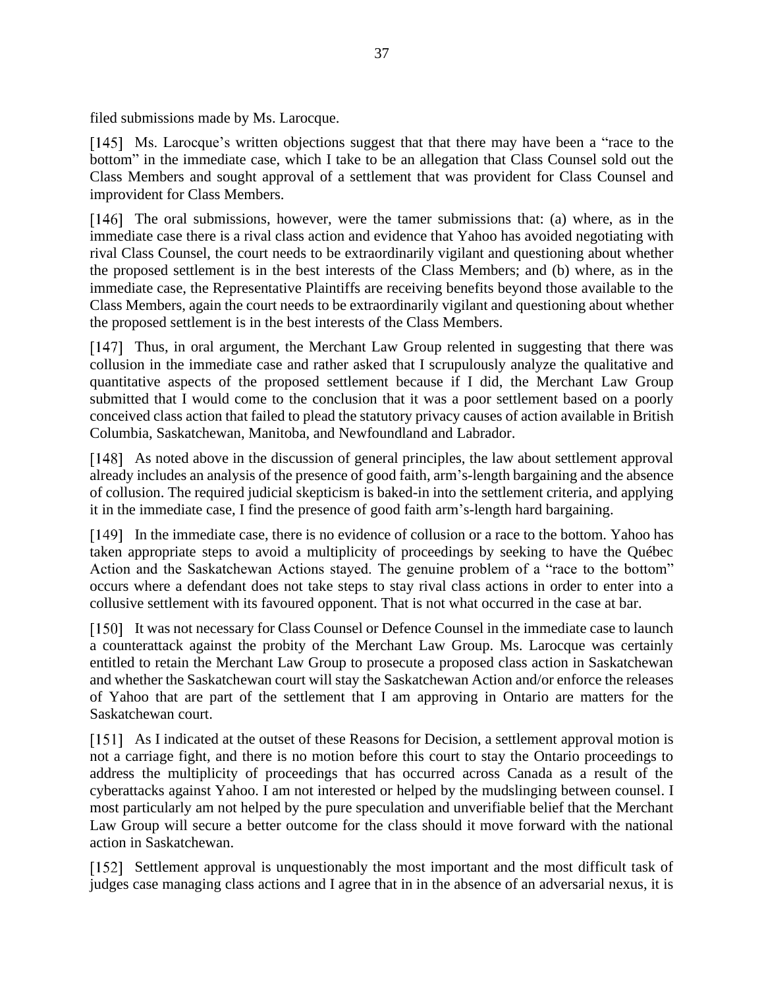filed submissions made by Ms. Larocque.

[145] Ms. Larocque's written objections suggest that that there may have been a "race to the bottom" in the immediate case, which I take to be an allegation that Class Counsel sold out the Class Members and sought approval of a settlement that was provident for Class Counsel and improvident for Class Members.

[146] The oral submissions, however, were the tamer submissions that: (a) where, as in the immediate case there is a rival class action and evidence that Yahoo has avoided negotiating with rival Class Counsel, the court needs to be extraordinarily vigilant and questioning about whether the proposed settlement is in the best interests of the Class Members; and (b) where, as in the immediate case, the Representative Plaintiffs are receiving benefits beyond those available to the Class Members, again the court needs to be extraordinarily vigilant and questioning about whether the proposed settlement is in the best interests of the Class Members.

[147] Thus, in oral argument, the Merchant Law Group relented in suggesting that there was collusion in the immediate case and rather asked that I scrupulously analyze the qualitative and quantitative aspects of the proposed settlement because if I did, the Merchant Law Group submitted that I would come to the conclusion that it was a poor settlement based on a poorly conceived class action that failed to plead the statutory privacy causes of action available in British Columbia, Saskatchewan, Manitoba, and Newfoundland and Labrador.

As noted above in the discussion of general principles, the law about settlement approval already includes an analysis of the presence of good faith, arm's-length bargaining and the absence of collusion. The required judicial skepticism is baked-in into the settlement criteria, and applying it in the immediate case, I find the presence of good faith arm's-length hard bargaining.

[149] In the immediate case, there is no evidence of collusion or a race to the bottom. Yahoo has taken appropriate steps to avoid a multiplicity of proceedings by seeking to have the Québec Action and the Saskatchewan Actions stayed. The genuine problem of a "race to the bottom" occurs where a defendant does not take steps to stay rival class actions in order to enter into a collusive settlement with its favoured opponent. That is not what occurred in the case at bar.

It was not necessary for Class Counsel or Defence Counsel in the immediate case to launch a counterattack against the probity of the Merchant Law Group. Ms. Larocque was certainly entitled to retain the Merchant Law Group to prosecute a proposed class action in Saskatchewan and whether the Saskatchewan court will stay the Saskatchewan Action and/or enforce the releases of Yahoo that are part of the settlement that I am approving in Ontario are matters for the Saskatchewan court.

As I indicated at the outset of these Reasons for Decision, a settlement approval motion is not a carriage fight, and there is no motion before this court to stay the Ontario proceedings to address the multiplicity of proceedings that has occurred across Canada as a result of the cyberattacks against Yahoo. I am not interested or helped by the mudslinging between counsel. I most particularly am not helped by the pure speculation and unverifiable belief that the Merchant Law Group will secure a better outcome for the class should it move forward with the national action in Saskatchewan.

[152] Settlement approval is unquestionably the most important and the most difficult task of judges case managing class actions and I agree that in in the absence of an adversarial nexus, it is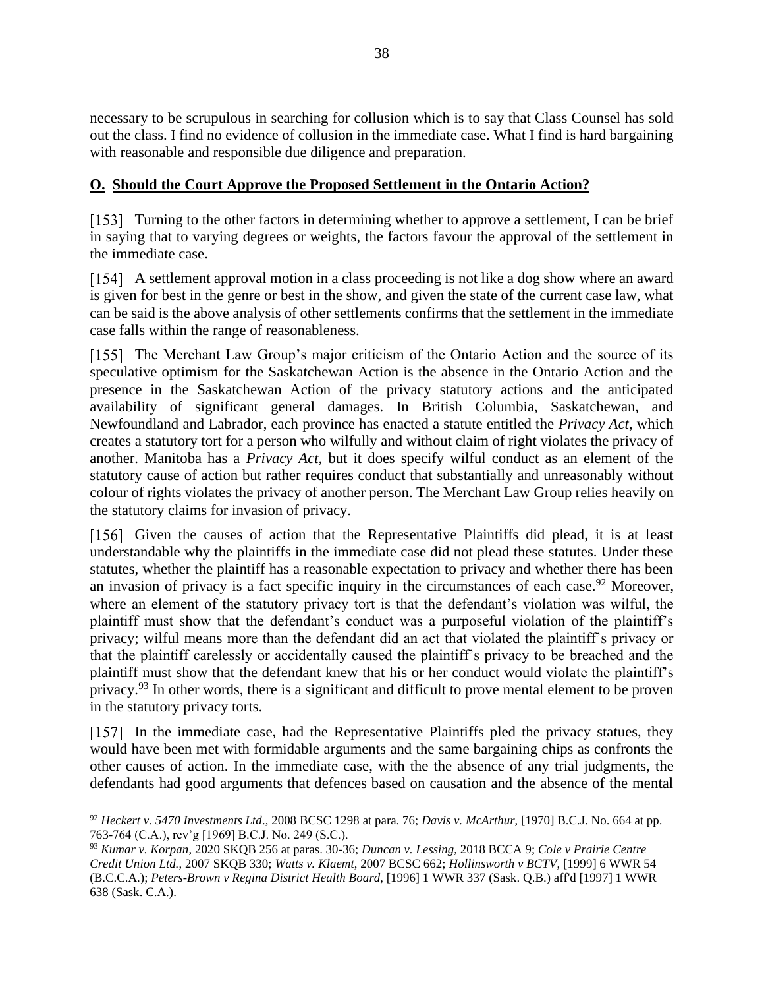necessary to be scrupulous in searching for collusion which is to say that Class Counsel has sold out the class. I find no evidence of collusion in the immediate case. What I find is hard bargaining with reasonable and responsible due diligence and preparation.

### <span id="page-37-0"></span>**O. Should the Court Approve the Proposed Settlement in the Ontario Action?**

[153] Turning to the other factors in determining whether to approve a settlement, I can be brief in saying that to varying degrees or weights, the factors favour the approval of the settlement in the immediate case.

A settlement approval motion in a class proceeding is not like a dog show where an award is given for best in the genre or best in the show, and given the state of the current case law, what can be said is the above analysis of other settlements confirms that the settlement in the immediate case falls within the range of reasonableness.

[155] The Merchant Law Group's major criticism of the Ontario Action and the source of its speculative optimism for the Saskatchewan Action is the absence in the Ontario Action and the presence in the Saskatchewan Action of the privacy statutory actions and the anticipated availability of significant general damages. In British Columbia, Saskatchewan, and Newfoundland and Labrador, each province has enacted a statute entitled the *Privacy Act*, which creates a statutory tort for a person who wilfully and without claim of right violates the privacy of another. Manitoba has a *Privacy Act,* but it does specify wilful conduct as an element of the statutory cause of action but rather requires conduct that substantially and unreasonably without colour of rights violates the privacy of another person. The Merchant Law Group relies heavily on the statutory claims for invasion of privacy.

[156] Given the causes of action that the Representative Plaintiffs did plead, it is at least understandable why the plaintiffs in the immediate case did not plead these statutes. Under these statutes, whether the plaintiff has a reasonable expectation to privacy and whether there has been an invasion of privacy is a fact specific inquiry in the circumstances of each case.<sup>92</sup> Moreover, where an element of the statutory privacy tort is that the defendant's violation was wilful, the plaintiff must show that the defendant's conduct was a purposeful violation of the plaintiff's privacy; wilful means more than the defendant did an act that violated the plaintiff's privacy or that the plaintiff carelessly or accidentally caused the plaintiff's privacy to be breached and the plaintiff must show that the defendant knew that his or her conduct would violate the plaintiff's privacy.<sup>93</sup> In other words, there is a significant and difficult to prove mental element to be proven in the statutory privacy torts.

In the immediate case, had the Representative Plaintiffs pled the privacy statues, they would have been met with formidable arguments and the same bargaining chips as confronts the other causes of action. In the immediate case, with the the absence of any trial judgments, the defendants had good arguments that defences based on causation and the absence of the mental

<sup>92</sup> *Heckert v. 5470 Investments Ltd*., 2008 BCSC 1298 at para. 76; *Davis v. McArthur*, [1970] B.C.J. No. 664 at pp. 763-764 (C.A.), rev'g [1969] B.C.J. No. 249 (S.C.).

<sup>93</sup> *Kumar v. Korpan*, 2020 SKQB 256 at paras. 30-36; *Duncan v. Lessing*, 2018 BCCA 9; *Cole v Prairie Centre Credit Union Ltd.*, 2007 SKQB 330; *Watts v. Klaemt*, 2007 BCSC 662; *Hollinsworth v BCTV*, [1999] 6 WWR 54 (B.C.C.A.); *Peters-Brown v Regina District Health Board*, [1996] 1 WWR 337 (Sask. Q.B.) aff'd [1997] 1 WWR 638 (Sask. C.A.).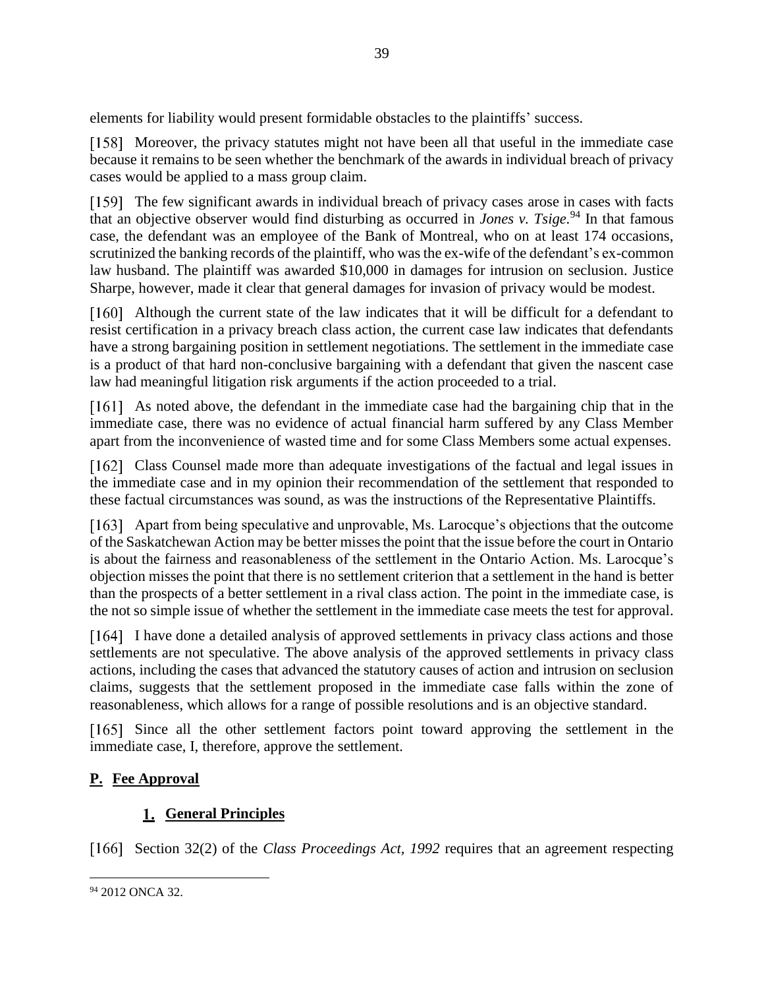elements for liability would present formidable obstacles to the plaintiffs' success.

Moreover, the privacy statutes might not have been all that useful in the immediate case because it remains to be seen whether the benchmark of the awards in individual breach of privacy cases would be applied to a mass group claim.

The few significant awards in individual breach of privacy cases arose in cases with facts that an objective observer would find disturbing as occurred in *Jones v. Tsige.* <sup>94</sup> In that famous case, the defendant was an employee of the Bank of Montreal, who on at least 174 occasions, scrutinized the banking records of the plaintiff, who was the ex-wife of the defendant's ex-common law husband. The plaintiff was awarded \$10,000 in damages for intrusion on seclusion. Justice Sharpe, however, made it clear that general damages for invasion of privacy would be modest.

Although the current state of the law indicates that it will be difficult for a defendant to resist certification in a privacy breach class action, the current case law indicates that defendants have a strong bargaining position in settlement negotiations. The settlement in the immediate case is a product of that hard non-conclusive bargaining with a defendant that given the nascent case law had meaningful litigation risk arguments if the action proceeded to a trial.

[161] As noted above, the defendant in the immediate case had the bargaining chip that in the immediate case, there was no evidence of actual financial harm suffered by any Class Member apart from the inconvenience of wasted time and for some Class Members some actual expenses.

[162] Class Counsel made more than adequate investigations of the factual and legal issues in the immediate case and in my opinion their recommendation of the settlement that responded to these factual circumstances was sound, as was the instructions of the Representative Plaintiffs.

Apart from being speculative and unprovable, Ms. Larocque's objections that the outcome of the Saskatchewan Action may be better misses the point that the issue before the court in Ontario is about the fairness and reasonableness of the settlement in the Ontario Action. Ms. Larocque's objection misses the point that there is no settlement criterion that a settlement in the hand is better than the prospects of a better settlement in a rival class action. The point in the immediate case, is the not so simple issue of whether the settlement in the immediate case meets the test for approval.

[164] I have done a detailed analysis of approved settlements in privacy class actions and those settlements are not speculative. The above analysis of the approved settlements in privacy class actions, including the cases that advanced the statutory causes of action and intrusion on seclusion claims, suggests that the settlement proposed in the immediate case falls within the zone of reasonableness, which allows for a range of possible resolutions and is an objective standard.

[165] Since all the other settlement factors point toward approving the settlement in the immediate case, I, therefore, approve the settlement.

# <span id="page-38-0"></span>**P. Fee Approval**

# **General Principles**

<span id="page-38-1"></span>[166] Section 32(2) of the *Class Proceedings Act, 1992* requires that an agreement respecting

<sup>&</sup>lt;sup>94</sup> 2012 ONCA 32.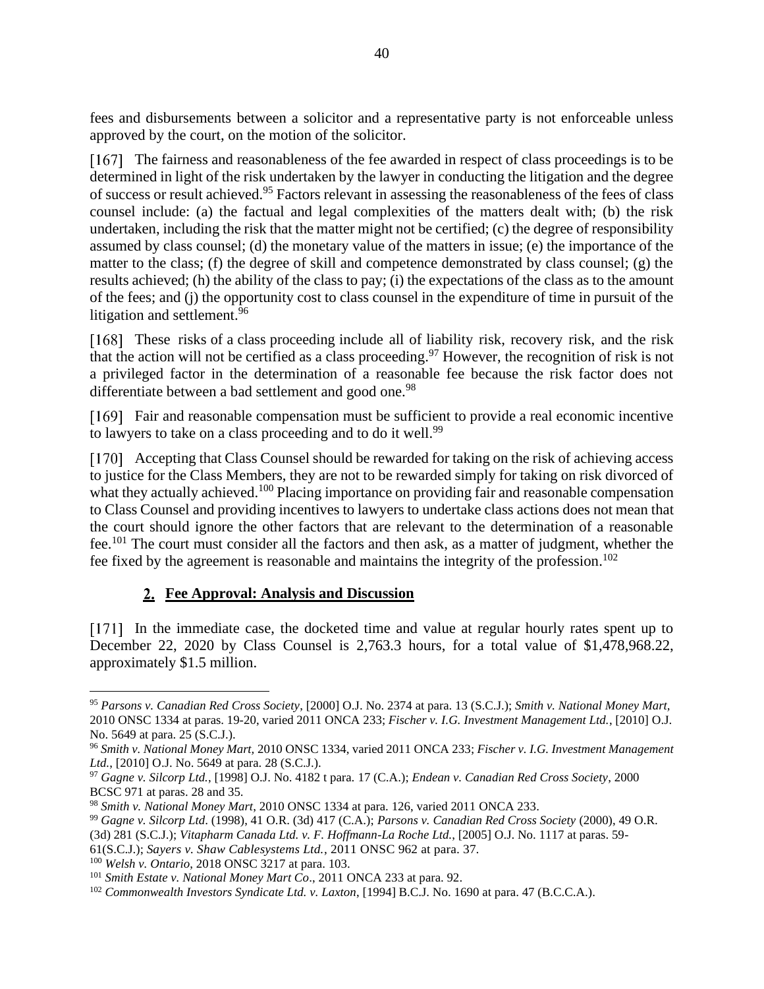fees and disbursements between a solicitor and a representative party is not enforceable unless approved by the court, on the motion of the solicitor.

[167] The fairness and reasonableness of the fee awarded in respect of class proceedings is to be determined in light of the risk undertaken by the lawyer in conducting the litigation and the degree of success or result achieved. <sup>95</sup> Factors relevant in assessing the reasonableness of the fees of class counsel include: (a) the factual and legal complexities of the matters dealt with; (b) the risk undertaken, including the risk that the matter might not be certified; (c) the degree of responsibility assumed by class counsel; (d) the monetary value of the matters in issue; (e) the importance of the matter to the class; (f) the degree of skill and competence demonstrated by class counsel; (g) the results achieved; (h) the ability of the class to pay; (i) the expectations of the class as to the amount of the fees; and (j) the opportunity cost to class counsel in the expenditure of time in pursuit of the litigation and settlement.<sup>96</sup>

[168] These risks of a class proceeding include all of liability risk, recovery risk, and the risk that the action will not be certified as a class proceeding.<sup>97</sup> However, the recognition of risk is not a privileged factor in the determination of a reasonable fee because the risk factor does not differentiate between a bad settlement and good one.<sup>98</sup>

[169] Fair and reasonable compensation must be sufficient to provide a real economic incentive to lawyers to take on a class proceeding and to do it well.<sup>99</sup>

[170] Accepting that Class Counsel should be rewarded for taking on the risk of achieving access to justice for the Class Members, they are not to be rewarded simply for taking on risk divorced of what they actually achieved.<sup>100</sup> Placing importance on providing fair and reasonable compensation to Class Counsel and providing incentives to lawyers to undertake class actions does not mean that the court should ignore the other factors that are relevant to the determination of a reasonable fee.<sup>101</sup> The court must consider all the factors and then ask, as a matter of judgment, whether the fee fixed by the agreement is reasonable and maintains the integrity of the profession. 102

### **Fee Approval: Analysis and Discussion**

<span id="page-39-0"></span>In the immediate case, the docketed time and value at regular hourly rates spent up to December 22, 2020 by Class Counsel is 2,763.3 hours, for a total value of \$1,478,968.22, approximately \$1.5 million.

<sup>100</sup> *Welsh v. Ontario*, 2018 ONSC 3217 at para. 103.

<sup>95</sup> *Parsons v. Canadian Red Cross Society*, [2000] O.J. No. 2374 at para. 13 (S.C.J.); *Smith v. National Money Mart,* 2010 ONSC 1334 at paras. 19-20, varied 2011 ONCA 233; *Fischer v. I.G. Investment Management Ltd.*, [2010] O.J. No. 5649 at para. 25 (S.C.J.).

<sup>96</sup> *Smith v. National Money Mart,* 2010 ONSC 1334, varied 2011 ONCA 233; *Fischer v. I.G. Investment Management Ltd.*, [2010] O.J. No. 5649 at para. 28 (S.C.J.).

<sup>97</sup> *Gagne v. Silcorp Ltd.*, [1998] O.J. No. 4182 t para. 17 (C.A.); *Endean v. Canadian Red Cross Society*, 2000 BCSC 971 at paras. 28 and 35.

<sup>98</sup> *Smith v. National Money Mart*, 2010 ONSC 1334 at para. 126, varied 2011 ONCA 233.

<sup>99</sup> *Gagne v. Silcorp Ltd*. (1998), 41 O.R. (3d) 417 (C.A.); *Parsons v. Canadian Red Cross Society* (2000), 49 O.R.

<sup>(3</sup>d) 281 (S.C.J.); *Vitapharm Canada Ltd. v. F. Hoffmann-La Roche Ltd.*, [2005] O.J. No. 1117 at paras. 59-

<sup>61(</sup>S.C.J.); *Sayers v. Shaw Cablesystems Ltd.*, 2011 ONSC 962 at para. 37.

<sup>101</sup> *Smith Estate v. National Money Mart Co*., 2011 ONCA 233 at para. 92.

<sup>102</sup> *Commonwealth Investors Syndicate Ltd. v. Laxton*, [1994] B.C.J. No. 1690 at para. 47 (B.C.C.A.).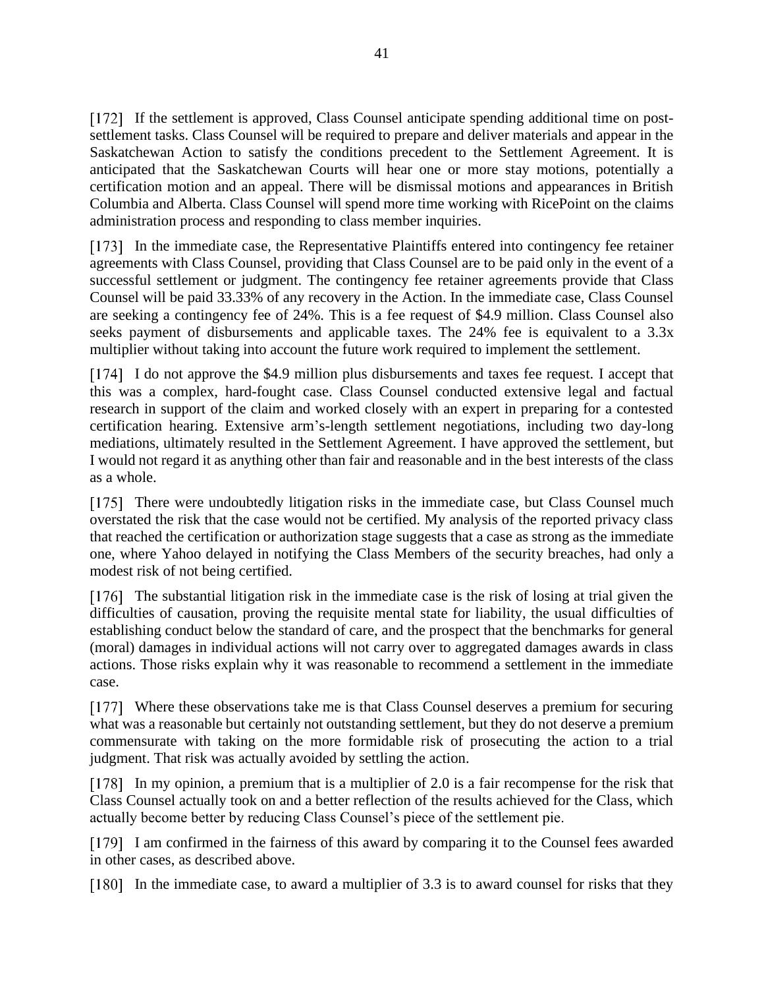If the settlement is approved, Class Counsel anticipate spending additional time on postsettlement tasks. Class Counsel will be required to prepare and deliver materials and appear in the Saskatchewan Action to satisfy the conditions precedent to the Settlement Agreement. It is anticipated that the Saskatchewan Courts will hear one or more stay motions, potentially a certification motion and an appeal. There will be dismissal motions and appearances in British Columbia and Alberta. Class Counsel will spend more time working with RicePoint on the claims administration process and responding to class member inquiries.

In the immediate case, the Representative Plaintiffs entered into contingency fee retainer agreements with Class Counsel, providing that Class Counsel are to be paid only in the event of a successful settlement or judgment. The contingency fee retainer agreements provide that Class Counsel will be paid 33.33% of any recovery in the Action. In the immediate case, Class Counsel are seeking a contingency fee of 24%. This is a fee request of \$4.9 million. Class Counsel also seeks payment of disbursements and applicable taxes. The 24% fee is equivalent to a 3.3x multiplier without taking into account the future work required to implement the settlement.

I do not approve the \$4.9 million plus disbursements and taxes fee request. I accept that this was a complex, hard-fought case. Class Counsel conducted extensive legal and factual research in support of the claim and worked closely with an expert in preparing for a contested certification hearing. Extensive arm's-length settlement negotiations, including two day-long mediations, ultimately resulted in the Settlement Agreement. I have approved the settlement, but I would not regard it as anything other than fair and reasonable and in the best interests of the class as a whole.

[175] There were undoubtedly litigation risks in the immediate case, but Class Counsel much overstated the risk that the case would not be certified. My analysis of the reported privacy class that reached the certification or authorization stage suggests that a case as strong as the immediate one, where Yahoo delayed in notifying the Class Members of the security breaches, had only a modest risk of not being certified.

[176] The substantial litigation risk in the immediate case is the risk of losing at trial given the difficulties of causation, proving the requisite mental state for liability, the usual difficulties of establishing conduct below the standard of care, and the prospect that the benchmarks for general (moral) damages in individual actions will not carry over to aggregated damages awards in class actions. Those risks explain why it was reasonable to recommend a settlement in the immediate case.

[177] Where these observations take me is that Class Counsel deserves a premium for securing what was a reasonable but certainly not outstanding settlement, but they do not deserve a premium commensurate with taking on the more formidable risk of prosecuting the action to a trial judgment. That risk was actually avoided by settling the action.

In my opinion, a premium that is a multiplier of 2.0 is a fair recompense for the risk that Class Counsel actually took on and a better reflection of the results achieved for the Class, which actually become better by reducing Class Counsel's piece of the settlement pie.

[179] I am confirmed in the fairness of this award by comparing it to the Counsel fees awarded in other cases, as described above.

[180] In the immediate case, to award a multiplier of 3.3 is to award counsel for risks that they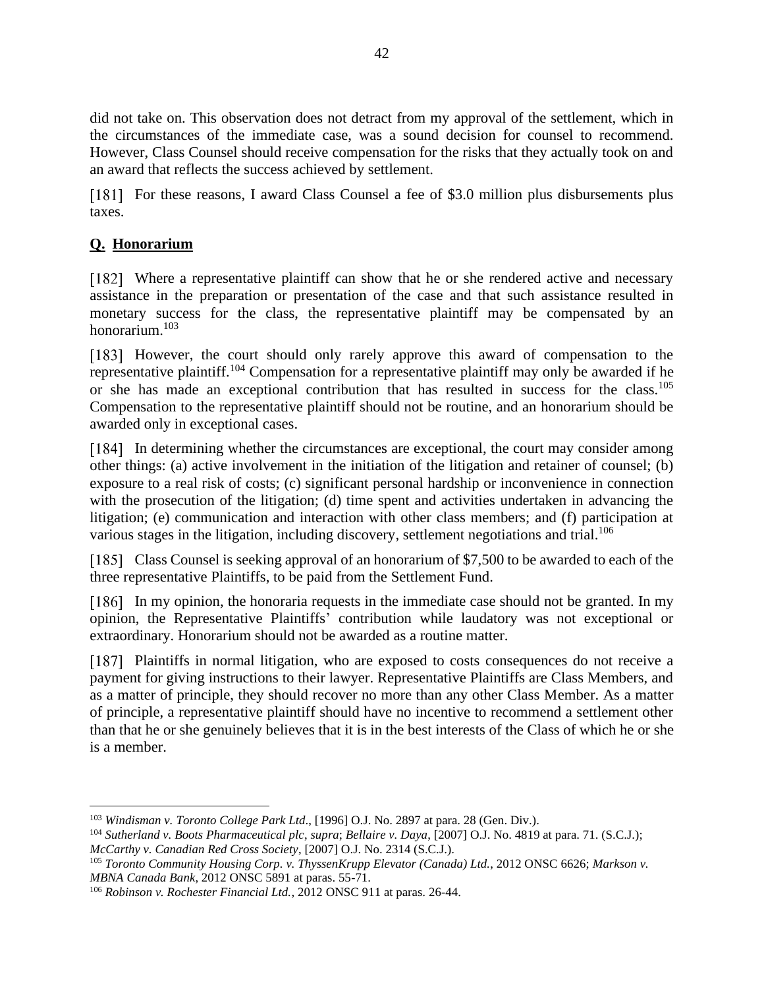did not take on. This observation does not detract from my approval of the settlement, which in the circumstances of the immediate case, was a sound decision for counsel to recommend. However, Class Counsel should receive compensation for the risks that they actually took on and an award that reflects the success achieved by settlement.

[181] For these reasons, I award Class Counsel a fee of \$3.0 million plus disbursements plus taxes.

# <span id="page-41-0"></span>**Q. Honorarium**

Where a representative plaintiff can show that he or she rendered active and necessary assistance in the preparation or presentation of the case and that such assistance resulted in monetary success for the class, the representative plaintiff may be compensated by an honorarium. 103

[183] However, the court should only rarely approve this award of compensation to the representative plaintiff.<sup>104</sup> Compensation for a representative plaintiff may only be awarded if he or she has made an exceptional contribution that has resulted in success for the class.<sup>105</sup> Compensation to the representative plaintiff should not be routine, and an honorarium should be awarded only in exceptional cases.

In determining whether the circumstances are exceptional, the court may consider among other things: (a) active involvement in the initiation of the litigation and retainer of counsel; (b) exposure to a real risk of costs; (c) significant personal hardship or inconvenience in connection with the prosecution of the litigation; (d) time spent and activities undertaken in advancing the litigation; (e) communication and interaction with other class members; and (f) participation at various stages in the litigation, including discovery, settlement negotiations and trial.<sup>106</sup>

[185] Class Counsel is seeking approval of an honorarium of \$7,500 to be awarded to each of the three representative Plaintiffs, to be paid from the Settlement Fund.

[186] In my opinion, the honoraria requests in the immediate case should not be granted. In my opinion, the Representative Plaintiffs' contribution while laudatory was not exceptional or extraordinary. Honorarium should not be awarded as a routine matter.

[187] Plaintiffs in normal litigation, who are exposed to costs consequences do not receive a payment for giving instructions to their lawyer. Representative Plaintiffs are Class Members, and as a matter of principle, they should recover no more than any other Class Member. As a matter of principle, a representative plaintiff should have no incentive to recommend a settlement other than that he or she genuinely believes that it is in the best interests of the Class of which he or she is a member.

<sup>103</sup> *Windisman v. Toronto College Park Ltd*., [1996] O.J. No. 2897 at para. 28 (Gen. Div.).

<sup>104</sup> *Sutherland v. Boots Pharmaceutical plc*, *supra*; *Bellaire v. Daya*, [2007] O.J. No. 4819 at para. 71. (S.C.J.); *McCarthy v. Canadian Red Cross Society*, [2007] O.J. No. 2314 (S.C.J.).

<sup>105</sup> *Toronto Community Housing Corp. v. ThyssenKrupp Elevator (Canada) Ltd.*, 2012 ONSC 6626; *Markson v. MBNA Canada Bank*, 2012 ONSC 5891 at paras. 55-71.

<sup>106</sup> *Robinson v. Rochester Financial Ltd.*, 2012 ONSC 911 at paras. 26-44.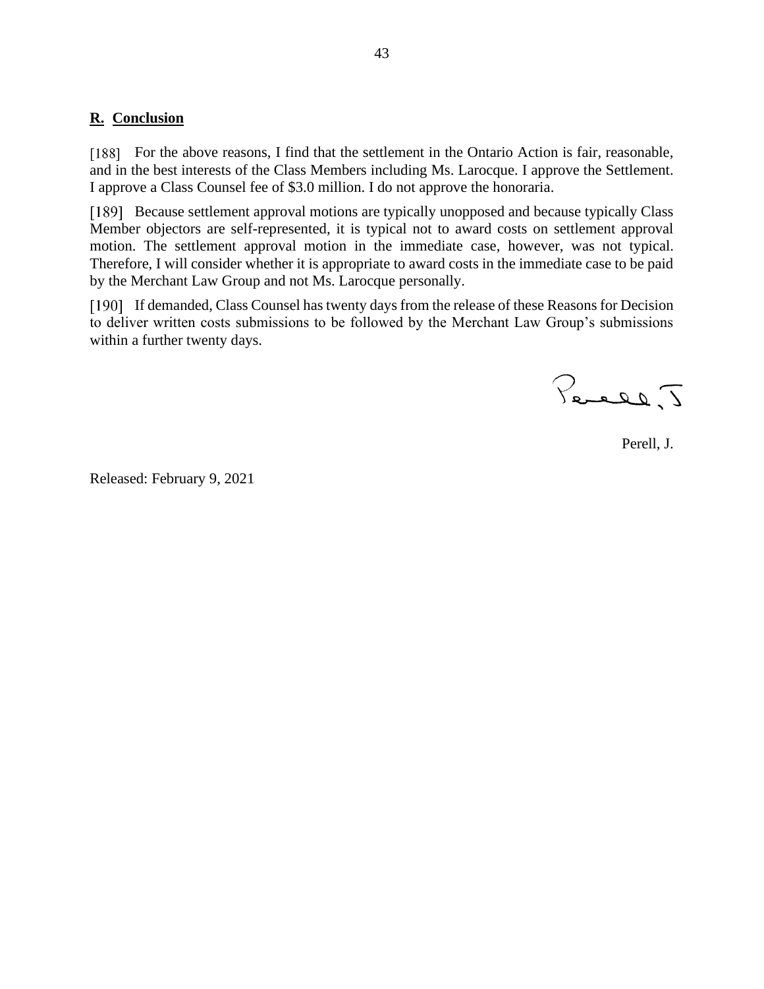### <span id="page-42-0"></span>**R. Conclusion**

[188] For the above reasons, I find that the settlement in the Ontario Action is fair, reasonable, and in the best interests of the Class Members including Ms. Larocque. I approve the Settlement. I approve a Class Counsel fee of \$3.0 million. I do not approve the honoraria.

[189] Because settlement approval motions are typically unopposed and because typically Class Member objectors are self-represented, it is typical not to award costs on settlement approval motion. The settlement approval motion in the immediate case, however, was not typical. Therefore, I will consider whether it is appropriate to award costs in the immediate case to be paid by the Merchant Law Group and not Ms. Larocque personally.

If demanded, Class Counsel has twenty days from the release of these Reasons for Decision to deliver written costs submissions to be followed by the Merchant Law Group's submissions within a further twenty days.

Percel, J

Perell, J.

Released: February 9, 2021